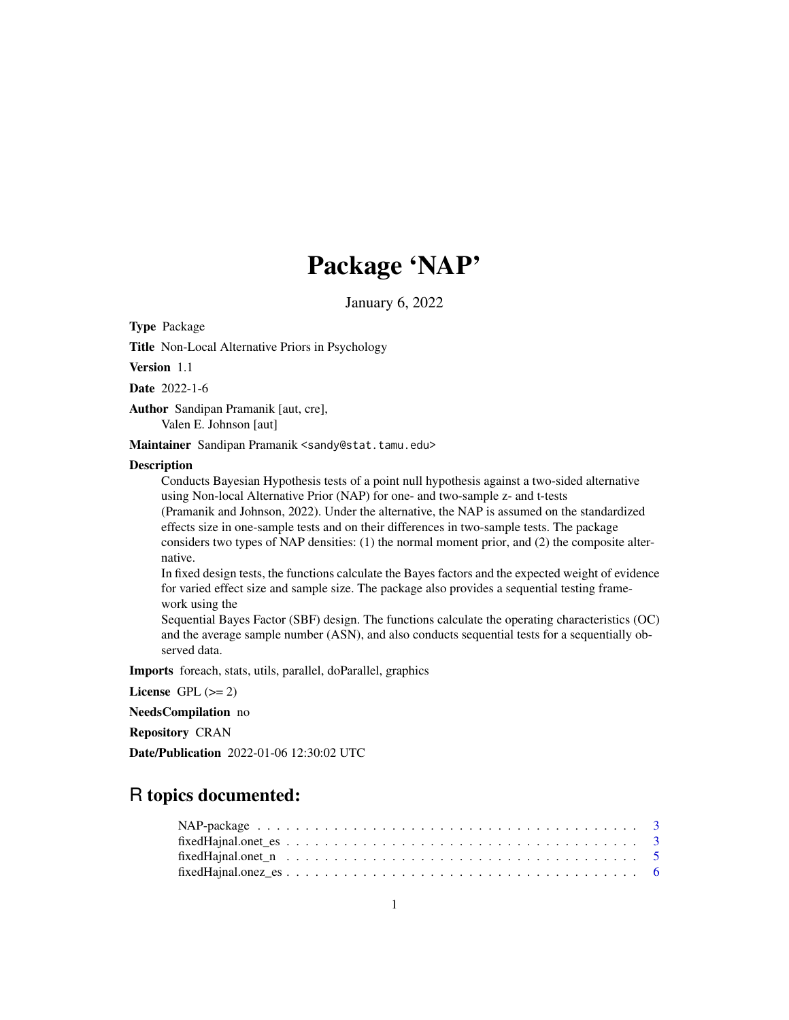# Package 'NAP'

January 6, 2022

Type Package

Title Non-Local Alternative Priors in Psychology

Version 1.1

Date 2022-1-6

Author Sandipan Pramanik [aut, cre], Valen E. Johnson [aut]

Maintainer Sandipan Pramanik <sandy@stat.tamu.edu>

#### **Description**

Conducts Bayesian Hypothesis tests of a point null hypothesis against a two-sided alternative using Non-local Alternative Prior (NAP) for one- and two-sample z- and t-tests (Pramanik and Johnson, 2022). Under the alternative, the NAP is assumed on the standardized effects size in one-sample tests and on their differences in two-sample tests. The package considers two types of NAP densities: (1) the normal moment prior, and (2) the composite alternative.

In fixed design tests, the functions calculate the Bayes factors and the expected weight of evidence for varied effect size and sample size. The package also provides a sequential testing framework using the

Sequential Bayes Factor (SBF) design. The functions calculate the operating characteristics (OC) and the average sample number (ASN), and also conducts sequential tests for a sequentially observed data.

Imports foreach, stats, utils, parallel, doParallel, graphics

License GPL  $(>= 2)$ 

NeedsCompilation no

Repository CRAN

Date/Publication 2022-01-06 12:30:02 UTC

# R topics documented: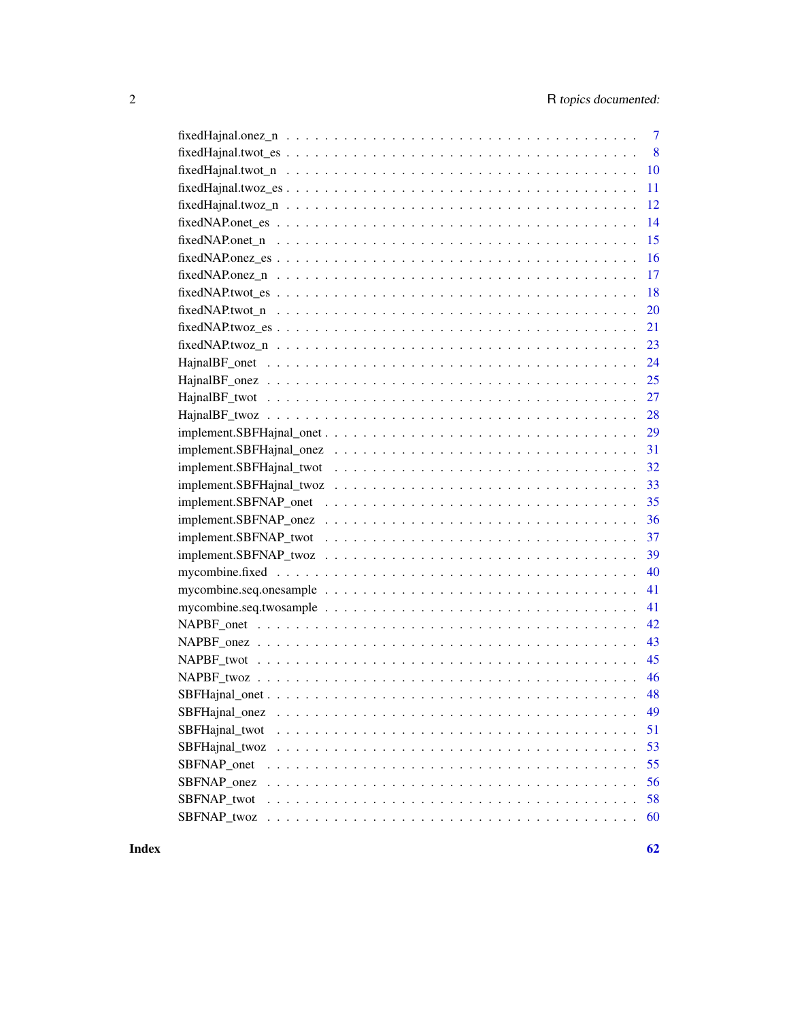| $\overline{7}$                                                                                                                                      |
|-----------------------------------------------------------------------------------------------------------------------------------------------------|
| $\overline{8}$                                                                                                                                      |
| 10                                                                                                                                                  |
| 11                                                                                                                                                  |
| 12<br>$fixed$ Hajnal.two $z_n$ $\ldots$ $\ldots$ $\ldots$ $\ldots$ $\ldots$ $\ldots$ $\ldots$ $\ldots$ $\ldots$ $\ldots$ $\ldots$ $\ldots$ $\ldots$ |
| 14                                                                                                                                                  |
| 15                                                                                                                                                  |
| 16<br>$fixedNAP. one z_e s \ldots \ldots \ldots \ldots \ldots \ldots \ldots \ldots \ldots \ldots \ldots \ldots \ldots$                              |
| 17                                                                                                                                                  |
| 18                                                                                                                                                  |
| 20                                                                                                                                                  |
| 21                                                                                                                                                  |
| 23                                                                                                                                                  |
| 24                                                                                                                                                  |
| 25                                                                                                                                                  |
|                                                                                                                                                     |
| 28                                                                                                                                                  |
| 29                                                                                                                                                  |
| 31                                                                                                                                                  |
| 32                                                                                                                                                  |
| 33                                                                                                                                                  |
| 35                                                                                                                                                  |
| 36                                                                                                                                                  |
| 37                                                                                                                                                  |
| 39                                                                                                                                                  |
| 40                                                                                                                                                  |
| 41                                                                                                                                                  |
| 41                                                                                                                                                  |
| 42                                                                                                                                                  |
| 43                                                                                                                                                  |
| 45                                                                                                                                                  |
| 46                                                                                                                                                  |
| 48                                                                                                                                                  |
| SBFHajnal_onez<br>49                                                                                                                                |
| SBFHajnal_twot<br>51<br>.                                                                                                                           |
| 53<br>SBFHajnal twoz                                                                                                                                |
| 55<br>SBFNAP_onet                                                                                                                                   |
| SBFNAP_onez<br>56                                                                                                                                   |
| 58<br>SBFNAP twot                                                                                                                                   |
| SBFNAP_twoz<br>60                                                                                                                                   |

 $\blacksquare$  Index  $\blacksquare$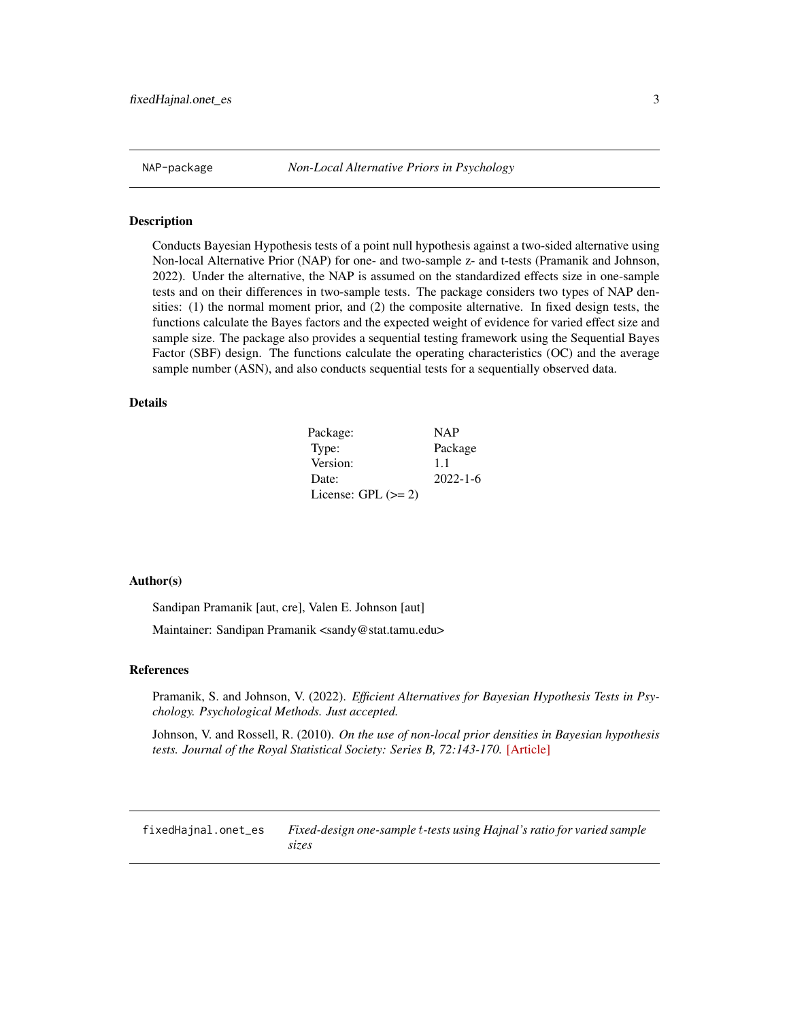<span id="page-2-0"></span>NAP-package *Non-Local Alternative Priors in Psychology*

#### Description

Conducts Bayesian Hypothesis tests of a point null hypothesis against a two-sided alternative using Non-local Alternative Prior (NAP) for one- and two-sample z- and t-tests (Pramanik and Johnson, 2022). Under the alternative, the NAP is assumed on the standardized effects size in one-sample tests and on their differences in two-sample tests. The package considers two types of NAP densities: (1) the normal moment prior, and (2) the composite alternative. In fixed design tests, the functions calculate the Bayes factors and the expected weight of evidence for varied effect size and sample size. The package also provides a sequential testing framework using the Sequential Bayes Factor (SBF) design. The functions calculate the operating characteristics (OC) and the average sample number (ASN), and also conducts sequential tests for a sequentially observed data.

# Details

| Package:              | <b>NAP</b>     |
|-----------------------|----------------|
| Type:                 | Package        |
| Version:              | 1.1            |
| Date:                 | $2022 - 1 - 6$ |
| License: GPL $(>= 2)$ |                |

#### Author(s)

Sandipan Pramanik [aut, cre], Valen E. Johnson [aut]

Maintainer: Sandipan Pramanik <sandy@stat.tamu.edu>

#### References

Pramanik, S. and Johnson, V. (2022). *Efficient Alternatives for Bayesian Hypothesis Tests in Psychology. Psychological Methods. Just accepted.*

Johnson, V. and Rossell, R. (2010). *On the use of non-local prior densities in Bayesian hypothesis tests. Journal of the Royal Statistical Society: Series B, 72:143-170.* [\[Article\]](https://rss.onlinelibrary.wiley.com/doi/pdf/10.1111/j.1467-9868.2009.00730.x)

fixedHajnal.onet\_es *Fixed-design one-sample* t*-tests using Hajnal's ratio for varied sample sizes*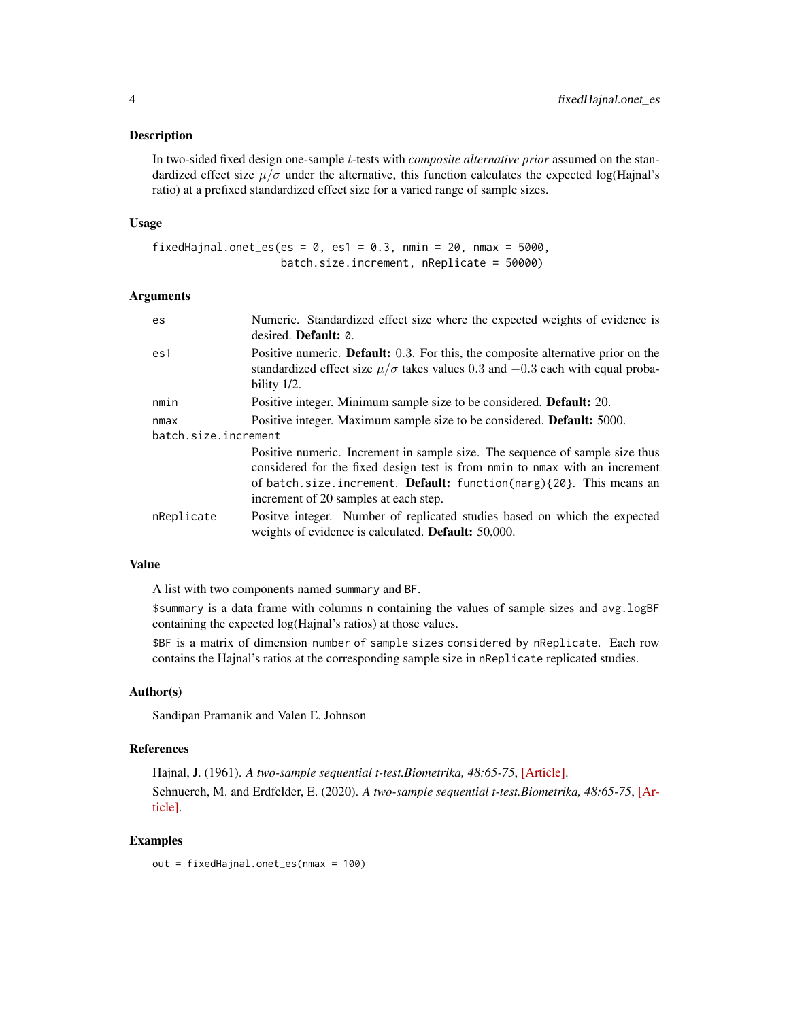#### Description

In two-sided fixed design one-sample t-tests with *composite alternative prior* assumed on the standardized effect size  $\mu/\sigma$  under the alternative, this function calculates the expected log(Hajnal's ratio) at a prefixed standardized effect size for a varied range of sample sizes.

#### Usage

```
fixedHajnal.onet_es(es = 0, es1 = 0.3, nmin = 20, nmax = 5000,
                    batch.size.increment, nReplicate = 50000)
```
# Arguments

| es                   | Numeric. Standardized effect size where the expected weights of evidence is<br>desired. <b>Default:</b> 0.                                                                                                                                                                               |
|----------------------|------------------------------------------------------------------------------------------------------------------------------------------------------------------------------------------------------------------------------------------------------------------------------------------|
| es1                  | Positive numeric. <b>Default:</b> 0.3. For this, the composite alternative prior on the<br>standardized effect size $\mu/\sigma$ takes values 0.3 and $-0.3$ each with equal proba-<br>bility 1/2.                                                                                       |
| nmin                 | Positive integer. Minimum sample size to be considered. <b>Default:</b> 20.                                                                                                                                                                                                              |
| nmax                 | Positive integer. Maximum sample size to be considered. <b>Default:</b> 5000.                                                                                                                                                                                                            |
| batch.size.increment |                                                                                                                                                                                                                                                                                          |
|                      | Positive numeric. Increment in sample size. The sequence of sample size thus<br>considered for the fixed design test is from nmin to nmax with an increment<br>of batch.size.increment. <b>Default:</b> function(narg) $\{20\}$ . This means an<br>increment of 20 samples at each step. |
| nReplicate           | Positve integer. Number of replicated studies based on which the expected<br>weights of evidence is calculated. <b>Default:</b> 50,000.                                                                                                                                                  |

#### Value

A list with two components named summary and BF.

\$summary is a data frame with columns n containing the values of sample sizes and avg.logBF containing the expected log(Hajnal's ratios) at those values.

\$BF is a matrix of dimension number of sample sizes considered by nReplicate. Each row contains the Hajnal's ratios at the corresponding sample size in nReplicate replicated studies.

#### Author(s)

Sandipan Pramanik and Valen E. Johnson

## References

Hajnal, J. (1961). *A two-sample sequential t-test.Biometrika, 48:65-75*, [\[Article\].](https://academic.oup.com/biomet/article-abstract/48/1-2/65/227215) Schnuerch, M. and Erdfelder, E. (2020). *A two-sample sequential t-test.Biometrika, 48:65-75*, [\[Ar](https://martinschnuerch.com/wp-content/uploads/2020/08/Schnuerch_Erdfelder_2020.pdf)[ticle\].](https://martinschnuerch.com/wp-content/uploads/2020/08/Schnuerch_Erdfelder_2020.pdf)

# Examples

out = fixedHajnal.onet\_es(nmax = 100)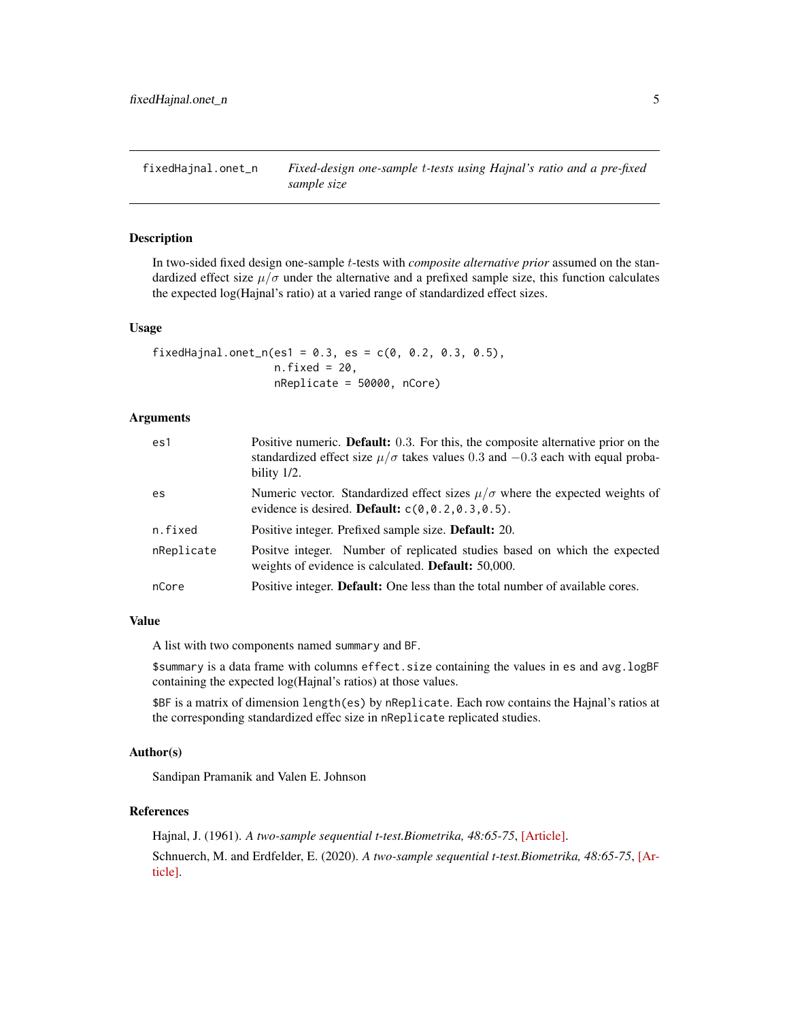<span id="page-4-0"></span>fixedHajnal.onet\_n *Fixed-design one-sample* t*-tests using Hajnal's ratio and a pre-fixed sample size*

## Description

In two-sided fixed design one-sample t-tests with *composite alternative prior* assumed on the standardized effect size  $\mu/\sigma$  under the alternative and a prefixed sample size, this function calculates the expected log(Hajnal's ratio) at a varied range of standardized effect sizes.

#### Usage

```
fixedHajnal.onet_n(es1 = 0.3, es = c(0, 0.2, 0.3, 0.5),
                   n.fixed = 20,nReplicate = 50000, nCore)
```
#### Arguments

| es1        | Positive numeric. <b>Default:</b> 0.3. For this, the composite alternative prior on the<br>standardized effect size $\mu/\sigma$ takes values 0.3 and $-0.3$ each with equal proba-<br>bility 1/2. |
|------------|----------------------------------------------------------------------------------------------------------------------------------------------------------------------------------------------------|
| es         | Numeric vector. Standardized effect sizes $\mu/\sigma$ where the expected weights of<br>evidence is desired. <b>Default:</b> $c(0, 0.2, 0.3, 0.5)$ .                                               |
| n.fixed    | Positive integer. Prefixed sample size. <b>Default:</b> 20.                                                                                                                                        |
| nReplicate | Positve integer. Number of replicated studies based on which the expected<br>weights of evidence is calculated. <b>Default:</b> 50,000.                                                            |
| nCore      | Positive integer. Default: One less than the total number of available cores.                                                                                                                      |

#### Value

A list with two components named summary and BF.

\$summary is a data frame with columns effect.size containing the values in es and avg.logBF containing the expected log(Hajnal's ratios) at those values.

\$BF is a matrix of dimension length(es) by nReplicate. Each row contains the Hajnal's ratios at the corresponding standardized effec size in nReplicate replicated studies.

## Author(s)

Sandipan Pramanik and Valen E. Johnson

#### References

Hajnal, J. (1961). *A two-sample sequential t-test.Biometrika, 48:65-75*, [\[Article\].](https://academic.oup.com/biomet/article-abstract/48/1-2/65/227215) Schnuerch, M. and Erdfelder, E. (2020). *A two-sample sequential t-test.Biometrika, 48:65-75*, [\[Ar](https://martinschnuerch.com/wp-content/uploads/2020/08/Schnuerch_Erdfelder_2020.pdf)[ticle\].](https://martinschnuerch.com/wp-content/uploads/2020/08/Schnuerch_Erdfelder_2020.pdf)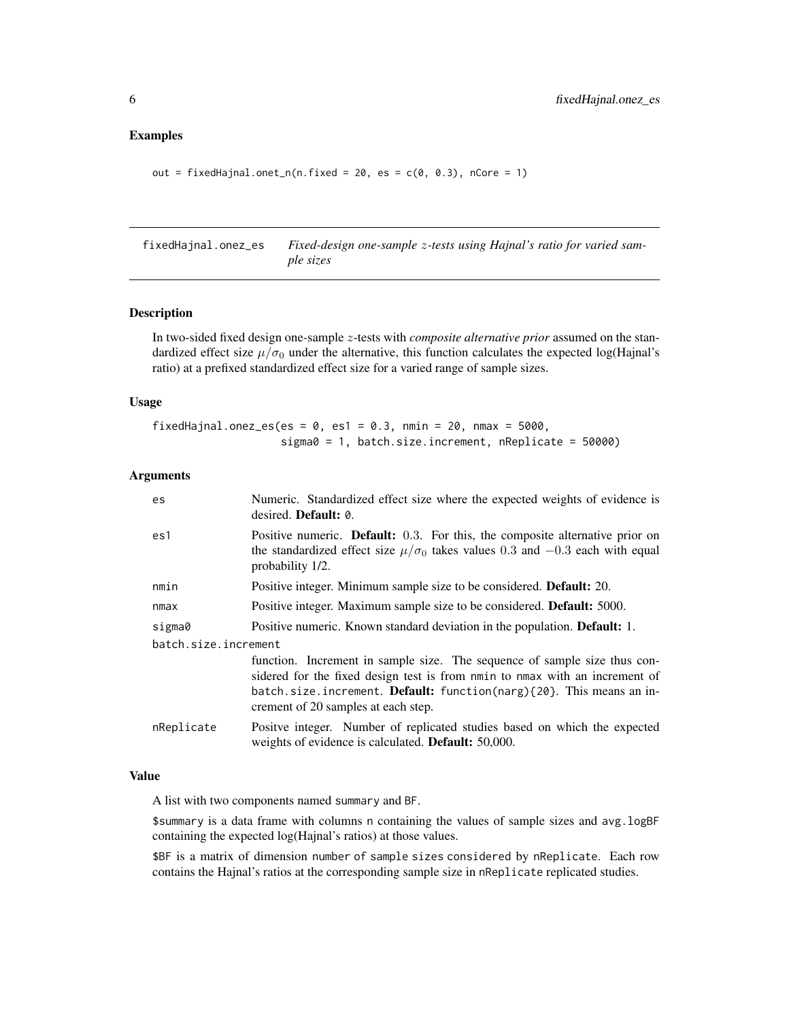## <span id="page-5-0"></span>Examples

```
out = fixedHajnal.onet_n(n.fixed = 20, es = c(0, 0.3), nCore = 1)
```
fixedHajnal.onez\_es *Fixed-design one-sample* z*-tests using Hajnal's ratio for varied sample sizes*

## Description

In two-sided fixed design one-sample z-tests with *composite alternative prior* assumed on the standardized effect size  $\mu/\sigma_0$  under the alternative, this function calculates the expected log(Hajnal's ratio) at a prefixed standardized effect size for a varied range of sample sizes.

# Usage

```
fixedHajnal.onez_es(es = 0, es1 = 0.3, nmin = 20, nmax = 5000,
                    sigma0 = 1, batch.size.increment, nReplicate = 50000)
```
#### Arguments

| es                   | Numeric. Standardized effect size where the expected weights of evidence is<br>desired. <b>Default:</b> 0.                                                                                                                                                                    |
|----------------------|-------------------------------------------------------------------------------------------------------------------------------------------------------------------------------------------------------------------------------------------------------------------------------|
| es1                  | Positive numeric. Default: 0.3. For this, the composite alternative prior on<br>the standardized effect size $\mu/\sigma_0$ takes values 0.3 and -0.3 each with equal<br>probability 1/2.                                                                                     |
| nmin                 | Positive integer. Minimum sample size to be considered. <b>Default:</b> 20.                                                                                                                                                                                                   |
| nmax                 | Positive integer. Maximum sample size to be considered. <b>Default:</b> 5000.                                                                                                                                                                                                 |
| sigma0               | Positive numeric. Known standard deviation in the population. <b>Default:</b> 1.                                                                                                                                                                                              |
| batch.size.increment |                                                                                                                                                                                                                                                                               |
|                      | function. Increment in sample size. The sequence of sample size thus con-<br>sidered for the fixed design test is from nmin to nmax with an increment of<br>batch.size.increment. Default: function(narg) $\{20\}$ . This means an in-<br>crement of 20 samples at each step. |
| nReplicate           | Positve integer. Number of replicated studies based on which the expected<br>weights of evidence is calculated. <b>Default:</b> 50,000.                                                                                                                                       |

#### Value

A list with two components named summary and BF.

\$summary is a data frame with columns n containing the values of sample sizes and avg.logBF containing the expected log(Hajnal's ratios) at those values.

\$BF is a matrix of dimension number of sample sizes considered by nReplicate. Each row contains the Hajnal's ratios at the corresponding sample size in nReplicate replicated studies.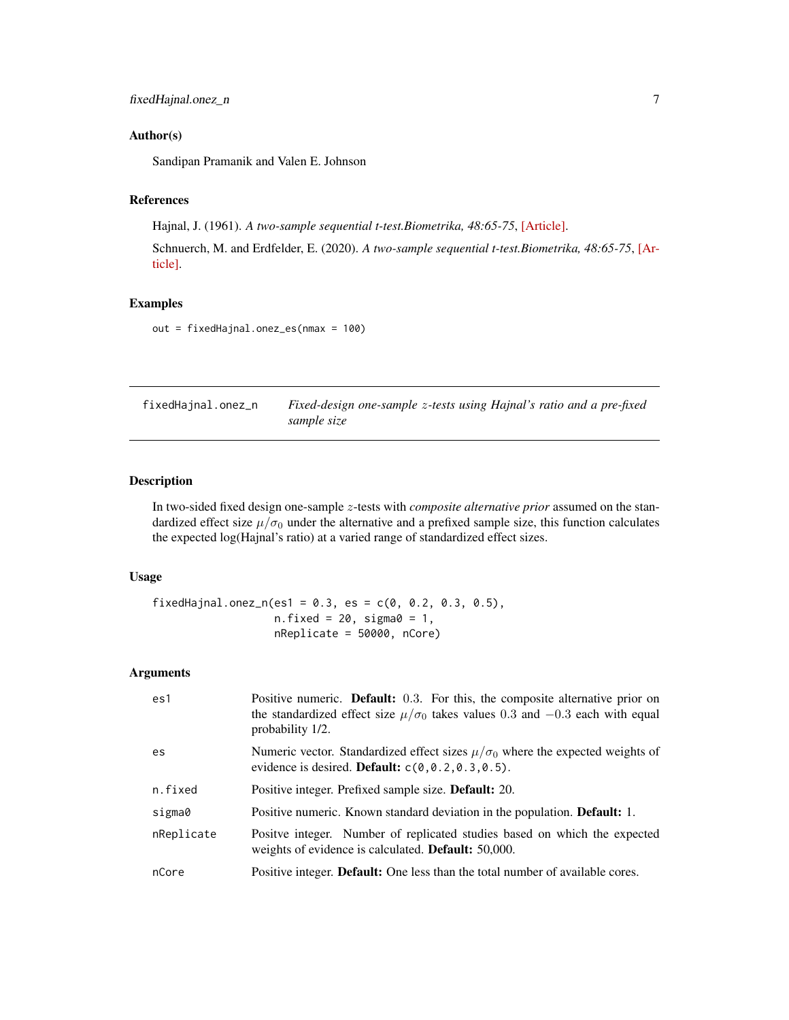## <span id="page-6-0"></span>Author(s)

Sandipan Pramanik and Valen E. Johnson

#### References

Hajnal, J. (1961). *A two-sample sequential t-test.Biometrika, 48:65-75*, [\[Article\].](https://academic.oup.com/biomet/article-abstract/48/1-2/65/227215)

Schnuerch, M. and Erdfelder, E. (2020). *A two-sample sequential t-test.Biometrika, 48:65-75*, [\[Ar](https://martinschnuerch.com/wp-content/uploads/2020/08/Schnuerch_Erdfelder_2020.pdf)[ticle\].](https://martinschnuerch.com/wp-content/uploads/2020/08/Schnuerch_Erdfelder_2020.pdf)

## Examples

out = fixedHajnal.onez\_es(nmax = 100)

fixedHajnal.onez\_n *Fixed-design one-sample* z*-tests using Hajnal's ratio and a pre-fixed sample size*

# Description

In two-sided fixed design one-sample z-tests with *composite alternative prior* assumed on the standardized effect size  $\mu/\sigma_0$  under the alternative and a prefixed sample size, this function calculates the expected log(Hajnal's ratio) at a varied range of standardized effect sizes.

#### Usage

fixedHajnal.onez\_n(es1 = 0.3, es =  $c(0, 0.2, 0.3, 0.5)$ , n.fixed =  $20$ , sigma $0 = 1$ , nReplicate = 50000, nCore)

| es1        | Positive numeric. <b>Default:</b> 0.3. For this, the composite alternative prior on<br>the standardized effect size $\mu/\sigma_0$ takes values 0.3 and -0.3 each with equal<br>probability 1/2. |
|------------|--------------------------------------------------------------------------------------------------------------------------------------------------------------------------------------------------|
| es         | Numeric vector. Standardized effect sizes $\mu/\sigma_0$ where the expected weights of<br>evidence is desired. <b>Default:</b> $c(0, 0.2, 0.3, 0.5)$ .                                           |
| n.fixed    | Positive integer. Prefixed sample size. <b>Default:</b> 20.                                                                                                                                      |
| sigma0     | Positive numeric. Known standard deviation in the population. <b>Default:</b> 1.                                                                                                                 |
| nReplicate | Positive integer. Number of replicated studies based on which the expected<br>weights of evidence is calculated. <b>Default:</b> 50,000.                                                         |
| nCore      | Positive integer. <b>Default:</b> One less than the total number of available cores.                                                                                                             |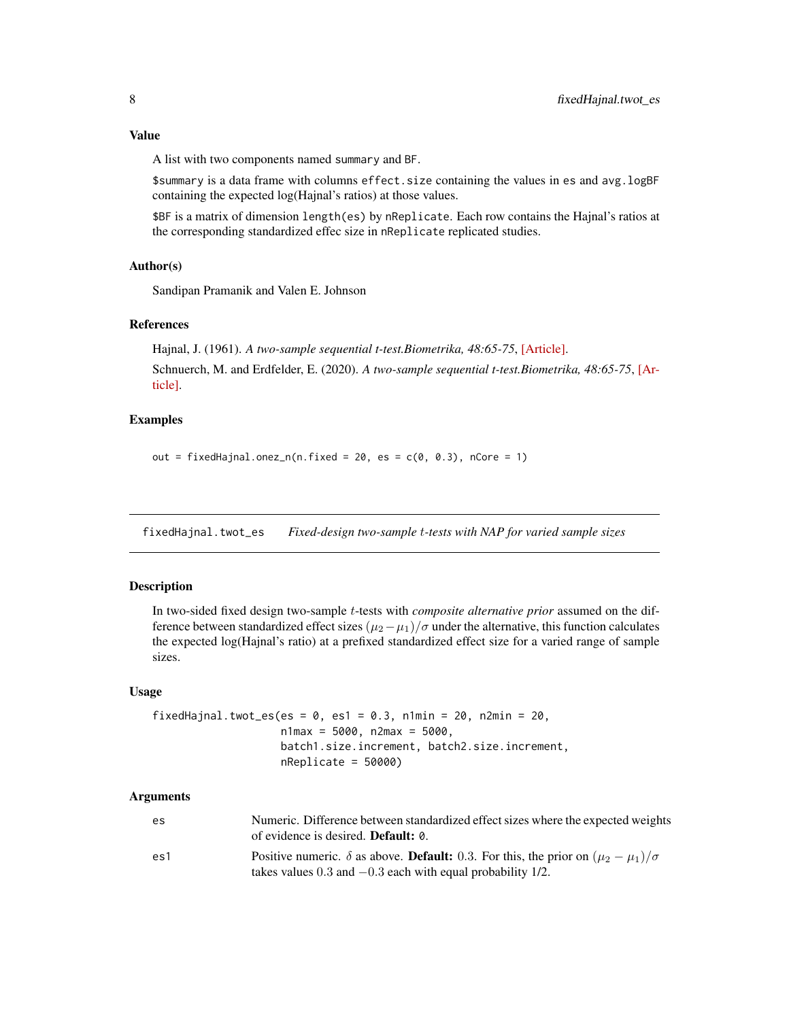<span id="page-7-0"></span>A list with two components named summary and BF.

\$summary is a data frame with columns effect.size containing the values in es and avg.logBF containing the expected log(Hajnal's ratios) at those values.

\$BF is a matrix of dimension length(es) by nReplicate. Each row contains the Hajnal's ratios at the corresponding standardized effec size in nReplicate replicated studies.

## Author(s)

Sandipan Pramanik and Valen E. Johnson

## References

Hajnal, J. (1961). *A two-sample sequential t-test.Biometrika, 48:65-75*, [\[Article\].](https://academic.oup.com/biomet/article-abstract/48/1-2/65/227215) Schnuerch, M. and Erdfelder, E. (2020). *A two-sample sequential t-test.Biometrika, 48:65-75*, [\[Ar](https://martinschnuerch.com/wp-content/uploads/2020/08/Schnuerch_Erdfelder_2020.pdf)[ticle\].](https://martinschnuerch.com/wp-content/uploads/2020/08/Schnuerch_Erdfelder_2020.pdf)

# Examples

out = fixedHajnal.onez\_n(n.fixed = 20, es =  $c(0, 0.3)$ , nCore = 1)

fixedHajnal.twot\_es *Fixed-design two-sample* t*-tests with NAP for varied sample sizes*

## Description

In two-sided fixed design two-sample t-tests with *composite alternative prior* assumed on the difference between standardized effect sizes  $(\mu_2 - \mu_1)/\sigma$  under the alternative, this function calculates the expected log(Hajnal's ratio) at a prefixed standardized effect size for a varied range of sample sizes.

#### Usage

```
fixedHajnal.twot_es(es = 0, es1 = 0.3, n1min = 20, n2min = 20,
                    n1max = 5000, n2max = 5000,
                    batch1.size.increment, batch2.size.increment,
                    nReplicate = 50000)
```

| es  | Numeric. Difference between standardized effect sizes where the expected weights<br>of evidence is desired. <b>Default:</b> 0.                                                 |
|-----|--------------------------------------------------------------------------------------------------------------------------------------------------------------------------------|
| es1 | Positive numeric. $\delta$ as above. <b>Default:</b> 0.3. For this, the prior on $(\mu_2 - \mu_1)/\sigma$<br>takes values $0.3$ and $-0.3$ each with equal probability $1/2$ . |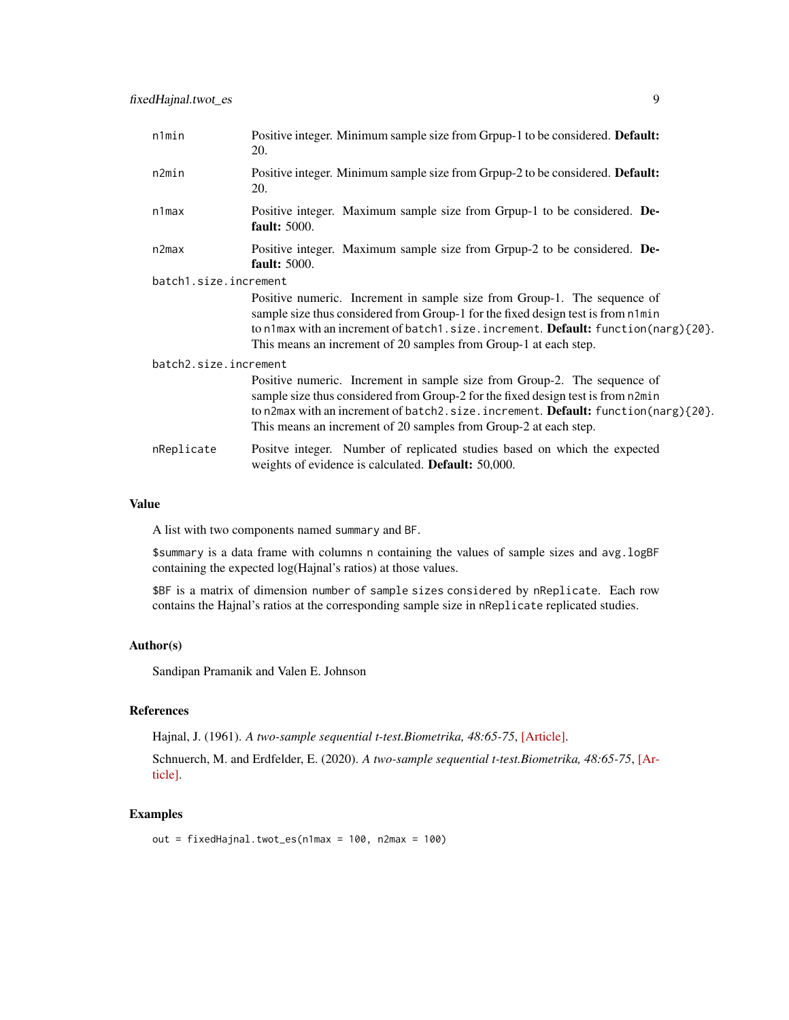| n1min                 | Positive integer. Minimum sample size from Grpup-1 to be considered. Default:<br>20.                                                                                                                                                                                                                                  |
|-----------------------|-----------------------------------------------------------------------------------------------------------------------------------------------------------------------------------------------------------------------------------------------------------------------------------------------------------------------|
| n2min                 | Positive integer. Minimum sample size from Grpup-2 to be considered. Default:<br>20.                                                                                                                                                                                                                                  |
| $n1$ max              | Positive integer. Maximum sample size from Grpup-1 to be considered. De-<br><b>fault:</b> 5000.                                                                                                                                                                                                                       |
| n2max                 | Positive integer. Maximum sample size from Grpup-2 to be considered. De-<br><b>fault:</b> 5000.                                                                                                                                                                                                                       |
| batch1.size.increment |                                                                                                                                                                                                                                                                                                                       |
|                       | Positive numeric. Increment in sample size from Group-1. The sequence of<br>sample size thus considered from Group-1 for the fixed design test is from n1min<br>to n1max with an increment of batch1.size.increment. Default: function(narg){20}.<br>This means an increment of 20 samples from Group-1 at each step. |
| batch2.size.increment |                                                                                                                                                                                                                                                                                                                       |
|                       | Positive numeric. Increment in sample size from Group-2. The sequence of<br>sample size thus considered from Group-2 for the fixed design test is from n2min<br>to n2max with an increment of batch2.size.increment. Default: function(narg){20}.<br>This means an increment of 20 samples from Group-2 at each step. |
| nReplicate            | Positive integer. Number of replicated studies based on which the expected<br>weights of evidence is calculated. Default: 50,000.                                                                                                                                                                                     |

A list with two components named summary and BF.

\$summary is a data frame with columns n containing the values of sample sizes and avg.logBF containing the expected log(Hajnal's ratios) at those values.

\$BF is a matrix of dimension number of sample sizes considered by nReplicate. Each row contains the Hajnal's ratios at the corresponding sample size in nReplicate replicated studies.

# Author(s)

Sandipan Pramanik and Valen E. Johnson

## References

Hajnal, J. (1961). *A two-sample sequential t-test.Biometrika, 48:65-75*, [\[Article\].](https://academic.oup.com/biomet/article-abstract/48/1-2/65/227215)

Schnuerch, M. and Erdfelder, E. (2020). *A two-sample sequential t-test.Biometrika, 48:65-75*, [\[Ar](https://martinschnuerch.com/wp-content/uploads/2020/08/Schnuerch_Erdfelder_2020.pdf)[ticle\].](https://martinschnuerch.com/wp-content/uploads/2020/08/Schnuerch_Erdfelder_2020.pdf)

# Examples

out = fixedHajnal.twot\_es(n1max = 100, n2max = 100)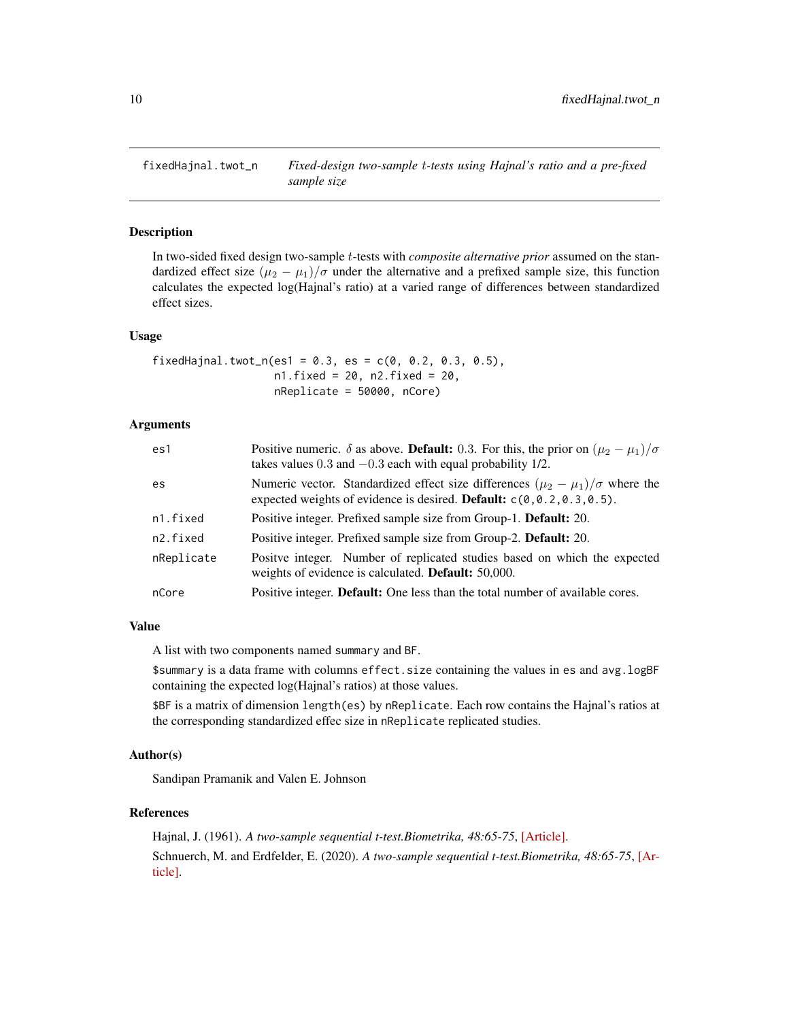<span id="page-9-0"></span>

# Description

In two-sided fixed design two-sample t-tests with *composite alternative prior* assumed on the standardized effect size  $(\mu_2 - \mu_1)/\sigma$  under the alternative and a prefixed sample size, this function calculates the expected log(Hajnal's ratio) at a varied range of differences between standardized effect sizes.

#### Usage

fixedHajnal.twot\_n(es1 = 0.3, es =  $c(0, 0.2, 0.3, 0.5)$ , n1.fixed = 20, n2.fixed = 20, nReplicate = 50000, nCore)

# Arguments

| es1        | Positive numeric. $\delta$ as above. <b>Default:</b> 0.3. For this, the prior on $(\mu_2 - \mu_1)/\sigma$<br>takes values $0.3$ and $-0.3$ each with equal probability $1/2$ . |
|------------|--------------------------------------------------------------------------------------------------------------------------------------------------------------------------------|
| es         | Numeric vector. Standardized effect size differences $(\mu_2 - \mu_1)/\sigma$ where the<br>expected weights of evidence is desired. <b>Default:</b> $c(0, 0.2, 0.3, 0.5)$ .    |
| n1.fixed   | Positive integer. Prefixed sample size from Group-1. <b>Default:</b> 20.                                                                                                       |
| n2.fixed   | Positive integer. Prefixed sample size from Group-2. Default: 20.                                                                                                              |
| nReplicate | Positive integer. Number of replicated studies based on which the expected<br>weights of evidence is calculated. Default: 50,000.                                              |
| nCore      | Positive integer. Default: One less than the total number of available cores.                                                                                                  |

## Value

A list with two components named summary and BF.

\$summary is a data frame with columns effect.size containing the values in es and avg.logBF containing the expected log(Hajnal's ratios) at those values.

\$BF is a matrix of dimension length(es) by nReplicate. Each row contains the Hajnal's ratios at the corresponding standardized effec size in nReplicate replicated studies.

## Author(s)

Sandipan Pramanik and Valen E. Johnson

#### References

Hajnal, J. (1961). *A two-sample sequential t-test.Biometrika, 48:65-75*, [\[Article\].](https://academic.oup.com/biomet/article-abstract/48/1-2/65/227215) Schnuerch, M. and Erdfelder, E. (2020). *A two-sample sequential t-test.Biometrika, 48:65-75*, [\[Ar](https://martinschnuerch.com/wp-content/uploads/2020/08/Schnuerch_Erdfelder_2020.pdf)[ticle\].](https://martinschnuerch.com/wp-content/uploads/2020/08/Schnuerch_Erdfelder_2020.pdf)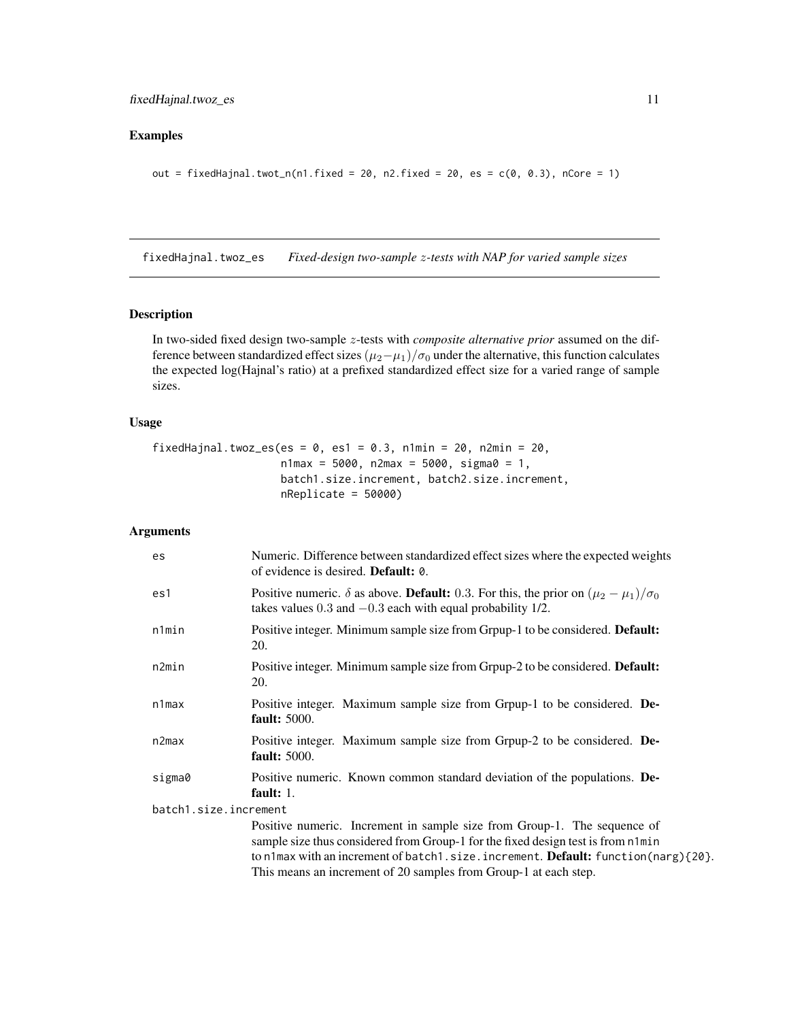# <span id="page-10-0"></span>Examples

```
out = fixedHajnal.twot_n(n1.fixed = 20, n2.fixed = 20, es = c(0, 0.3), nCore = 1)
```
fixedHajnal.twoz\_es *Fixed-design two-sample* z*-tests with NAP for varied sample sizes*

## Description

In two-sided fixed design two-sample z-tests with *composite alternative prior* assumed on the difference between standardized effect sizes  $(\mu_2-\mu_1)/\sigma_0$  under the alternative, this function calculates the expected log(Hajnal's ratio) at a prefixed standardized effect size for a varied range of sample sizes.

## Usage

```
fixedHajnal.twoz_es(es = 0, es1 = 0.3, n1min = 20, n2min = 20,
                   n1max = 5000, n2max = 5000, signa0 = 1,
                   batch1.size.increment, batch2.size.increment,
                    nReplicate = 50000)
```

| es                    | Numeric. Difference between standardized effect sizes where the expected weights<br>of evidence is desired. <b>Default:</b> 0.                                                                                                                                                                                                     |
|-----------------------|------------------------------------------------------------------------------------------------------------------------------------------------------------------------------------------------------------------------------------------------------------------------------------------------------------------------------------|
| es1                   | Positive numeric. $\delta$ as above. <b>Default:</b> 0.3. For this, the prior on $(\mu_2 - \mu_1)/\sigma_0$<br>takes values $0.3$ and $-0.3$ each with equal probability $1/2$ .                                                                                                                                                   |
| n1min                 | Positive integer. Minimum sample size from Grpup-1 to be considered. Default:<br>20.                                                                                                                                                                                                                                               |
| n2min                 | Positive integer. Minimum sample size from Grpup-2 to be considered. Default:<br>20.                                                                                                                                                                                                                                               |
| $n1$ max              | Positive integer. Maximum sample size from Grpup-1 to be considered. De-<br><b>fault:</b> 5000.                                                                                                                                                                                                                                    |
| n2max                 | Positive integer. Maximum sample size from Grpup-2 to be considered. De-<br><b>fault:</b> 5000.                                                                                                                                                                                                                                    |
| sigma0                | Positive numeric. Known common standard deviation of the populations. De-<br>fault: $1.$                                                                                                                                                                                                                                           |
| batch1.size.increment |                                                                                                                                                                                                                                                                                                                                    |
|                       | Positive numeric. Increment in sample size from Group-1. The sequence of<br>sample size thus considered from Group-1 for the fixed design test is from n1min<br>to n1max with an increment of batch1.size.increment. <b>Default:</b> function(narg) $\{20\}$ .<br>This means an increment of 20 samples from Group-1 at each step. |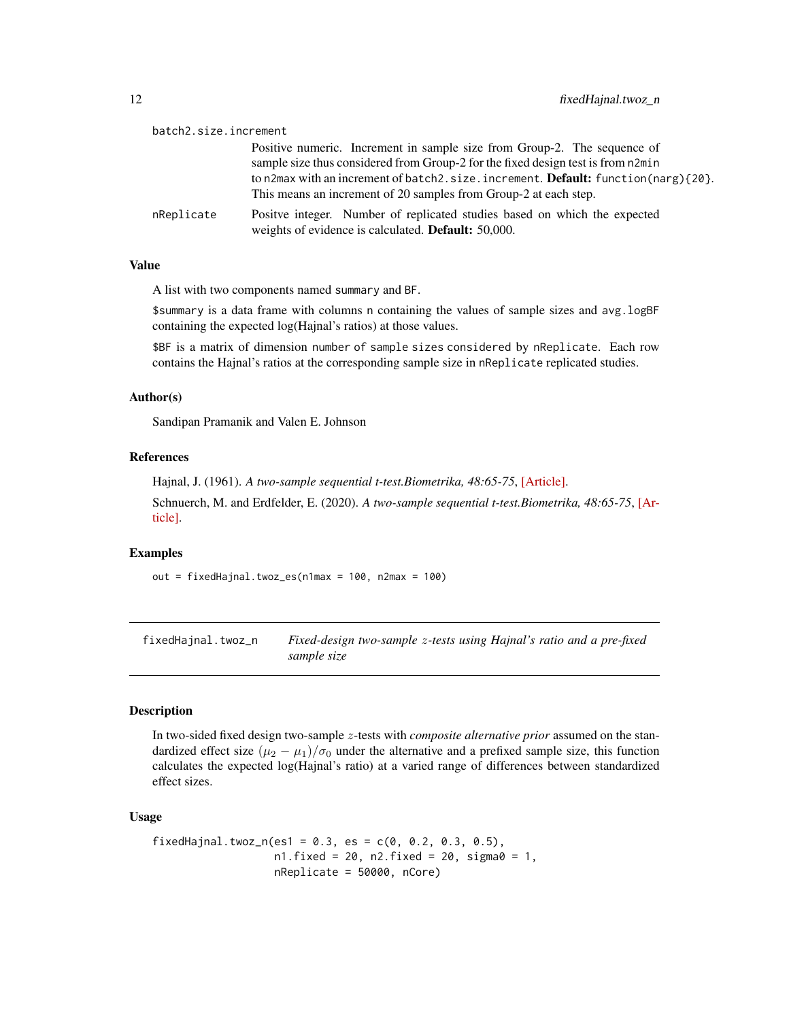<span id="page-11-0"></span>

| batch2.size.increment |                                                                                                                                         |
|-----------------------|-----------------------------------------------------------------------------------------------------------------------------------------|
|                       | Positive numeric. Increment in sample size from Group-2. The sequence of                                                                |
|                       | sample size thus considered from Group-2 for the fixed design test is from n2min                                                        |
|                       | to n2max with an increment of batch2.size.increment. <b>Default:</b> function(narg) $\{20\}$ .                                          |
|                       | This means an increment of 20 samples from Group-2 at each step.                                                                        |
| nReplicate            | Positve integer. Number of replicated studies based on which the expected<br>weights of evidence is calculated. <b>Default:</b> 50,000. |

A list with two components named summary and BF.

\$summary is a data frame with columns n containing the values of sample sizes and avg.logBF containing the expected log(Hajnal's ratios) at those values.

\$BF is a matrix of dimension number of sample sizes considered by nReplicate. Each row contains the Hajnal's ratios at the corresponding sample size in nReplicate replicated studies.

#### Author(s)

Sandipan Pramanik and Valen E. Johnson

#### References

Hajnal, J. (1961). *A two-sample sequential t-test.Biometrika, 48:65-75*, [\[Article\].](https://academic.oup.com/biomet/article-abstract/48/1-2/65/227215)

Schnuerch, M. and Erdfelder, E. (2020). *A two-sample sequential t-test.Biometrika, 48:65-75*, [\[Ar](https://martinschnuerch.com/wp-content/uploads/2020/08/Schnuerch_Erdfelder_2020.pdf)[ticle\].](https://martinschnuerch.com/wp-content/uploads/2020/08/Schnuerch_Erdfelder_2020.pdf)

#### Examples

out = fixedHajnal.twoz\_es(n1max = 100, n2max = 100)

fixedHajnal.twoz\_n *Fixed-design two-sample* z*-tests using Hajnal's ratio and a pre-fixed sample size*

## Description

In two-sided fixed design two-sample z-tests with *composite alternative prior* assumed on the standardized effect size  $(\mu_2 - \mu_1)/\sigma_0$  under the alternative and a prefixed sample size, this function calculates the expected log(Hajnal's ratio) at a varied range of differences between standardized effect sizes.

#### Usage

```
fixedHajnal.twoz_n(es1 = 0.3, es = c(0, 0.2, 0.3, 0.5),
                  n1.fixed = 20, n2.fixed = 20, sigma0 = 1,
                  nReplicate = 50000, nCore)
```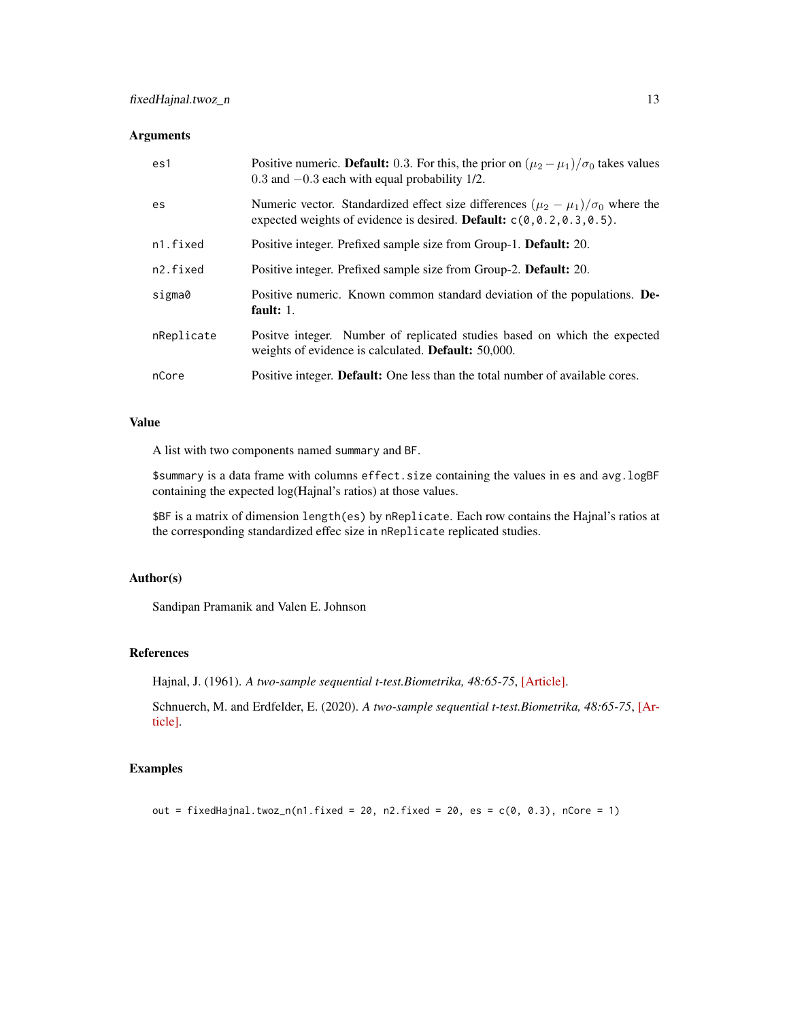## Arguments

| es1        | Positive numeric. <b>Default:</b> 0.3. For this, the prior on $(\mu_2 - \mu_1)/\sigma_0$ takes values<br>$0.3$ and $-0.3$ each with equal probability 1/2.                    |
|------------|-------------------------------------------------------------------------------------------------------------------------------------------------------------------------------|
| es         | Numeric vector. Standardized effect size differences $(\mu_2 - \mu_1)/\sigma_0$ where the<br>expected weights of evidence is desired. <b>Default:</b> $c(0, 0.2, 0.3, 0.5)$ . |
| n1.fixed   | Positive integer. Prefixed sample size from Group-1. <b>Default:</b> 20.                                                                                                      |
| n2.fixed   | Positive integer. Prefixed sample size from Group-2. Default: 20.                                                                                                             |
| sigma0     | Positive numeric. Known common standard deviation of the populations. De-<br>fault: $1$ .                                                                                     |
| nReplicate | Positve integer. Number of replicated studies based on which the expected<br>weights of evidence is calculated. <b>Default:</b> 50,000.                                       |
| nCore      | Positive integer. Default: One less than the total number of available cores.                                                                                                 |

## Value

A list with two components named summary and BF.

\$summary is a data frame with columns effect.size containing the values in es and avg.logBF containing the expected log(Hajnal's ratios) at those values.

\$BF is a matrix of dimension length(es) by nReplicate. Each row contains the Hajnal's ratios at the corresponding standardized effec size in nReplicate replicated studies.

## Author(s)

Sandipan Pramanik and Valen E. Johnson

## References

Hajnal, J. (1961). *A two-sample sequential t-test.Biometrika, 48:65-75*, [\[Article\].](https://academic.oup.com/biomet/article-abstract/48/1-2/65/227215)

Schnuerch, M. and Erdfelder, E. (2020). *A two-sample sequential t-test.Biometrika, 48:65-75*, [\[Ar](https://martinschnuerch.com/wp-content/uploads/2020/08/Schnuerch_Erdfelder_2020.pdf)[ticle\].](https://martinschnuerch.com/wp-content/uploads/2020/08/Schnuerch_Erdfelder_2020.pdf)

## Examples

out = fixedHajnal.twoz\_n(n1.fixed = 20, n2.fixed = 20, es =  $c(0, 0.3)$ , nCore = 1)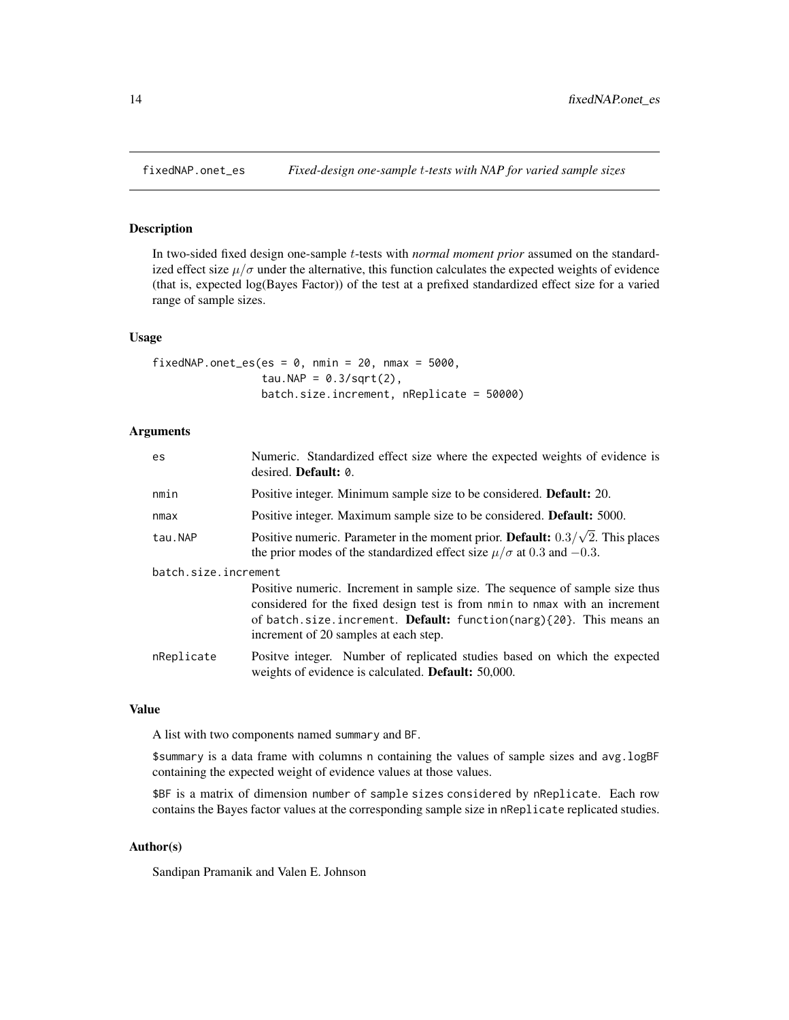<span id="page-13-0"></span>

# Description

In two-sided fixed design one-sample t-tests with *normal moment prior* assumed on the standardized effect size  $\mu/\sigma$  under the alternative, this function calculates the expected weights of evidence (that is, expected log(Bayes Factor)) of the test at a prefixed standardized effect size for a varied range of sample sizes.

#### Usage

```
fixedNAP.onet_es(es = 0, nmin = 20, nmax = 5000,
                 tau.NAP = 0.3/\sqrt{(2)},
                 batch.size.increment, nReplicate = 50000)
```
# Arguments

| Numeric. Standardized effect size where the expected weights of evidence is<br>desired. <b>Default:</b> 0.                                                                                                                                                                               |  |  |
|------------------------------------------------------------------------------------------------------------------------------------------------------------------------------------------------------------------------------------------------------------------------------------------|--|--|
| Positive integer. Minimum sample size to be considered. <b>Default:</b> 20.                                                                                                                                                                                                              |  |  |
| Positive integer. Maximum sample size to be considered. <b>Default:</b> 5000.                                                                                                                                                                                                            |  |  |
| Positive numeric. Parameter in the moment prior. <b>Default:</b> $0.3/\sqrt{2}$ . This places<br>the prior modes of the standardized effect size $\mu/\sigma$ at 0.3 and -0.3.                                                                                                           |  |  |
| batch.size.increment                                                                                                                                                                                                                                                                     |  |  |
| Positive numeric. Increment in sample size. The sequence of sample size thus<br>considered for the fixed design test is from nmin to nmax with an increment<br>of batch.size.increment. <b>Default:</b> function(narg) $\{20\}$ . This means an<br>increment of 20 samples at each step. |  |  |
| Positve integer. Number of replicated studies based on which the expected<br>weights of evidence is calculated. <b>Default:</b> 50,000.                                                                                                                                                  |  |  |
|                                                                                                                                                                                                                                                                                          |  |  |

#### Value

A list with two components named summary and BF.

\$summary is a data frame with columns n containing the values of sample sizes and avg.logBF containing the expected weight of evidence values at those values.

\$BF is a matrix of dimension number of sample sizes considered by nReplicate. Each row contains the Bayes factor values at the corresponding sample size in nReplicate replicated studies.

## Author(s)

Sandipan Pramanik and Valen E. Johnson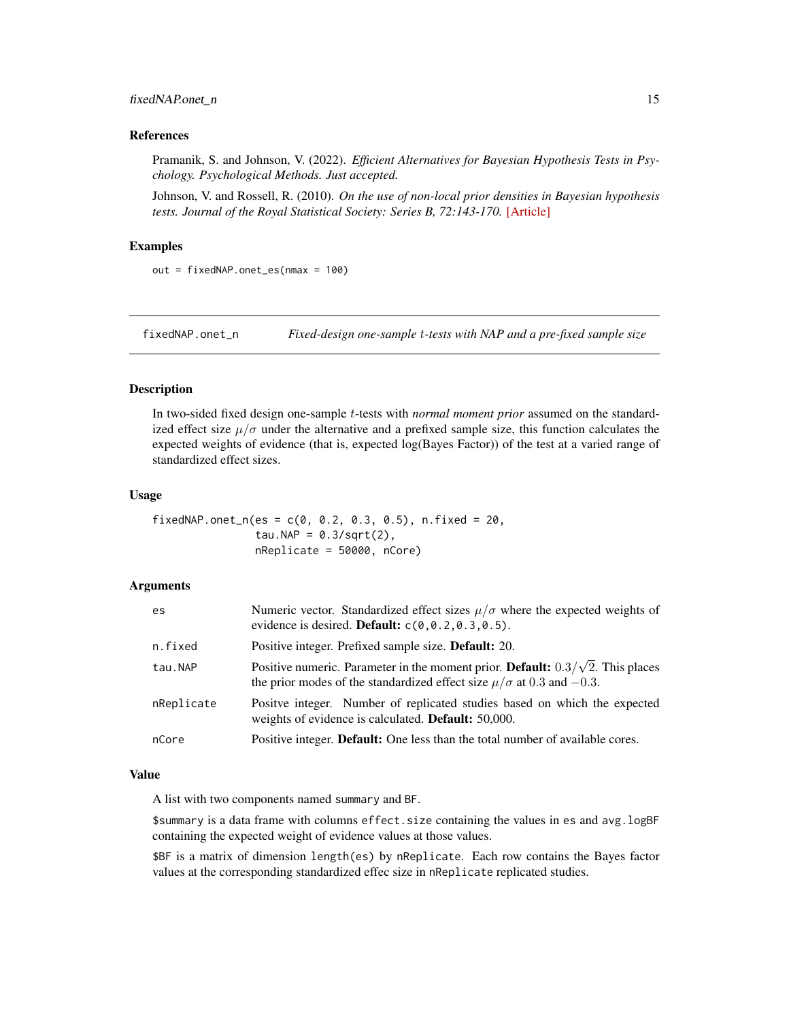#### <span id="page-14-0"></span>fixedNAP.onet\_n 15

#### References

Pramanik, S. and Johnson, V. (2022). *Efficient Alternatives for Bayesian Hypothesis Tests in Psychology. Psychological Methods. Just accepted.*

Johnson, V. and Rossell, R. (2010). *On the use of non-local prior densities in Bayesian hypothesis tests. Journal of the Royal Statistical Society: Series B, 72:143-170.* [\[Article\]](https://rss.onlinelibrary.wiley.com/doi/pdf/10.1111/j.1467-9868.2009.00730.x)

#### Examples

out = fixedNAP.onet\_es(nmax = 100)

fixedNAP.onet\_n *Fixed-design one-sample* t*-tests with NAP and a pre-fixed sample size*

## Description

In two-sided fixed design one-sample t-tests with *normal moment prior* assumed on the standardized effect size  $\mu/\sigma$  under the alternative and a prefixed sample size, this function calculates the expected weights of evidence (that is, expected log(Bayes Factor)) of the test at a varied range of standardized effect sizes.

#### Usage

fixedNAP.onet\_n(es =  $c(0, 0.2, 0.3, 0.5)$ , n.fixed =  $20$ , tau.NAP =  $0.3/\sqrt{(2)}$ , nReplicate = 50000, nCore)

## Arguments

| es         | Numeric vector. Standardized effect sizes $\mu/\sigma$ where the expected weights of<br>evidence is desired. <b>Default:</b> $c(0, 0.2, 0.3, 0.5)$ .                           |
|------------|--------------------------------------------------------------------------------------------------------------------------------------------------------------------------------|
| n.fixed    | Positive integer. Prefixed sample size. <b>Default:</b> 20.                                                                                                                    |
| tau.NAP    | Positive numeric. Parameter in the moment prior. <b>Default:</b> $0.3/\sqrt{2}$ . This places<br>the prior modes of the standardized effect size $\mu/\sigma$ at 0.3 and -0.3. |
| nReplicate | Positve integer. Number of replicated studies based on which the expected<br>weights of evidence is calculated. Default: 50,000.                                               |
| nCore      | Positive integer. <b>Default:</b> One less than the total number of available cores.                                                                                           |

#### Value

A list with two components named summary and BF.

\$summary is a data frame with columns effect.size containing the values in es and avg.logBF containing the expected weight of evidence values at those values.

\$BF is a matrix of dimension length(es) by nReplicate. Each row contains the Bayes factor values at the corresponding standardized effec size in nReplicate replicated studies.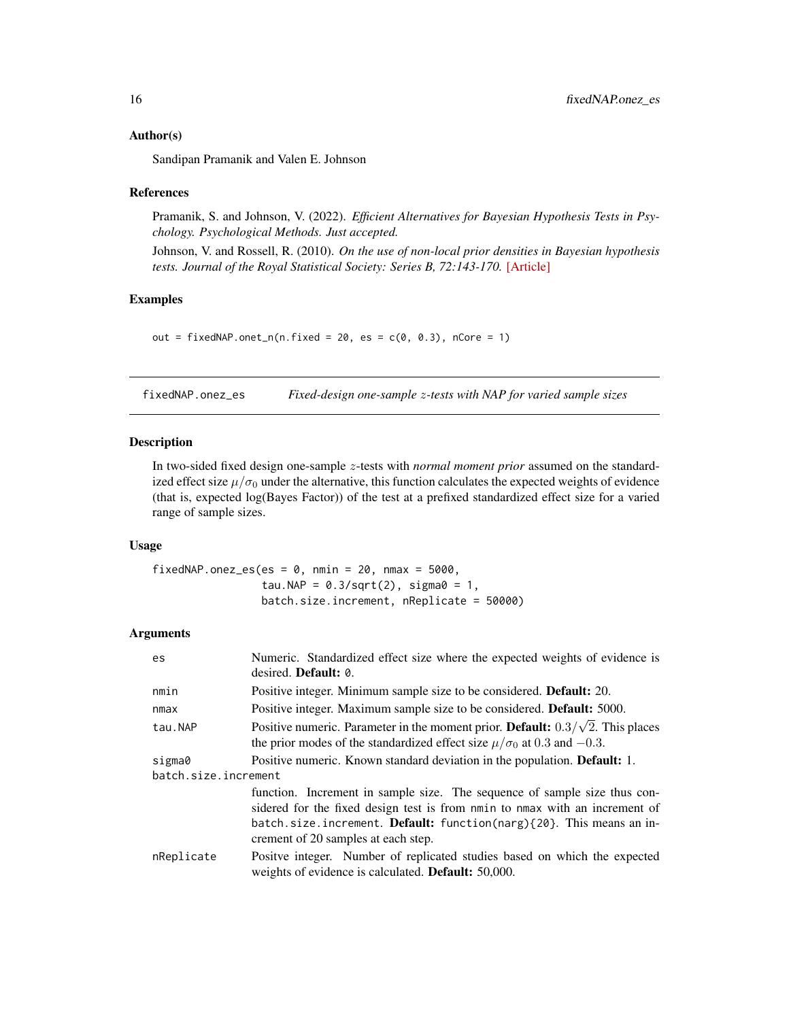#### <span id="page-15-0"></span>Author(s)

Sandipan Pramanik and Valen E. Johnson

#### References

Pramanik, S. and Johnson, V. (2022). *Efficient Alternatives for Bayesian Hypothesis Tests in Psychology. Psychological Methods. Just accepted.*

Johnson, V. and Rossell, R. (2010). *On the use of non-local prior densities in Bayesian hypothesis tests. Journal of the Royal Statistical Society: Series B, 72:143-170.* [\[Article\]](https://rss.onlinelibrary.wiley.com/doi/pdf/10.1111/j.1467-9868.2009.00730.x)

## Examples

out = fixedNAP.onet\_n(n.fixed =  $20$ , es =  $c(0, 0.3)$ , nCore = 1)

fixedNAP.onez\_es *Fixed-design one-sample* z*-tests with NAP for varied sample sizes*

#### Description

In two-sided fixed design one-sample z-tests with *normal moment prior* assumed on the standardized effect size  $\mu/\sigma_0$  under the alternative, this function calculates the expected weights of evidence (that is, expected log(Bayes Factor)) of the test at a prefixed standardized effect size for a varied range of sample sizes.

#### Usage

fixedNAP.onez\_es(es =  $0$ , nmin =  $20$ , nmax =  $5000$ , tau.NAP =  $0.3/\sqrt{2}$ , sigma $0 = 1$ , batch.size.increment, nReplicate = 50000)

| es.                  | Numeric. Standardized effect size where the expected weights of evidence is<br>desired. Default: 0.                                                                                                                                                                            |  |
|----------------------|--------------------------------------------------------------------------------------------------------------------------------------------------------------------------------------------------------------------------------------------------------------------------------|--|
| nmin                 | Positive integer. Minimum sample size to be considered. <b>Default:</b> 20.                                                                                                                                                                                                    |  |
| nmax                 | Positive integer. Maximum sample size to be considered. <b>Default:</b> 5000.                                                                                                                                                                                                  |  |
| tau.NAP              | Positive numeric. Parameter in the moment prior. <b>Default:</b> $0.3/\sqrt{2}$ . This places<br>the prior modes of the standardized effect size $\mu/\sigma_0$ at 0.3 and -0.3.                                                                                               |  |
| sigma0               | Positive numeric. Known standard deviation in the population. Default: 1.                                                                                                                                                                                                      |  |
| batch.size.increment |                                                                                                                                                                                                                                                                                |  |
|                      | function. Increment in sample size. The sequence of sample size thus con-<br>sidered for the fixed design test is from nmin to nmax with an increment of<br>batch.size.increment. <b>Default:</b> function(narg){20}. This means an in-<br>crement of 20 samples at each step. |  |
| nReplicate           | Positve integer. Number of replicated studies based on which the expected<br>weights of evidence is calculated. <b>Default:</b> 50,000.                                                                                                                                        |  |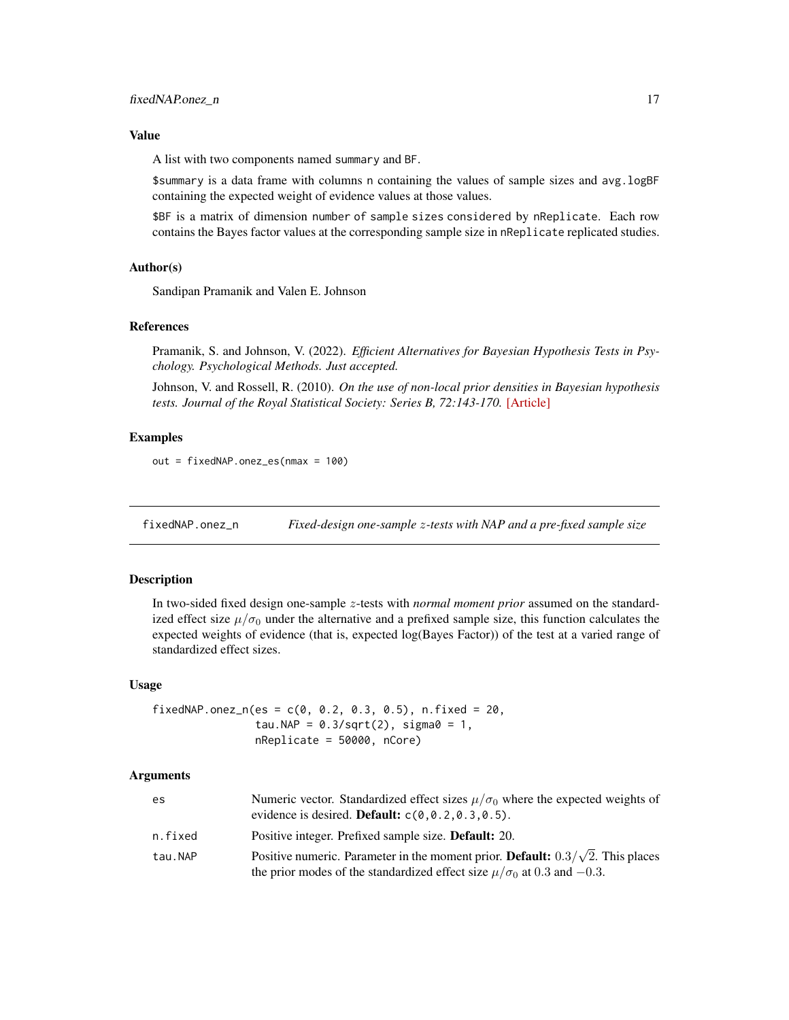<span id="page-16-0"></span>A list with two components named summary and BF.

\$summary is a data frame with columns n containing the values of sample sizes and avg.logBF containing the expected weight of evidence values at those values.

\$BF is a matrix of dimension number of sample sizes considered by nReplicate. Each row contains the Bayes factor values at the corresponding sample size in nReplicate replicated studies.

#### Author(s)

Sandipan Pramanik and Valen E. Johnson

# References

Pramanik, S. and Johnson, V. (2022). *Efficient Alternatives for Bayesian Hypothesis Tests in Psychology. Psychological Methods. Just accepted.*

Johnson, V. and Rossell, R. (2010). *On the use of non-local prior densities in Bayesian hypothesis tests. Journal of the Royal Statistical Society: Series B, 72:143-170.* [\[Article\]](https://rss.onlinelibrary.wiley.com/doi/pdf/10.1111/j.1467-9868.2009.00730.x)

#### Examples

out = fixedNAP.onez\_es(nmax = 100)

fixedNAP.onez\_n *Fixed-design one-sample* z*-tests with NAP and a pre-fixed sample size*

#### Description

In two-sided fixed design one-sample z-tests with *normal moment prior* assumed on the standardized effect size  $\mu/\sigma_0$  under the alternative and a prefixed sample size, this function calculates the expected weights of evidence (that is, expected log(Bayes Factor)) of the test at a varied range of standardized effect sizes.

#### Usage

fixedNAP.onez\_n(es =  $c(0, 0.2, 0.3, 0.5)$ , n.fixed = 20, tau.NAP =  $0.3/\sqrt{2}$ , sigma $0 = 1$ , nReplicate = 50000, nCore)

| es      | Numeric vector. Standardized effect sizes $\mu/\sigma_0$ where the expected weights of<br>evidence is desired. <b>Default:</b> $c(0, 0.2, 0.3, 0.5)$ .                           |
|---------|----------------------------------------------------------------------------------------------------------------------------------------------------------------------------------|
| n.fixed | Positive integer. Prefixed sample size. <b>Default:</b> 20.                                                                                                                      |
| tau.NAP | Positive numeric. Parameter in the moment prior. <b>Default:</b> $0.3/\sqrt{2}$ . This places<br>the prior modes of the standardized effect size $\mu/\sigma_0$ at 0.3 and -0.3. |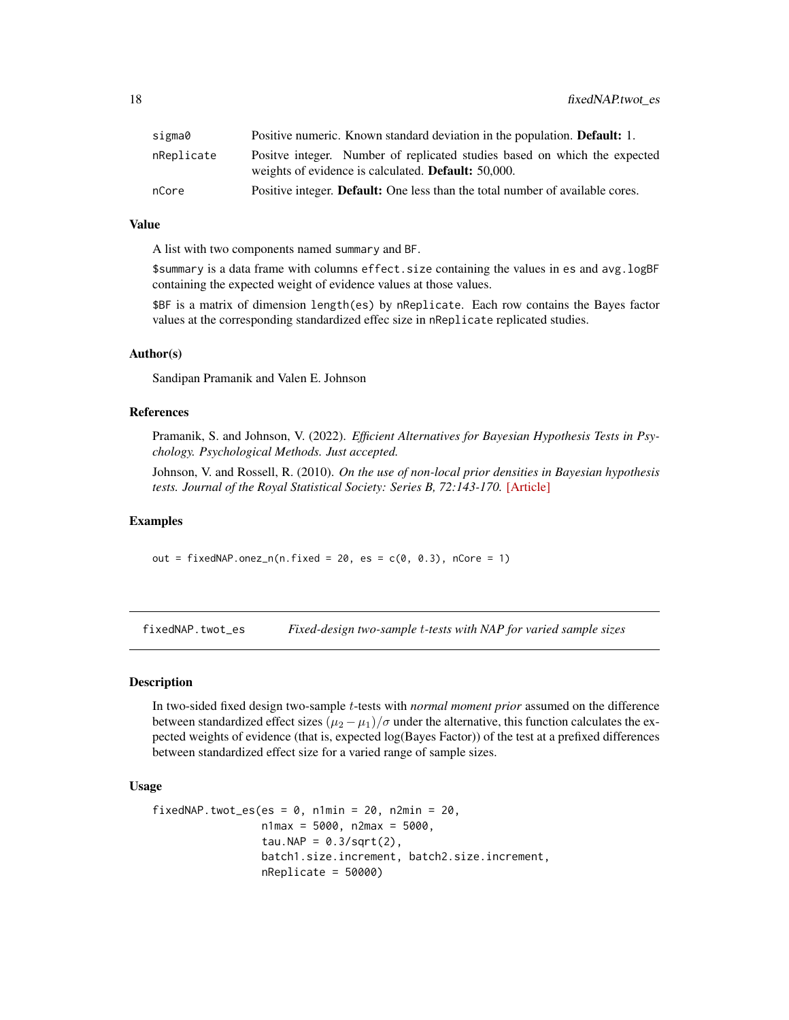<span id="page-17-0"></span>

| sigma0     | Positive numeric. Known standard deviation in the population. <b>Default:</b> 1.                                                        |
|------------|-----------------------------------------------------------------------------------------------------------------------------------------|
| nReplicate | Positve integer. Number of replicated studies based on which the expected<br>weights of evidence is calculated. <b>Default:</b> 50,000. |
| nCore      | Positive integer. Default: One less than the total number of available cores.                                                           |

A list with two components named summary and BF.

\$summary is a data frame with columns effect.size containing the values in es and avg.logBF containing the expected weight of evidence values at those values.

\$BF is a matrix of dimension length(es) by nReplicate. Each row contains the Bayes factor values at the corresponding standardized effec size in nReplicate replicated studies.

#### Author(s)

Sandipan Pramanik and Valen E. Johnson

## References

Pramanik, S. and Johnson, V. (2022). *Efficient Alternatives for Bayesian Hypothesis Tests in Psychology. Psychological Methods. Just accepted.*

Johnson, V. and Rossell, R. (2010). *On the use of non-local prior densities in Bayesian hypothesis tests. Journal of the Royal Statistical Society: Series B, 72:143-170.* [\[Article\]](https://rss.onlinelibrary.wiley.com/doi/pdf/10.1111/j.1467-9868.2009.00730.x)

#### Examples

out = fixedNAP.onez\_n(n.fixed =  $20$ , es =  $c(0, 0.3)$ , nCore = 1)

fixedNAP.twot\_es *Fixed-design two-sample* t*-tests with NAP for varied sample sizes*

#### Description

In two-sided fixed design two-sample t-tests with *normal moment prior* assumed on the difference between standardized effect sizes  $(\mu_2 - \mu_1)/\sigma$  under the alternative, this function calculates the expected weights of evidence (that is, expected log(Bayes Factor)) of the test at a prefixed differences between standardized effect size for a varied range of sample sizes.

## Usage

```
fixedNAP.twot_es(es = 0, n1min = 20, n2min = 20,
                 n1max = 5000, n2max = 5000,
                 tau.NAP = 0.3/\sqrt{(2)},
                 batch1.size.increment, batch2.size.increment,
                 nReplicate = 50000)
```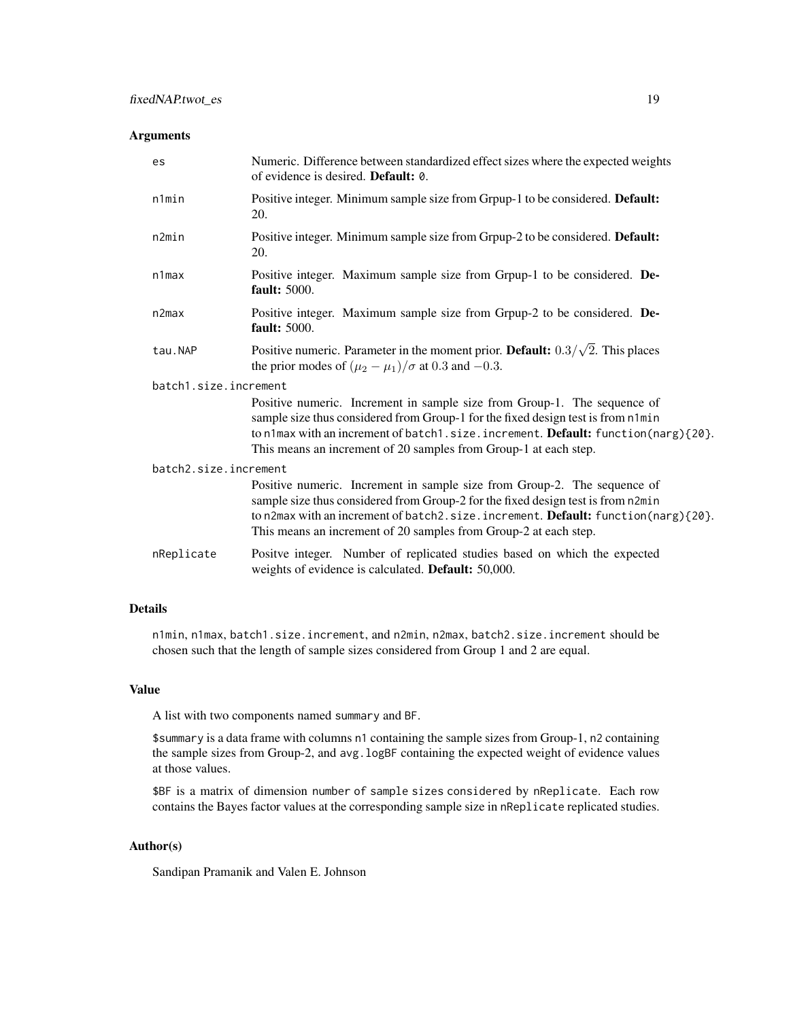## Arguments

| es                    | Numeric. Difference between standardized effect sizes where the expected weights<br>of evidence is desired. <b>Default:</b> 0.                                                                                                                                                                                                     |  |
|-----------------------|------------------------------------------------------------------------------------------------------------------------------------------------------------------------------------------------------------------------------------------------------------------------------------------------------------------------------------|--|
| n1min                 | Positive integer. Minimum sample size from Grpup-1 to be considered. Default:<br>20.                                                                                                                                                                                                                                               |  |
| n2min                 | Positive integer. Minimum sample size from Grpup-2 to be considered. Default:<br>20.                                                                                                                                                                                                                                               |  |
| $n1$ max              | Positive integer. Maximum sample size from Grpup-1 to be considered. De-<br><b>fault:</b> 5000.                                                                                                                                                                                                                                    |  |
| n2max                 | Positive integer. Maximum sample size from Grpup-2 to be considered. De-<br><b>fault:</b> 5000.                                                                                                                                                                                                                                    |  |
| tau.NAP               | Positive numeric. Parameter in the moment prior. <b>Default:</b> $0.3/\sqrt{2}$ . This places<br>the prior modes of $(\mu_2 - \mu_1)/\sigma$ at 0.3 and -0.3.                                                                                                                                                                      |  |
| batch1.size.increment |                                                                                                                                                                                                                                                                                                                                    |  |
|                       | Positive numeric. Increment in sample size from Group-1. The sequence of<br>sample size thus considered from Group-1 for the fixed design test is from n1min<br>to n1max with an increment of batch1.size.increment. Default: function(narg){20}.<br>This means an increment of 20 samples from Group-1 at each step.              |  |
| batch2.size.increment |                                                                                                                                                                                                                                                                                                                                    |  |
|                       | Positive numeric. Increment in sample size from Group-2. The sequence of<br>sample size thus considered from Group-2 for the fixed design test is from n2min<br>to n2max with an increment of batch2.size.increment. <b>Default:</b> function(narg) $\{20\}$ .<br>This means an increment of 20 samples from Group-2 at each step. |  |
| nReplicate            | Positve integer. Number of replicated studies based on which the expected<br>weights of evidence is calculated. Default: 50,000.                                                                                                                                                                                                   |  |

# Details

n1min, n1max, batch1.size.increment, and n2min, n2max, batch2.size.increment should be chosen such that the length of sample sizes considered from Group 1 and 2 are equal.

# Value

A list with two components named summary and BF.

\$summary is a data frame with columns n1 containing the sample sizes from Group-1, n2 containing the sample sizes from Group-2, and avg.logBF containing the expected weight of evidence values at those values.

\$BF is a matrix of dimension number of sample sizes considered by nReplicate. Each row contains the Bayes factor values at the corresponding sample size in nReplicate replicated studies.

## Author(s)

Sandipan Pramanik and Valen E. Johnson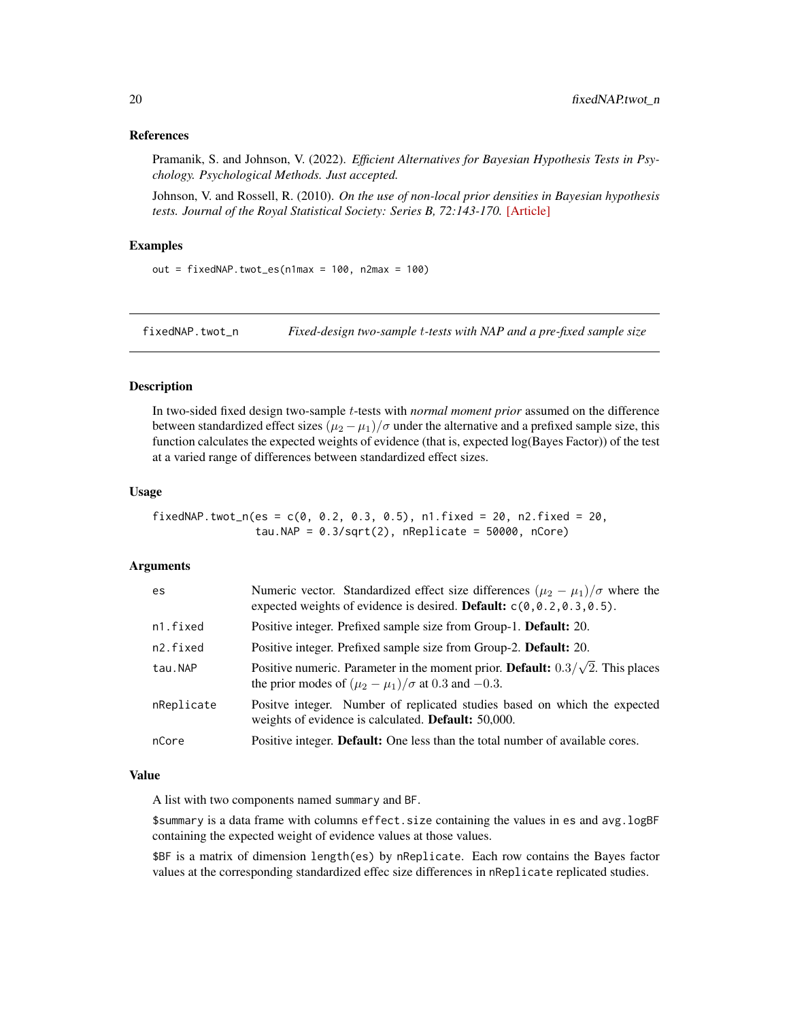#### <span id="page-19-0"></span>References

Pramanik, S. and Johnson, V. (2022). *Efficient Alternatives for Bayesian Hypothesis Tests in Psychology. Psychological Methods. Just accepted.*

Johnson, V. and Rossell, R. (2010). *On the use of non-local prior densities in Bayesian hypothesis tests. Journal of the Royal Statistical Society: Series B, 72:143-170.* [\[Article\]](https://rss.onlinelibrary.wiley.com/doi/pdf/10.1111/j.1467-9868.2009.00730.x)

# Examples

out = fixedNAP.twot\_es( $n1$ max = 100,  $n2$ max = 100)

fixedNAP.twot\_n *Fixed-design two-sample* t*-tests with NAP and a pre-fixed sample size*

#### Description

In two-sided fixed design two-sample t-tests with *normal moment prior* assumed on the difference between standardized effect sizes  $(\mu_2 - \mu_1)/\sigma$  under the alternative and a prefixed sample size, this function calculates the expected weights of evidence (that is, expected log(Bayes Factor)) of the test at a varied range of differences between standardized effect sizes.

#### Usage

$$
fixedNAP.twot_n(es = c(0, 0.2, 0.3, 0.5), n1.fixed = 20, n2.fixed = 20, tau.NAP = 0.3/sqrt(2), nReplace = 50000, nCore)
$$

## Arguments

| es.        | Numeric vector. Standardized effect size differences $(\mu_2 - \mu_1)/\sigma$ where the<br>expected weights of evidence is desired. <b>Default:</b> $c(0, 0.2, 0.3, 0.5)$ . |
|------------|-----------------------------------------------------------------------------------------------------------------------------------------------------------------------------|
| n1.fixed   | Positive integer. Prefixed sample size from Group-1. Default: 20.                                                                                                           |
| n2.fixed   | Positive integer. Prefixed sample size from Group-2. Default: 20.                                                                                                           |
| tau.NAP    | Positive numeric. Parameter in the moment prior. <b>Default:</b> $0.3/\sqrt{2}$ . This places<br>the prior modes of $(\mu_2 - \mu_1)/\sigma$ at 0.3 and -0.3.               |
| nReplicate | Positve integer. Number of replicated studies based on which the expected<br>weights of evidence is calculated. Default: 50,000.                                            |
| nCore      | Positive integer. Default: One less than the total number of available cores.                                                                                               |

#### Value

A list with two components named summary and BF.

\$summary is a data frame with columns effect.size containing the values in es and avg.logBF containing the expected weight of evidence values at those values.

\$BF is a matrix of dimension length(es) by nReplicate. Each row contains the Bayes factor values at the corresponding standardized effec size differences in nReplicate replicated studies.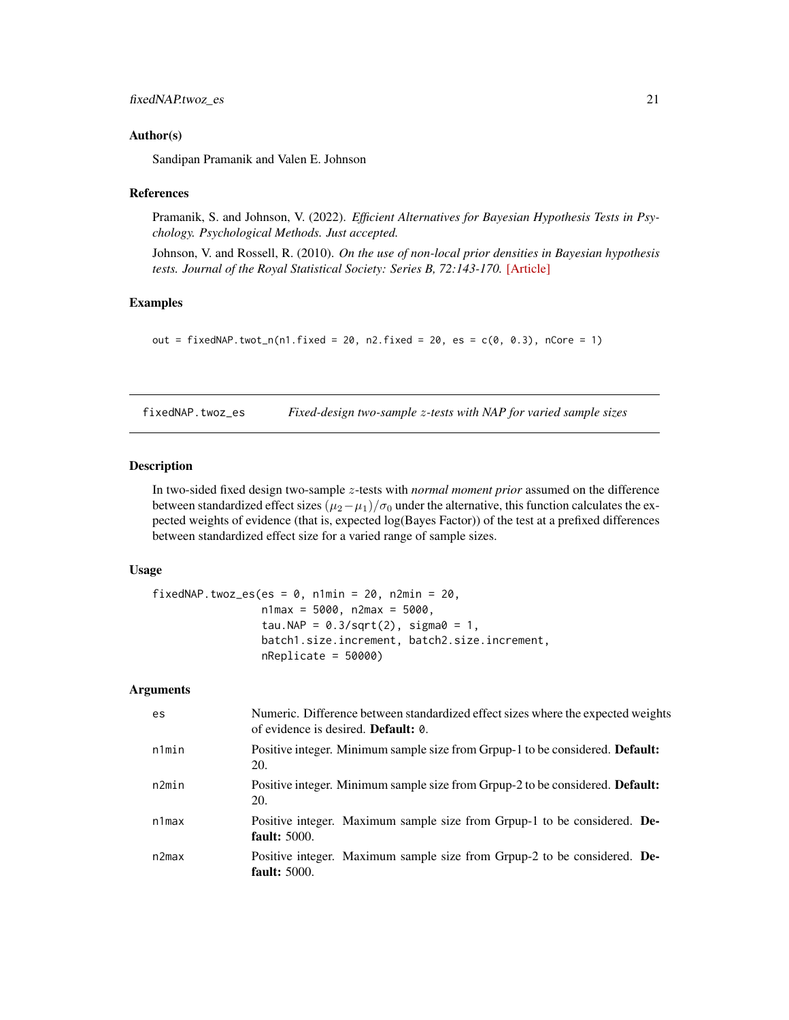## <span id="page-20-0"></span>fixedNAP.twoz\_es 21

#### Author(s)

Sandipan Pramanik and Valen E. Johnson

#### References

Pramanik, S. and Johnson, V. (2022). *Efficient Alternatives for Bayesian Hypothesis Tests in Psychology. Psychological Methods. Just accepted.*

Johnson, V. and Rossell, R. (2010). *On the use of non-local prior densities in Bayesian hypothesis tests. Journal of the Royal Statistical Society: Series B, 72:143-170.* [\[Article\]](https://rss.onlinelibrary.wiley.com/doi/pdf/10.1111/j.1467-9868.2009.00730.x)

## Examples

```
out = fixedNAP.twot_n(n1.fixed = 20, n2.fixed = 20, es = c(0, 0.3), nCore = 1)
```
fixedNAP.twoz\_es *Fixed-design two-sample* z*-tests with NAP for varied sample sizes*

# Description

In two-sided fixed design two-sample z-tests with *normal moment prior* assumed on the difference between standardized effect sizes  $(\mu_2-\mu_1)/\sigma_0$  under the alternative, this function calculates the expected weights of evidence (that is, expected log(Bayes Factor)) of the test at a prefixed differences between standardized effect size for a varied range of sample sizes.

## Usage

```
fixedNAP.twoz_es(es = 0, n1min = 20, n2min = 20,
                 n1max = 5000, n2max = 5000,
                 tau.NAP = 0.3/sqrt(2), sigma0 = 1,
                 batch1.size.increment, batch2.size.increment,
                 nReplicate = 50000)
```

| es    | Numeric. Difference between standardized effect sizes where the expected weights<br>of evidence is desired. <b>Default:</b> 0. |
|-------|--------------------------------------------------------------------------------------------------------------------------------|
| n1min | Positive integer. Minimum sample size from Grpup-1 to be considered. Default:<br>20.                                           |
| n2min | Positive integer. Minimum sample size from Grpup-2 to be considered. <b>Default:</b><br>20.                                    |
| n1max | Positive integer. Maximum sample size from Grpup-1 to be considered. De-<br><b>fault:</b> 5000.                                |
| n2max | Positive integer. Maximum sample size from Grpup-2 to be considered. De-<br>fault: $5000$ .                                    |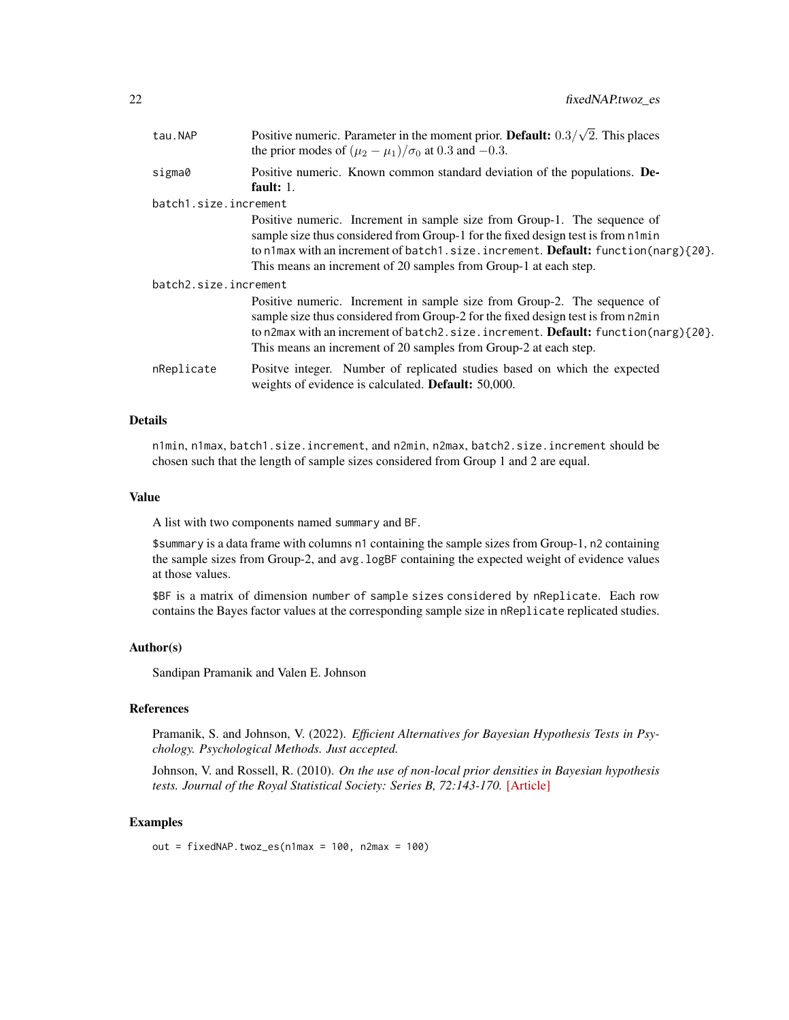| nη<br>∠∠ | fixedNAP.twoz es |
|----------|------------------|
|----------|------------------|

| tau.NAP               | Positive numeric. Parameter in the moment prior. Default: $0.3/\sqrt{2}$ . This places<br>the prior modes of $(\mu_2 - \mu_1)/\sigma_0$ at 0.3 and -0.3.                                                                                                                                                                    |  |
|-----------------------|-----------------------------------------------------------------------------------------------------------------------------------------------------------------------------------------------------------------------------------------------------------------------------------------------------------------------------|--|
| sigma0                | Positive numeric. Known common standard deviation of the populations. De-<br>fault: $1$ .                                                                                                                                                                                                                                   |  |
| batch1.size.increment |                                                                                                                                                                                                                                                                                                                             |  |
|                       | Positive numeric. Increment in sample size from Group-1. The sequence of<br>sample size thus considered from Group-1 for the fixed design test is from n1min<br>to n1max with an increment of batch1.size.increment. Default: function(narg) $\{20\}$ .<br>This means an increment of 20 samples from Group-1 at each step. |  |
| batch2.size.increment |                                                                                                                                                                                                                                                                                                                             |  |
|                       | Positive numeric. Increment in sample size from Group-2. The sequence of<br>sample size thus considered from Group-2 for the fixed design test is from n2min<br>to n2max with an increment of batch2.size.increment. Default: function(narg) $\{20\}$ .<br>This means an increment of 20 samples from Group-2 at each step. |  |
| nReplicate            | Positve integer. Number of replicated studies based on which the expected<br>weights of evidence is calculated. Default: 50,000.                                                                                                                                                                                            |  |

# Details

n1min, n1max, batch1.size.increment, and n2min, n2max, batch2.size.increment should be chosen such that the length of sample sizes considered from Group 1 and 2 are equal.

## Value

A list with two components named summary and BF.

\$summary is a data frame with columns n1 containing the sample sizes from Group-1, n2 containing the sample sizes from Group-2, and avg. logBF containing the expected weight of evidence values at those values.

\$BF is a matrix of dimension number of sample sizes considered by nReplicate. Each row contains the Bayes factor values at the corresponding sample size in nReplicate replicated studies.

#### Author(s)

Sandipan Pramanik and Valen E. Johnson

# References

Pramanik, S. and Johnson, V. (2022). *Efficient Alternatives for Bayesian Hypothesis Tests in Psychology. Psychological Methods. Just accepted.*

Johnson, V. and Rossell, R. (2010). *On the use of non-local prior densities in Bayesian hypothesis tests. Journal of the Royal Statistical Society: Series B, 72:143-170.* [\[Article\]](https://rss.onlinelibrary.wiley.com/doi/pdf/10.1111/j.1467-9868.2009.00730.x)

#### Examples

out =  $fixedNAP.twoz-es(n1max = 100, n2max = 100)$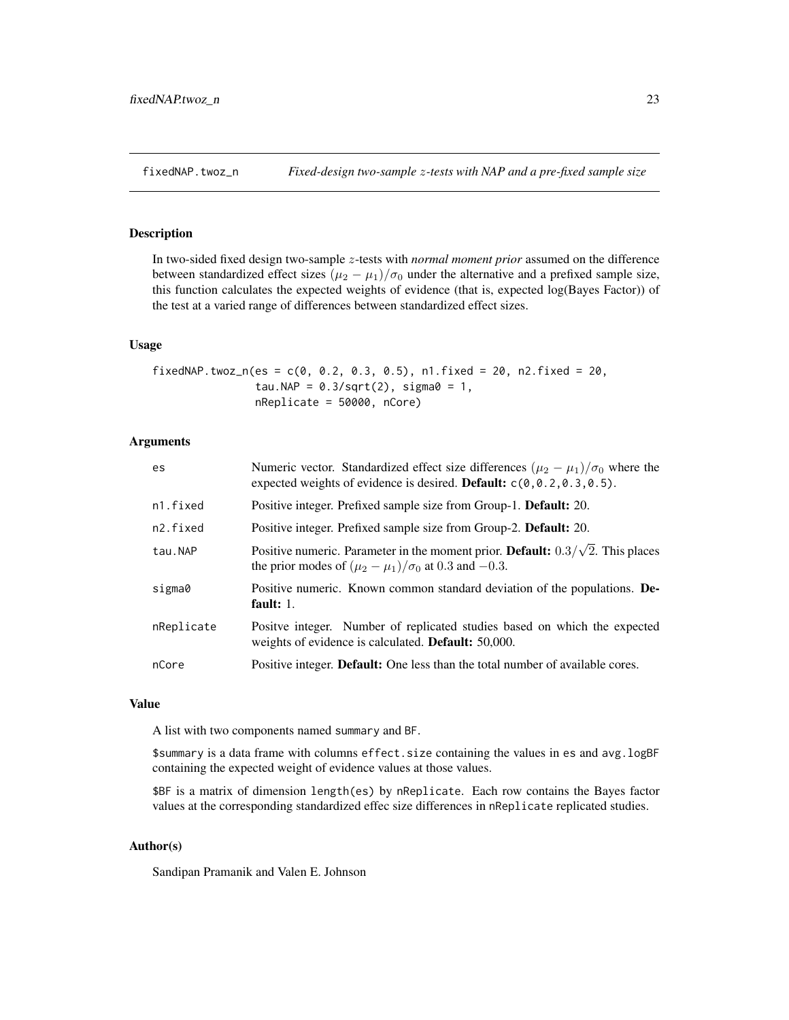# <span id="page-22-0"></span>Description

In two-sided fixed design two-sample z-tests with *normal moment prior* assumed on the difference between standardized effect sizes  $(\mu_2 - \mu_1)/\sigma_0$  under the alternative and a prefixed sample size, this function calculates the expected weights of evidence (that is, expected log(Bayes Factor)) of the test at a varied range of differences between standardized effect sizes.

#### Usage

fixedNAP.twoz\_n(es =  $c(0, 0.2, 0.3, 0.5)$ , n1.fixed = 20, n2.fixed = 20, tau.NAP =  $0.3/\sqrt{2}$ , sigma $0 = 1$ , nReplicate = 50000, nCore)

## Arguments

| es         | Numeric vector. Standardized effect size differences $(\mu_2 - \mu_1)/\sigma_0$ where the<br>expected weights of evidence is desired. Default: $c(0, 0.2, 0.3, 0.5)$ . |
|------------|------------------------------------------------------------------------------------------------------------------------------------------------------------------------|
| n1.fixed   | Positive integer. Prefixed sample size from Group-1. Default: 20.                                                                                                      |
| n2.fixed   | Positive integer. Prefixed sample size from Group-2. <b>Default:</b> 20.                                                                                               |
| tau.NAP    | Positive numeric. Parameter in the moment prior. <b>Default:</b> $0.3/\sqrt{2}$ . This places<br>the prior modes of $(\mu_2 - \mu_1)/\sigma_0$ at 0.3 and -0.3.        |
| sigma0     | Positive numeric. Known common standard deviation of the populations. De-<br>fault: $1.$                                                                               |
| nReplicate | Positve integer. Number of replicated studies based on which the expected<br>weights of evidence is calculated. <b>Default:</b> 50,000.                                |
| nCore      | Positive integer. Default: One less than the total number of available cores.                                                                                          |

## Value

A list with two components named summary and BF.

\$summary is a data frame with columns effect.size containing the values in es and avg.logBF containing the expected weight of evidence values at those values.

\$BF is a matrix of dimension length(es) by nReplicate. Each row contains the Bayes factor values at the corresponding standardized effec size differences in nReplicate replicated studies.

#### Author(s)

Sandipan Pramanik and Valen E. Johnson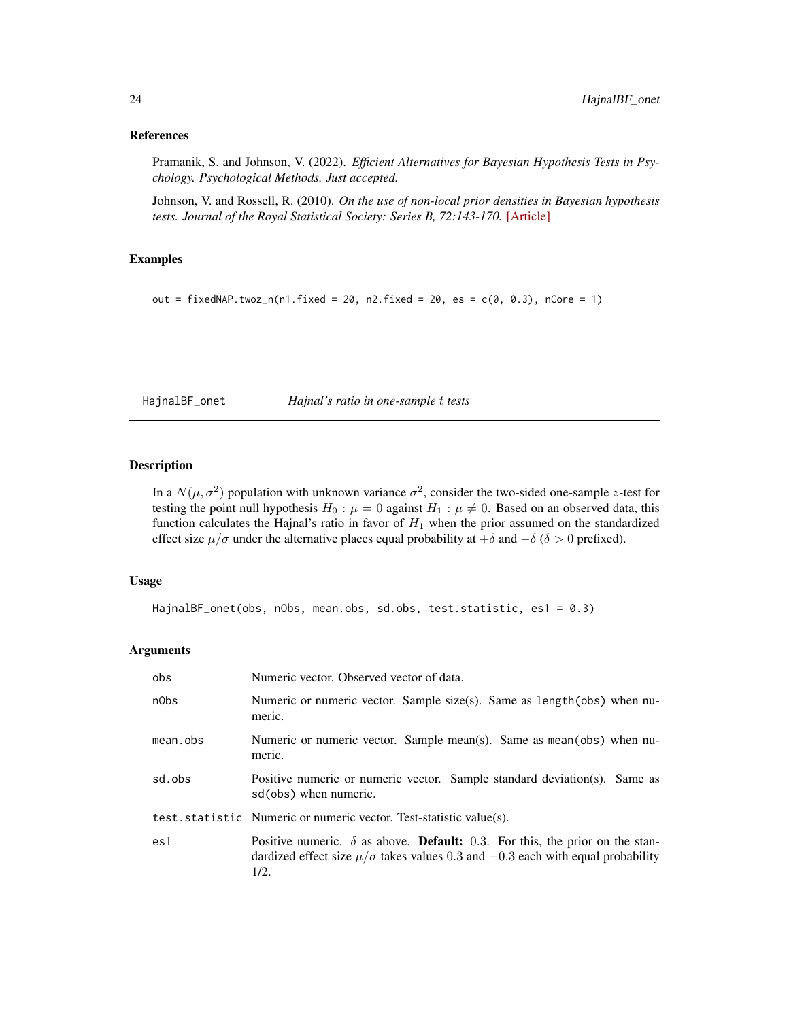#### <span id="page-23-0"></span>References

Pramanik, S. and Johnson, V. (2022). *Efficient Alternatives for Bayesian Hypothesis Tests in Psychology. Psychological Methods. Just accepted.*

Johnson, V. and Rossell, R. (2010). *On the use of non-local prior densities in Bayesian hypothesis tests. Journal of the Royal Statistical Society: Series B, 72:143-170.* [\[Article\]](https://rss.onlinelibrary.wiley.com/doi/pdf/10.1111/j.1467-9868.2009.00730.x)

## Examples

out = fixedNAP.twoz\_n(n1.fixed = 20, n2.fixed = 20, es =  $c(0, 0.3)$ , nCore = 1)

HajnalBF\_onet *Hajnal's ratio in one-sample* t *tests*

## Description

In a  $N(\mu, \sigma^2)$  population with unknown variance  $\sigma^2$ , consider the two-sided one-sample z-test for testing the point null hypothesis  $H_0$ :  $\mu = 0$  against  $H_1$ :  $\mu \neq 0$ . Based on an observed data, this function calculates the Hajnal's ratio in favor of  $H_1$  when the prior assumed on the standardized effect size  $\mu/\sigma$  under the alternative places equal probability at  $+\delta$  and  $-\delta$  ( $\delta > 0$  prefixed).

# Usage

```
HajnalBF_onet(obs, nObs, mean.obs, sd.obs, test.statistic, es1 = 0.3)
```

| obs      | Numeric vector. Observed vector of data.                                                                                                                                                        |
|----------|-------------------------------------------------------------------------------------------------------------------------------------------------------------------------------------------------|
| n0bs     | Numeric or numeric vector. Sample size(s). Same as length(obs) when nu-<br>meric.                                                                                                               |
| mean.obs | Numeric or numeric vector. Sample mean(s). Same as mean(obs) when nu-<br>meric.                                                                                                                 |
| sd.obs   | Positive numeric or numeric vector. Sample standard deviation(s). Same as<br>sd(obs) when numeric.                                                                                              |
|          | test.statistic Numeric or numeric vector. Test-statistic value(s).                                                                                                                              |
| es1      | Positive numeric. $\delta$ as above. <b>Default:</b> 0.3. For this, the prior on the stan-<br>dardized effect size $\mu/\sigma$ takes values 0.3 and $-0.3$ each with equal probability<br>1/2. |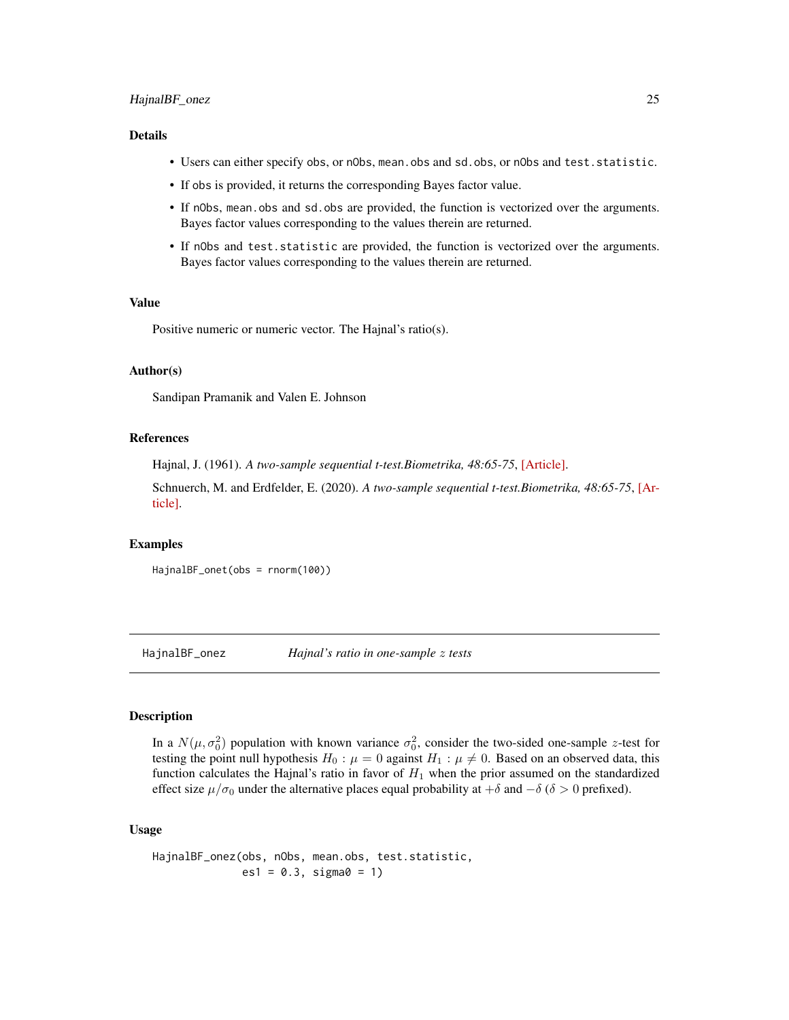## <span id="page-24-0"></span>HajnalBF\_onez 25

## Details

- Users can either specify obs, or nObs, mean.obs and sd.obs, or nObs and test.statistic.
- If obs is provided, it returns the corresponding Bayes factor value.
- If nObs, mean.obs and sd.obs are provided, the function is vectorized over the arguments. Bayes factor values corresponding to the values therein are returned.
- If nObs and test.statistic are provided, the function is vectorized over the arguments. Bayes factor values corresponding to the values therein are returned.

#### Value

Positive numeric or numeric vector. The Hajnal's ratio(s).

#### Author(s)

Sandipan Pramanik and Valen E. Johnson

#### References

Hajnal, J. (1961). *A two-sample sequential t-test.Biometrika, 48:65-75*, [\[Article\].](https://academic.oup.com/biomet/article-abstract/48/1-2/65/227215)

Schnuerch, M. and Erdfelder, E. (2020). *A two-sample sequential t-test.Biometrika, 48:65-75*, [\[Ar](https://martinschnuerch.com/wp-content/uploads/2020/08/Schnuerch_Erdfelder_2020.pdf)[ticle\].](https://martinschnuerch.com/wp-content/uploads/2020/08/Schnuerch_Erdfelder_2020.pdf)

## Examples

HajnalBF\_onet(obs = rnorm(100))

HajnalBF\_onez *Hajnal's ratio in one-sample* z *tests*

# Description

In a  $N(\mu, \sigma_0^2)$  population with known variance  $\sigma_0^2$ , consider the two-sided one-sample z-test for testing the point null hypothesis  $H_0$ :  $\mu = 0$  against  $H_1$ :  $\mu \neq 0$ . Based on an observed data, this function calculates the Hajnal's ratio in favor of  $H_1$  when the prior assumed on the standardized effect size  $\mu/\sigma_0$  under the alternative places equal probability at  $+\delta$  and  $-\delta$  ( $\delta > 0$  prefixed).

#### Usage

```
HajnalBF_onez(obs, nObs, mean.obs, test.statistic,
              es1 = 0.3, sigma0 = 1)
```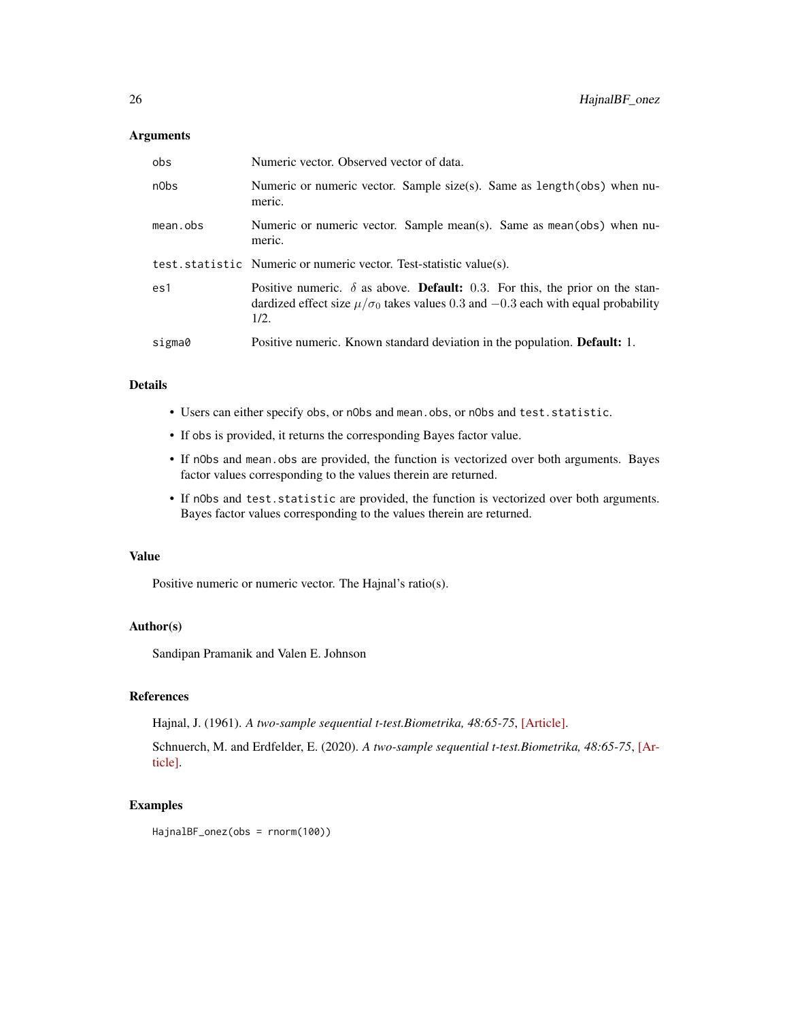# Arguments

| obs      | Numeric vector. Observed vector of data.                                                                                                                                                          |
|----------|---------------------------------------------------------------------------------------------------------------------------------------------------------------------------------------------------|
| n0bs     | Numeric or numeric vector. Sample size(s). Same as length(obs) when nu-<br>meric.                                                                                                                 |
| mean.obs | Numeric or numeric vector. Sample mean(s). Same as mean(obs) when nu-<br>meric.                                                                                                                   |
|          | test. statistic Numeric or numeric vector. Test-statistic value(s).                                                                                                                               |
| es1      | Positive numeric. $\delta$ as above. <b>Default:</b> 0.3. For this, the prior on the stan-<br>dardized effect size $\mu/\sigma_0$ takes values 0.3 and $-0.3$ each with equal probability<br>1/2. |
| sigma0   | Positive numeric. Known standard deviation in the population. <b>Default:</b> 1.                                                                                                                  |

## Details

- Users can either specify obs, or nObs and mean.obs, or nObs and test.statistic.
- If obs is provided, it returns the corresponding Bayes factor value.
- If nObs and mean.obs are provided, the function is vectorized over both arguments. Bayes factor values corresponding to the values therein are returned.
- If nObs and test.statistic are provided, the function is vectorized over both arguments. Bayes factor values corresponding to the values therein are returned.

#### Value

Positive numeric or numeric vector. The Hajnal's ratio(s).

# Author(s)

Sandipan Pramanik and Valen E. Johnson

## References

Hajnal, J. (1961). *A two-sample sequential t-test.Biometrika, 48:65-75*, [\[Article\].](https://academic.oup.com/biomet/article-abstract/48/1-2/65/227215)

Schnuerch, M. and Erdfelder, E. (2020). *A two-sample sequential t-test.Biometrika, 48:65-75*, [\[Ar](https://martinschnuerch.com/wp-content/uploads/2020/08/Schnuerch_Erdfelder_2020.pdf)[ticle\].](https://martinschnuerch.com/wp-content/uploads/2020/08/Schnuerch_Erdfelder_2020.pdf)

## Examples

HajnalBF\_onez(obs = rnorm(100))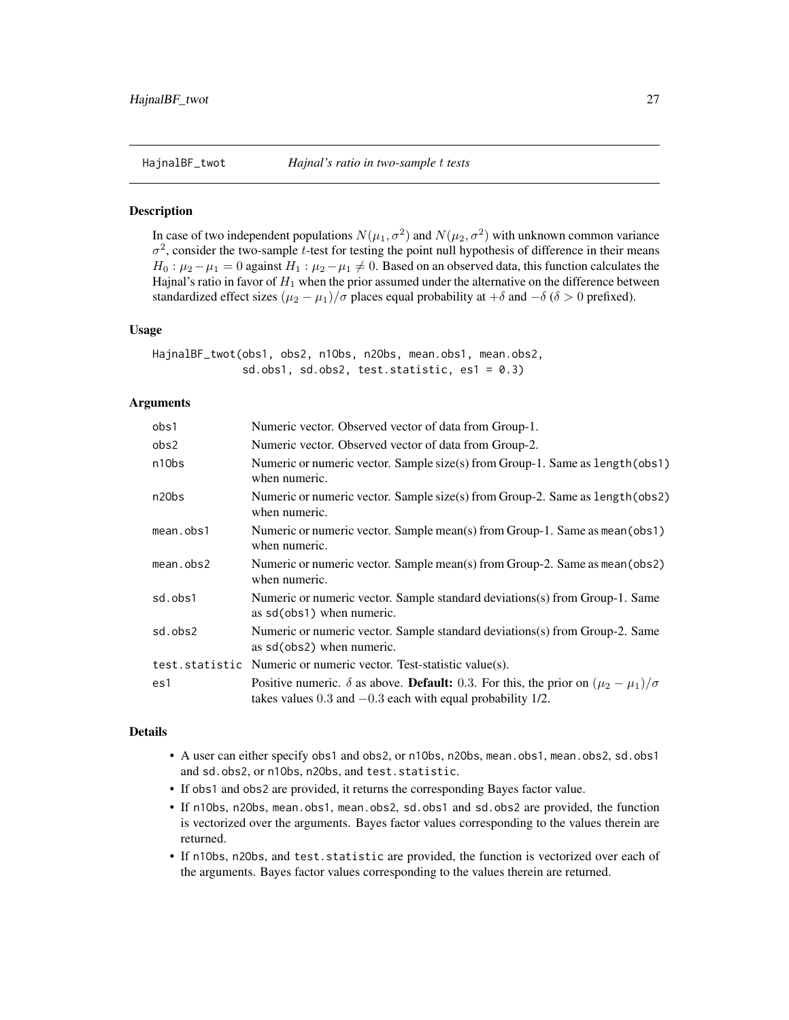<span id="page-26-0"></span>

## **Description**

In case of two independent populations  $N(\mu_1, \sigma^2)$  and  $N(\mu_2, \sigma^2)$  with unknown common variance  $\sigma^2$ , consider the two-sample t-test for testing the point null hypothesis of difference in their means  $H_0: \mu_2 - \mu_1 = 0$  against  $H_1: \mu_2 - \mu_1 \neq 0$ . Based on an observed data, this function calculates the Hajnal's ratio in favor of  $H_1$  when the prior assumed under the alternative on the difference between standardized effect sizes  $(\mu_2 - \mu_1)/\sigma$  places equal probability at  $+\delta$  and  $-\delta$  ( $\delta > 0$  prefixed).

#### Usage

HajnalBF\_twot(obs1, obs2, n1Obs, n2Obs, mean.obs1, mean.obs2, sd.obs1, sd.obs2, test.statistic,  $es1 = 0.3$ )

# Arguments

| obs1               | Numeric vector. Observed vector of data from Group-1.                                                                                                                          |
|--------------------|--------------------------------------------------------------------------------------------------------------------------------------------------------------------------------|
| obs2               | Numeric vector. Observed vector of data from Group-2.                                                                                                                          |
| n10bs              | Numeric or numeric vector. Sample size(s) from Group-1. Same as length (obs1)<br>when numeric.                                                                                 |
| n <sub>20</sub> bs | Numeric or numeric vector. Sample size(s) from Group-2. Same as length (obs2)<br>when numeric.                                                                                 |
| mean.obs1          | Numeric or numeric vector. Sample mean(s) from Group-1. Same as mean(obs1)<br>when numeric.                                                                                    |
| mean. obs2         | Numeric or numeric vector. Sample mean(s) from Group-2. Same as mean (obs2)<br>when numeric.                                                                                   |
| sd.obs1            | Numeric or numeric vector. Sample standard deviations(s) from Group-1. Same<br>as sd(obs1) when numeric.                                                                       |
| sd.obs2            | Numeric or numeric vector. Sample standard deviations(s) from Group-2. Same<br>as sd(obs2) when numeric.                                                                       |
|                    | test.statistic Numeric or numeric vector. Test-statistic value(s).                                                                                                             |
| es1                | Positive numeric. $\delta$ as above. <b>Default:</b> 0.3. For this, the prior on $(\mu_2 - \mu_1)/\sigma$<br>takes values $0.3$ and $-0.3$ each with equal probability $1/2$ . |

## Details

- A user can either specify obs1 and obs2, or n1Obs, n2Obs, mean.obs1, mean.obs2, sd.obs1 and sd.obs2, or n1Obs, n2Obs, and test.statistic.
- If obs1 and obs2 are provided, it returns the corresponding Bayes factor value.
- If n1Obs, n2Obs, mean.obs1, mean.obs2, sd.obs1 and sd.obs2 are provided, the function is vectorized over the arguments. Bayes factor values corresponding to the values therein are returned.
- If n1Obs, n2Obs, and test.statistic are provided, the function is vectorized over each of the arguments. Bayes factor values corresponding to the values therein are returned.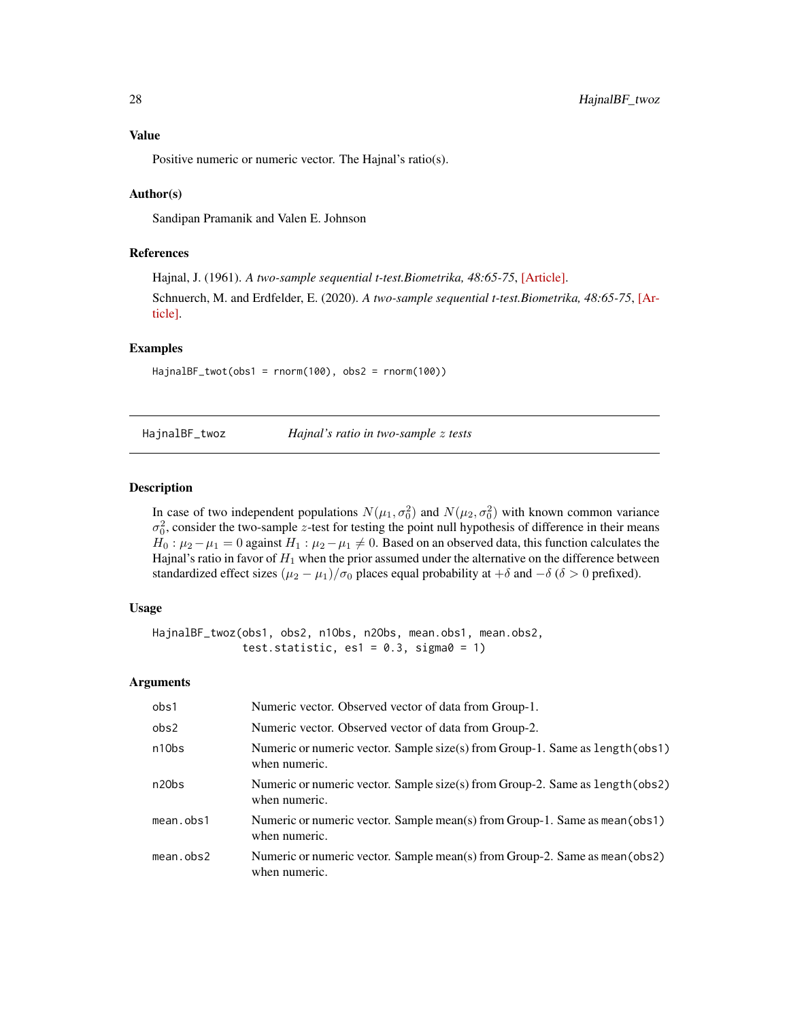<span id="page-27-0"></span>Positive numeric or numeric vector. The Hajnal's ratio(s).

# Author(s)

Sandipan Pramanik and Valen E. Johnson

# References

Hajnal, J. (1961). *A two-sample sequential t-test.Biometrika, 48:65-75*, [\[Article\].](https://academic.oup.com/biomet/article-abstract/48/1-2/65/227215) Schnuerch, M. and Erdfelder, E. (2020). *A two-sample sequential t-test.Biometrika, 48:65-75*, [\[Ar](https://martinschnuerch.com/wp-content/uploads/2020/08/Schnuerch_Erdfelder_2020.pdf)[ticle\].](https://martinschnuerch.com/wp-content/uploads/2020/08/Schnuerch_Erdfelder_2020.pdf)

# Examples

HajnalBF\_twot(obs1 = rnorm(100), obs2 = rnorm(100))

HajnalBF\_twoz *Hajnal's ratio in two-sample* z *tests*

# Description

In case of two independent populations  $N(\mu_1, \sigma_0^2)$  and  $N(\mu_2, \sigma_0^2)$  with known common variance  $\sigma_0^2$ , consider the two-sample z-test for testing the point null hypothesis of difference in their means  $H_0: \mu_2 - \mu_1 = 0$  against  $H_1: \mu_2 - \mu_1 \neq 0$ . Based on an observed data, this function calculates the Hajnal's ratio in favor of  $H_1$  when the prior assumed under the alternative on the difference between standardized effect sizes  $(\mu_2 - \mu_1)/\sigma_0$  places equal probability at  $+\delta$  and  $-\delta$  ( $\delta > 0$  prefixed).

#### Usage

```
HajnalBF_twoz(obs1, obs2, n1Obs, n2Obs, mean.obs1, mean.obs2,
              test.statistic, es1 = 0.3, sigma0 = 1)
```

| obs1               | Numeric vector. Observed vector of data from Group-1.                                          |
|--------------------|------------------------------------------------------------------------------------------------|
| obs2               | Numeric vector. Observed vector of data from Group-2.                                          |
| n10bs              | Numeric or numeric vector. Sample size(s) from Group-1. Same as length (obs1)<br>when numeric. |
| n <sub>20</sub> bs | Numeric or numeric vector. Sample size(s) from Group-2. Same as length (obs2)<br>when numeric. |
| mean.obs1          | Numeric or numeric vector. Sample mean(s) from Group-1. Same as mean (obs1)<br>when numeric.   |
| mean. obs2         | Numeric or numeric vector. Sample mean(s) from Group-2. Same as mean(obs2)<br>when numeric.    |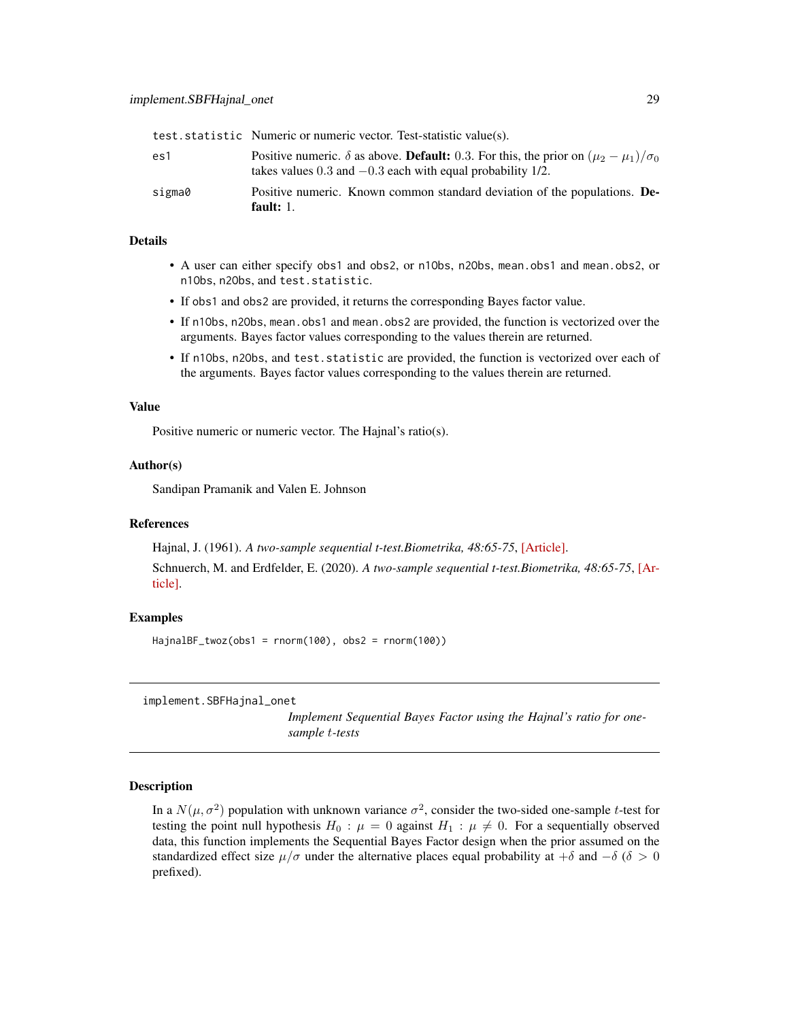<span id="page-28-0"></span>

|        | test.statistic Numeric or numeric vector. Test-statistic value(s).                                                                                                               |
|--------|----------------------------------------------------------------------------------------------------------------------------------------------------------------------------------|
| es1    | Positive numeric. $\delta$ as above. <b>Default:</b> 0.3. For this, the prior on $(\mu_2 - \mu_1)/\sigma_0$<br>takes values $0.3$ and $-0.3$ each with equal probability $1/2$ . |
| sigma0 | Positive numeric. Known common standard deviation of the populations. De-<br>fault: $1.$                                                                                         |

## Details

- A user can either specify obs1 and obs2, or n1Obs, n2Obs, mean.obs1 and mean.obs2, or n1Obs, n2Obs, and test.statistic.
- If obs1 and obs2 are provided, it returns the corresponding Bayes factor value.
- If n1Obs, n2Obs, mean.obs1 and mean.obs2 are provided, the function is vectorized over the arguments. Bayes factor values corresponding to the values therein are returned.
- If n1Obs, n2Obs, and test.statistic are provided, the function is vectorized over each of the arguments. Bayes factor values corresponding to the values therein are returned.

#### Value

Positive numeric or numeric vector. The Hajnal's ratio(s).

#### Author(s)

Sandipan Pramanik and Valen E. Johnson

#### References

Hajnal, J. (1961). *A two-sample sequential t-test.Biometrika, 48:65-75*, [\[Article\].](https://academic.oup.com/biomet/article-abstract/48/1-2/65/227215)

Schnuerch, M. and Erdfelder, E. (2020). *A two-sample sequential t-test.Biometrika, 48:65-75*, [\[Ar](https://martinschnuerch.com/wp-content/uploads/2020/08/Schnuerch_Erdfelder_2020.pdf)[ticle\].](https://martinschnuerch.com/wp-content/uploads/2020/08/Schnuerch_Erdfelder_2020.pdf)

## Examples

 $HajnalBF_twoz(obs1 = rnorm(100), obs2 = rnorm(100))$ 

implement.SBFHajnal\_onet

*Implement Sequential Bayes Factor using the Hajnal's ratio for onesample* t*-tests*

# Description

In a  $N(\mu, \sigma^2)$  population with unknown variance  $\sigma^2$ , consider the two-sided one-sample t-test for testing the point null hypothesis  $H_0$ :  $\mu = 0$  against  $H_1$ :  $\mu \neq 0$ . For a sequentially observed data, this function implements the Sequential Bayes Factor design when the prior assumed on the standardized effect size  $\mu/\sigma$  under the alternative places equal probability at + $\delta$  and  $-\delta$  ( $\delta > 0$ ) prefixed).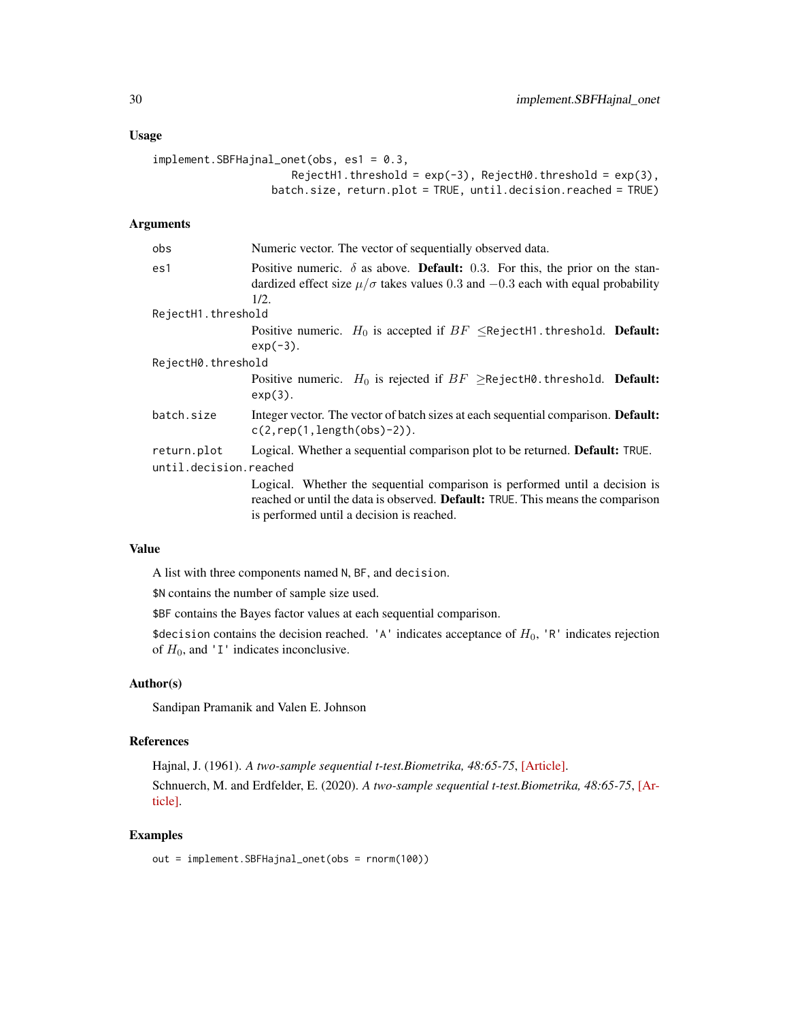#### Usage

```
implement.SBFHajnal_onet(obs, es1 = 0.3,
                      RejectH1.threshold = exp(-3), RejectH0.threshold = exp(3),
                  batch.size, return.plot = TRUE, until.decision.reached = TRUE)
```
## Arguments

| obs                                   | Numeric vector. The vector of sequentially observed data.                                                                                                                                                          |
|---------------------------------------|--------------------------------------------------------------------------------------------------------------------------------------------------------------------------------------------------------------------|
| es1                                   | Positive numeric. $\delta$ as above. <b>Default:</b> 0.3. For this, the prior on the stan-<br>dardized effect size $\mu/\sigma$ takes values 0.3 and $-0.3$ each with equal probability<br>1/2.                    |
| RejectH1.threshold                    |                                                                                                                                                                                                                    |
|                                       | Positive numeric. $H_0$ is accepted if $BF \leq$ RejectH1.threshold. <b>Default:</b><br>$exp(-3)$ .                                                                                                                |
| RejectH0.threshold                    |                                                                                                                                                                                                                    |
|                                       | Positive numeric. $H_0$ is rejected if $BF \geq$ RejectH0.threshold. Default:<br>$exp(3)$ .                                                                                                                        |
| batch.size                            | Integer vector. The vector of batch sizes at each sequential comparison. Default:<br>$c(2, rep(1, length(obs)-2)).$                                                                                                |
| return.plot<br>until.decision.reached | Logical. Whether a sequential comparison plot to be returned. Default: TRUE.                                                                                                                                       |
|                                       | Logical. Whether the sequential comparison is performed until a decision is<br>reached or until the data is observed. <b>Default:</b> TRUE. This means the comparison<br>is performed until a decision is reached. |

#### Value

A list with three components named N, BF, and decision.

\$N contains the number of sample size used.

\$BF contains the Bayes factor values at each sequential comparison.

\$decision contains the decision reached. 'A' indicates acceptance of  $H_0$ , 'R' indicates rejection of  $H_0$ , and 'I' indicates inconclusive.

## Author(s)

Sandipan Pramanik and Valen E. Johnson

## References

Hajnal, J. (1961). *A two-sample sequential t-test.Biometrika, 48:65-75*, [\[Article\].](https://academic.oup.com/biomet/article-abstract/48/1-2/65/227215) Schnuerch, M. and Erdfelder, E. (2020). *A two-sample sequential t-test.Biometrika, 48:65-75*, [\[Ar](https://martinschnuerch.com/wp-content/uploads/2020/08/Schnuerch_Erdfelder_2020.pdf)[ticle\].](https://martinschnuerch.com/wp-content/uploads/2020/08/Schnuerch_Erdfelder_2020.pdf)

#### Examples

out = implement.SBFHajnal\_onet(obs = rnorm(100))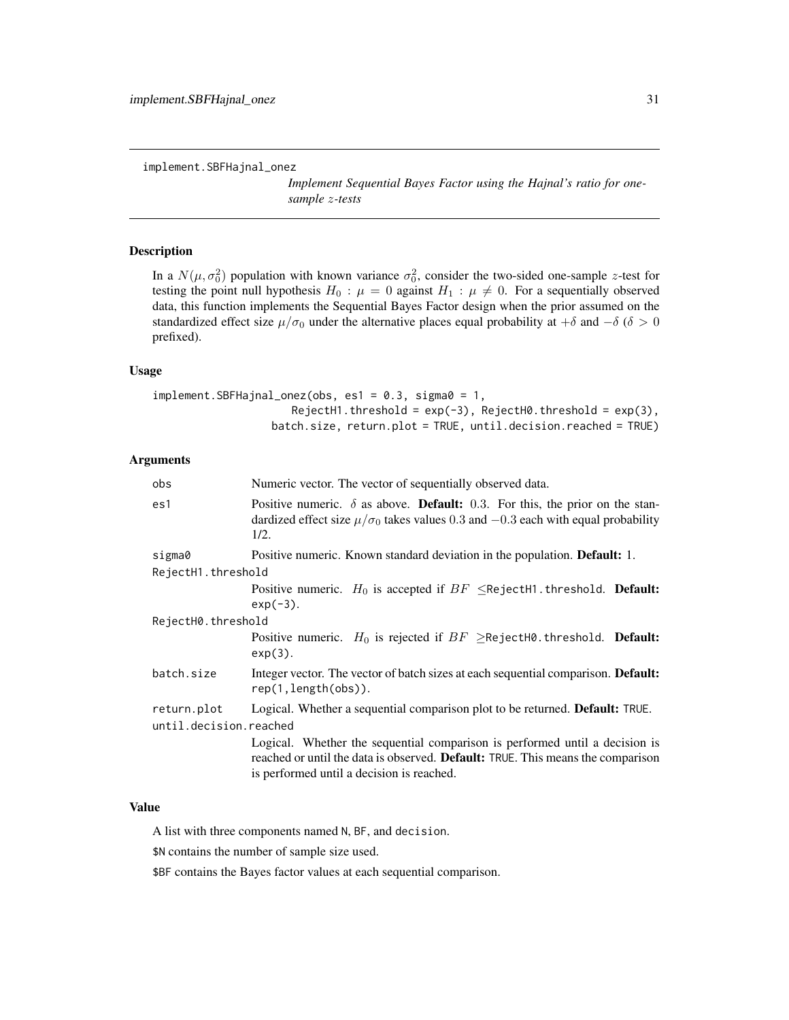*Implement Sequential Bayes Factor using the Hajnal's ratio for onesample* z*-tests*

## <span id="page-30-0"></span>Description

In a  $N(\mu, \sigma_0^2)$  population with known variance  $\sigma_0^2$ , consider the two-sided one-sample z-test for testing the point null hypothesis  $H_0$ :  $\mu = 0$  against  $H_1$ :  $\mu \neq 0$ . For a sequentially observed data, this function implements the Sequential Bayes Factor design when the prior assumed on the standardized effect size  $\mu/\sigma_0$  under the alternative places equal probability at +δ and −δ (δ > 0 prefixed).

#### Usage

```
implement.SBFHajnal_onez(obs, es1 = 0.3, sigma0 = 1,
                      RejectH1.threshold = exp(-3), RejectH0.threshold = exp(3),
                  batch.size, return.plot = TRUE, until.decision.reached = TRUE)
```
## Arguments

| Numeric vector. The vector of sequentially observed data.                                                                                                                                                   |  |
|-------------------------------------------------------------------------------------------------------------------------------------------------------------------------------------------------------------|--|
| Positive numeric. $\delta$ as above. <b>Default:</b> 0.3. For this, the prior on the stan-<br>dardized effect size $\mu/\sigma_0$ takes values 0.3 and $-0.3$ each with equal probability<br>1/2.           |  |
| Positive numeric. Known standard deviation in the population. <b>Default:</b> 1.                                                                                                                            |  |
| RejectH1.threshold                                                                                                                                                                                          |  |
| Positive numeric. $H_0$ is accepted if $BF \leq$ RejectH1.threshold. <b>Default:</b><br>$exp(-3)$ .                                                                                                         |  |
| RejectH0.threshold                                                                                                                                                                                          |  |
| Positive numeric. $H_0$ is rejected if $BF \geq$ RejectH0.threshold. <b>Default:</b><br>$exp(3)$ .                                                                                                          |  |
| Integer vector. The vector of batch sizes at each sequential comparison. <b>Default:</b><br>rep(1, length(obs)).                                                                                            |  |
| Logical. Whether a sequential comparison plot to be returned. Default: TRUE.<br>until.decision.reached                                                                                                      |  |
| Logical. Whether the sequential comparison is performed until a decision is<br>reached or until the data is observed. Default: TRUE. This means the comparison<br>is performed until a decision is reached. |  |
|                                                                                                                                                                                                             |  |

## Value

A list with three components named N, BF, and decision.

\$N contains the number of sample size used.

\$BF contains the Bayes factor values at each sequential comparison.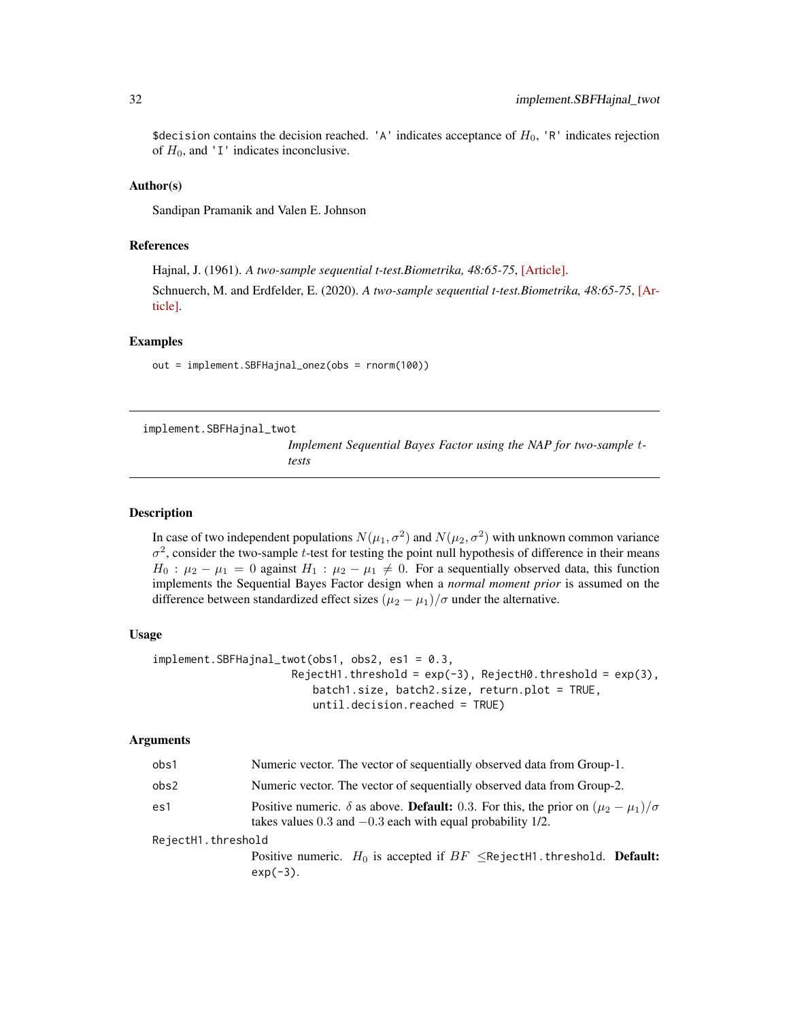<span id="page-31-0"></span>\$decision contains the decision reached. 'A' indicates acceptance of  $H_0$ , 'R' indicates rejection of  $H_0$ , and 'I' indicates inconclusive.

#### Author(s)

Sandipan Pramanik and Valen E. Johnson

#### References

Hajnal, J. (1961). *A two-sample sequential t-test.Biometrika, 48:65-75*, [\[Article\].](https://academic.oup.com/biomet/article-abstract/48/1-2/65/227215)

Schnuerch, M. and Erdfelder, E. (2020). *A two-sample sequential t-test.Biometrika, 48:65-75*, [\[Ar](https://martinschnuerch.com/wp-content/uploads/2020/08/Schnuerch_Erdfelder_2020.pdf)[ticle\].](https://martinschnuerch.com/wp-content/uploads/2020/08/Schnuerch_Erdfelder_2020.pdf)

#### Examples

out = implement.SBFHajnal\_onez(obs = rnorm(100))

implement.SBFHajnal\_twot

*Implement Sequential Bayes Factor using the NAP for two-sample* t*tests*

#### Description

In case of two independent populations  $N(\mu_1, \sigma^2)$  and  $N(\mu_2, \sigma^2)$  with unknown common variance  $\sigma^2$ , consider the two-sample t-test for testing the point null hypothesis of difference in their means  $H_0$ :  $\mu_2 - \mu_1 = 0$  against  $H_1$ :  $\mu_2 - \mu_1 \neq 0$ . For a sequentially observed data, this function implements the Sequential Bayes Factor design when a *normal moment prior* is assumed on the difference between standardized effect sizes  $(\mu_2 - \mu_1)/\sigma$  under the alternative.

#### Usage

```
implement.SBFHajnal_twot(obs1, obs2, es1 = 0.3,
                      RejectH1.threshold = exp(-3), RejectH0.threshold = exp(3),
                         batch1.size, batch2.size, return.plot = TRUE,
                         until.decision.reached = TRUE)
```

| obs1               | Numeric vector. The vector of sequentially observed data from Group-1.                                                                                                         |
|--------------------|--------------------------------------------------------------------------------------------------------------------------------------------------------------------------------|
| obs2               | Numeric vector. The vector of sequentially observed data from Group-2.                                                                                                         |
| es1                | Positive numeric. $\delta$ as above. <b>Default:</b> 0.3. For this, the prior on $(\mu_2 - \mu_1)/\sigma$<br>takes values $0.3$ and $-0.3$ each with equal probability $1/2$ . |
| RejectH1.threshold | Positive numeric. $H_0$ is accepted if $BF \leq$ RejectH1.threshold. <b>Default:</b><br>$exp(-3)$ .                                                                            |
|                    |                                                                                                                                                                                |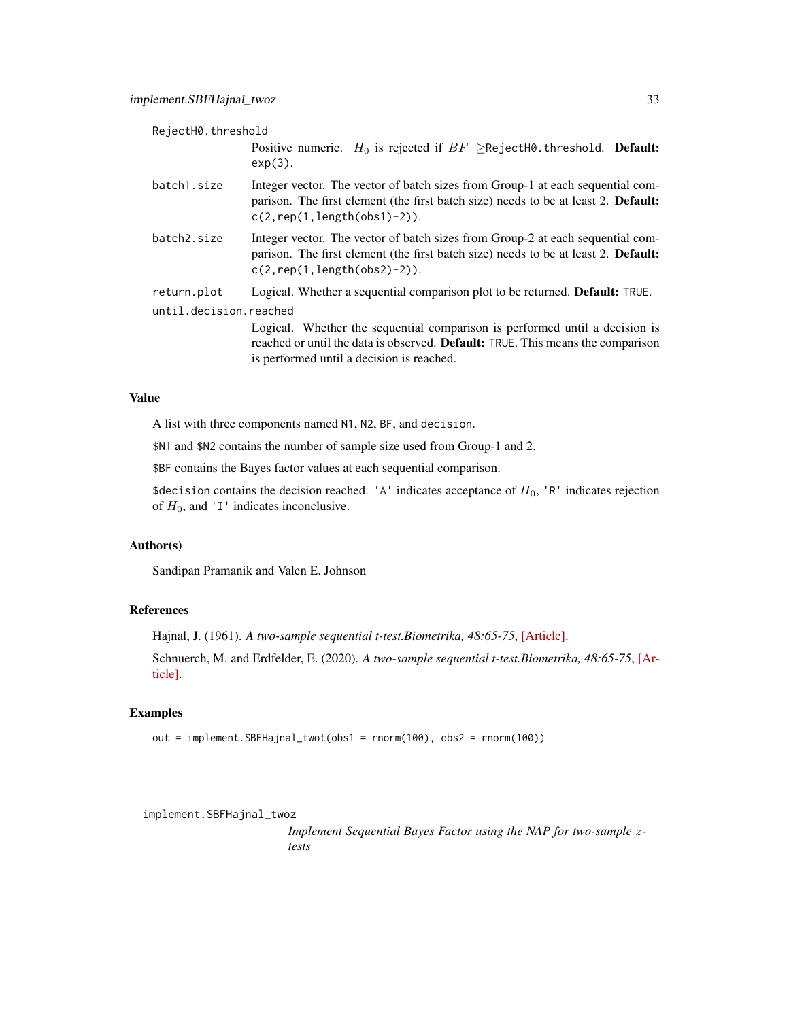<span id="page-32-0"></span>

| RejectH0.threshold     |                                                                                                                                                                                                                    |
|------------------------|--------------------------------------------------------------------------------------------------------------------------------------------------------------------------------------------------------------------|
|                        | Positive numeric. $H_0$ is rejected if $BF \geq$ RejectH0.threshold. <b>Default:</b><br>$exp(3)$ .                                                                                                                 |
| batch1.size            | Integer vector. The vector of batch sizes from Group-1 at each sequential com-<br>parison. The first element (the first batch size) needs to be at least 2. <b>Default:</b><br>$c(2, rep(1, length(obs1)-2)).$     |
| batch2.size            | Integer vector. The vector of batch sizes from Group-2 at each sequential com-<br>parison. The first element (the first batch size) needs to be at least 2. Default:<br>$c(2, rep(1, length(obs2)-2)).$            |
| return.plot            | Logical. Whether a sequential comparison plot to be returned. <b>Default:</b> TRUE.                                                                                                                                |
| until.decision.reached |                                                                                                                                                                                                                    |
|                        | Logical. Whether the sequential comparison is performed until a decision is<br>reached or until the data is observed. <b>Default:</b> TRUE. This means the comparison<br>is performed until a decision is reached. |

A list with three components named N1, N2, BF, and decision.

\$N1 and \$N2 contains the number of sample size used from Group-1 and 2.

\$BF contains the Bayes factor values at each sequential comparison.

\$decision contains the decision reached. 'A' indicates acceptance of  $H_0$ , 'R' indicates rejection of  $H_0$ , and 'I' indicates inconclusive.

# Author(s)

Sandipan Pramanik and Valen E. Johnson

## References

Hajnal, J. (1961). *A two-sample sequential t-test.Biometrika, 48:65-75*, [\[Article\].](https://academic.oup.com/biomet/article-abstract/48/1-2/65/227215)

Schnuerch, M. and Erdfelder, E. (2020). *A two-sample sequential t-test.Biometrika, 48:65-75*, [\[Ar](https://martinschnuerch.com/wp-content/uploads/2020/08/Schnuerch_Erdfelder_2020.pdf)[ticle\].](https://martinschnuerch.com/wp-content/uploads/2020/08/Schnuerch_Erdfelder_2020.pdf)

## Examples

out = implement.SBFHajnal\_twot(obs1 = rnorm(100), obs2 = rnorm(100))

implement.SBFHajnal\_twoz

*Implement Sequential Bayes Factor using the NAP for two-sample* z*tests*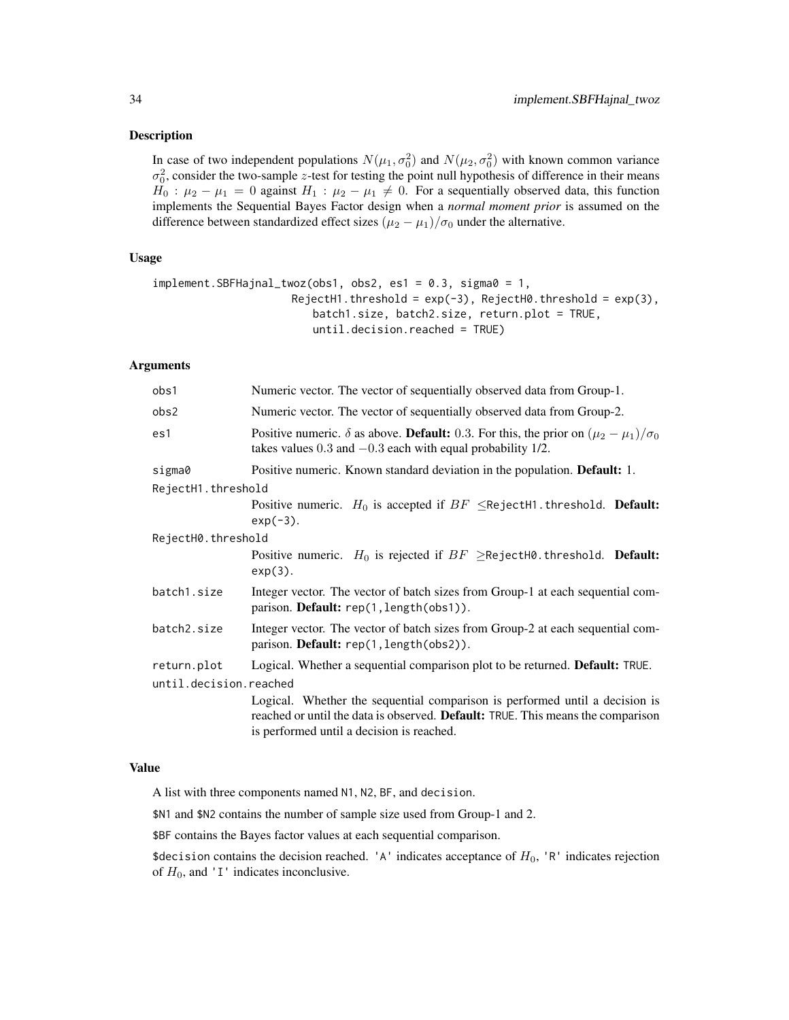#### Description

In case of two independent populations  $N(\mu_1, \sigma_0^2)$  and  $N(\mu_2, \sigma_0^2)$  with known common variance  $\sigma_0^2$ , consider the two-sample z-test for testing the point null hypothesis of difference in their means  $H_0$ :  $\mu_2 - \mu_1 = 0$  against  $H_1$ :  $\mu_2 - \mu_1 \neq 0$ . For a sequentially observed data, this function implements the Sequential Bayes Factor design when a *normal moment prior* is assumed on the difference between standardized effect sizes  $(\mu_2 - \mu_1)/\sigma_0$  under the alternative.

## Usage

```
implement.SBFHajnal_twoz(obs1, obs2, es1 = 0.3, sigma0 = 1,
                     RejectH1.threshold = exp(-3), RejectH0.threshold = exp(3),
                         batch1.size, batch2.size, return.plot = TRUE,
                         until.decision.reached = TRUE)
```
#### Arguments

| obs1                   | Numeric vector. The vector of sequentially observed data from Group-1.                                                                                                                                      |
|------------------------|-------------------------------------------------------------------------------------------------------------------------------------------------------------------------------------------------------------|
| obs2                   | Numeric vector. The vector of sequentially observed data from Group-2.                                                                                                                                      |
| es1                    | Positive numeric. $\delta$ as above. <b>Default:</b> 0.3. For this, the prior on $(\mu_2 - \mu_1)/\sigma_0$<br>takes values $0.3$ and $-0.3$ each with equal probability $1/2$ .                            |
| sigma0                 | Positive numeric. Known standard deviation in the population. Default: 1.                                                                                                                                   |
| RejectH1.threshold     |                                                                                                                                                                                                             |
|                        | Positive numeric. $H_0$ is accepted if $BF \leq$ RejectH1.threshold. <b>Default:</b><br>$exp(-3)$ .                                                                                                         |
| RejectH0.threshold     |                                                                                                                                                                                                             |
|                        | Positive numeric. $H_0$ is rejected if $BF \geq$ RejectH0.threshold. <b>Default:</b><br>$exp(3)$ .                                                                                                          |
| batch1.size            | Integer vector. The vector of batch sizes from Group-1 at each sequential com-<br>parison. Default: rep(1, length(obs1)).                                                                                   |
| batch2.size            | Integer vector. The vector of batch sizes from Group-2 at each sequential com-<br>parison. Default: rep(1, length(obs2)).                                                                                   |
| return.plot            | Logical. Whether a sequential comparison plot to be returned. Default: TRUE.                                                                                                                                |
| until.decision.reached |                                                                                                                                                                                                             |
|                        | Logical. Whether the sequential comparison is performed until a decision is<br>reached or until the data is observed. Default: TRUE. This means the comparison<br>is performed until a decision is reached. |

#### Value

A list with three components named N1, N2, BF, and decision.

\$N1 and \$N2 contains the number of sample size used from Group-1 and 2.

\$BF contains the Bayes factor values at each sequential comparison.

\$decision contains the decision reached. 'A' indicates acceptance of  $H_0$ , 'R' indicates rejection of  $H_0$ , and 'I' indicates inconclusive.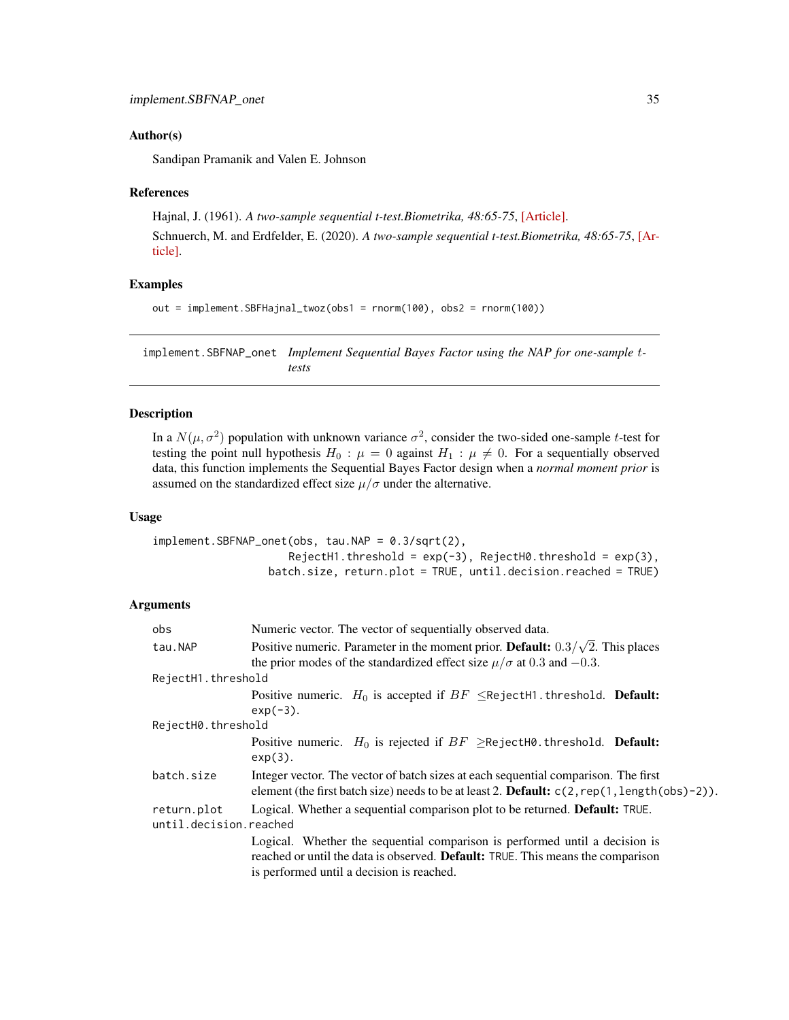#### <span id="page-34-0"></span>Author(s)

Sandipan Pramanik and Valen E. Johnson

#### References

Hajnal, J. (1961). *A two-sample sequential t-test.Biometrika, 48:65-75*, [\[Article\].](https://academic.oup.com/biomet/article-abstract/48/1-2/65/227215) Schnuerch, M. and Erdfelder, E. (2020). *A two-sample sequential t-test.Biometrika, 48:65-75*, [\[Ar](https://martinschnuerch.com/wp-content/uploads/2020/08/Schnuerch_Erdfelder_2020.pdf)[ticle\].](https://martinschnuerch.com/wp-content/uploads/2020/08/Schnuerch_Erdfelder_2020.pdf)

## Examples

```
out = implement.SBFHajnal_twoz(obs1 = rnorm(100), obs2 = rnorm(100))
```
implement.SBFNAP\_onet *Implement Sequential Bayes Factor using the NAP for one-sample* t*tests*

#### Description

In a  $N(\mu, \sigma^2)$  population with unknown variance  $\sigma^2$ , consider the two-sided one-sample t-test for testing the point null hypothesis  $H_0$ :  $\mu = 0$  against  $H_1$ :  $\mu \neq 0$ . For a sequentially observed data, this function implements the Sequential Bayes Factor design when a *normal moment prior* is assumed on the standardized effect size  $\mu/\sigma$  under the alternative.

#### Usage

implement.SBFNAP\_onet(obs, tau.NAP = 0.3/sqrt(2),  $RejectH1.threshold = exp(-3)$ ,  $RejectH0.threshold = exp(3)$ , batch.size, return.plot = TRUE, until.decision.reached = TRUE)

| obs                                   | Numeric vector. The vector of sequentially observed data.                                                                                                                                                   |
|---------------------------------------|-------------------------------------------------------------------------------------------------------------------------------------------------------------------------------------------------------------|
| tau.NAP                               | Positive numeric. Parameter in the moment prior. Default: $0.3/\sqrt{2}$ . This places<br>the prior modes of the standardized effect size $\mu/\sigma$ at 0.3 and -0.3.                                     |
| RejectH1.threshold                    |                                                                                                                                                                                                             |
|                                       | Positive numeric. $H_0$ is accepted if $BF \leq$ RejectH1.threshold. <b>Default:</b><br>$exp(-3)$ .                                                                                                         |
| RejectH0.threshold                    |                                                                                                                                                                                                             |
|                                       | Positive numeric. $H_0$ is rejected if $BF \geq$ RejectH0.threshold. <b>Default:</b><br>$exp(3)$ .                                                                                                          |
| batch.size                            | Integer vector. The vector of batch sizes at each sequential comparison. The first<br>element (the first batch size) needs to be at least 2. <b>Default:</b> $c(2, rep(1, length(obs)-2))$ .                |
| return.plot<br>until.decision.reached | Logical. Whether a sequential comparison plot to be returned. <b>Default:</b> TRUE.                                                                                                                         |
|                                       | Logical. Whether the sequential comparison is performed until a decision is<br>reached or until the data is observed. Default: TRUE. This means the comparison<br>is performed until a decision is reached. |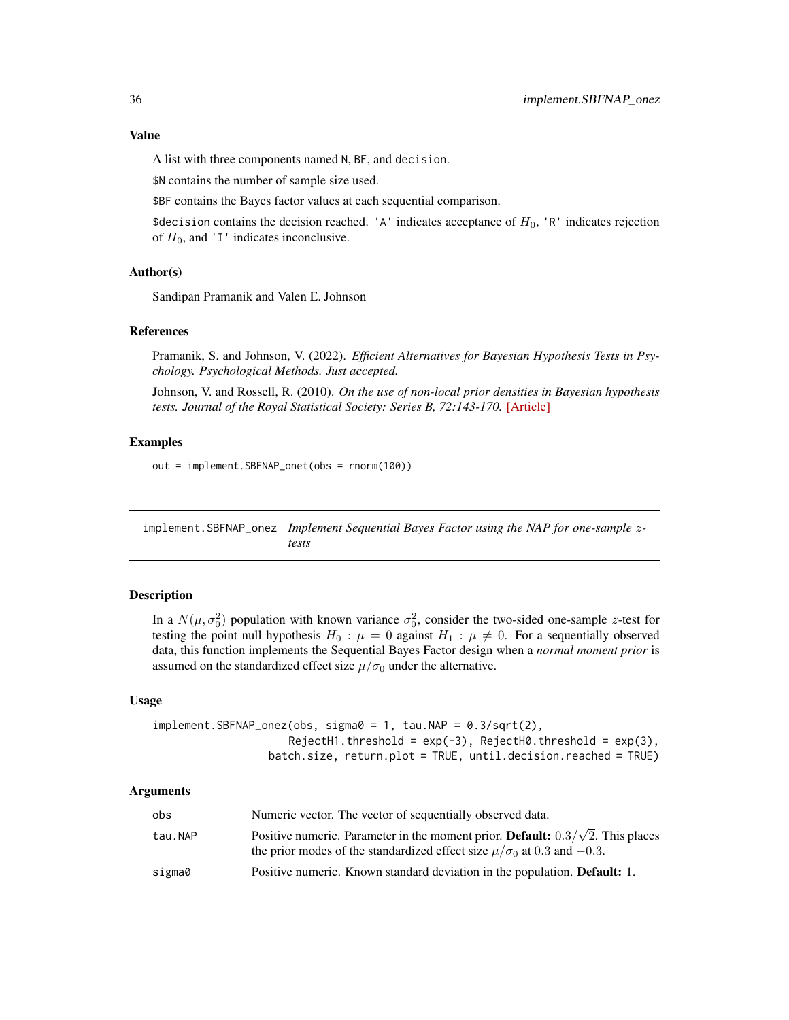<span id="page-35-0"></span>A list with three components named N, BF, and decision.

\$N contains the number of sample size used.

\$BF contains the Bayes factor values at each sequential comparison.

\$decision contains the decision reached. 'A' indicates acceptance of  $H_0$ , 'R' indicates rejection of  $H_0$ , and 'I' indicates inconclusive.

## Author(s)

Sandipan Pramanik and Valen E. Johnson

#### References

Pramanik, S. and Johnson, V. (2022). *Efficient Alternatives for Bayesian Hypothesis Tests in Psychology. Psychological Methods. Just accepted.*

Johnson, V. and Rossell, R. (2010). *On the use of non-local prior densities in Bayesian hypothesis tests. Journal of the Royal Statistical Society: Series B, 72:143-170.* [\[Article\]](https://rss.onlinelibrary.wiley.com/doi/pdf/10.1111/j.1467-9868.2009.00730.x)

## Examples

out = implement.SBFNAP\_onet(obs = rnorm(100))

implement.SBFNAP\_onez *Implement Sequential Bayes Factor using the NAP for one-sample* z*tests*

## Description

In a  $N(\mu, \sigma_0^2)$  population with known variance  $\sigma_0^2$ , consider the two-sided one-sample z-test for testing the point null hypothesis  $H_0$ :  $\mu = 0$  against  $H_1$ :  $\mu \neq 0$ . For a sequentially observed data, this function implements the Sequential Bayes Factor design when a *normal moment prior* is assumed on the standardized effect size  $\mu/\sigma_0$  under the alternative.

#### Usage

 $implement.SBFNAP_onez(obs, sigma0 = 1, tau.NAP = 0.3/sqrt(2),$  $RejectH1.threshold = exp(-3)$ ,  $RejectH0.threshold = exp(3)$ , batch.size, return.plot = TRUE, until.decision.reached = TRUE)

| obs     | Numeric vector. The vector of sequentially observed data.                                                                                                                        |
|---------|----------------------------------------------------------------------------------------------------------------------------------------------------------------------------------|
| tau.NAP | Positive numeric. Parameter in the moment prior. <b>Default:</b> $0.3/\sqrt{2}$ . This places<br>the prior modes of the standardized effect size $\mu/\sigma_0$ at 0.3 and -0.3. |
| sigma0  | Positive numeric. Known standard deviation in the population. <b>Default:</b> 1.                                                                                                 |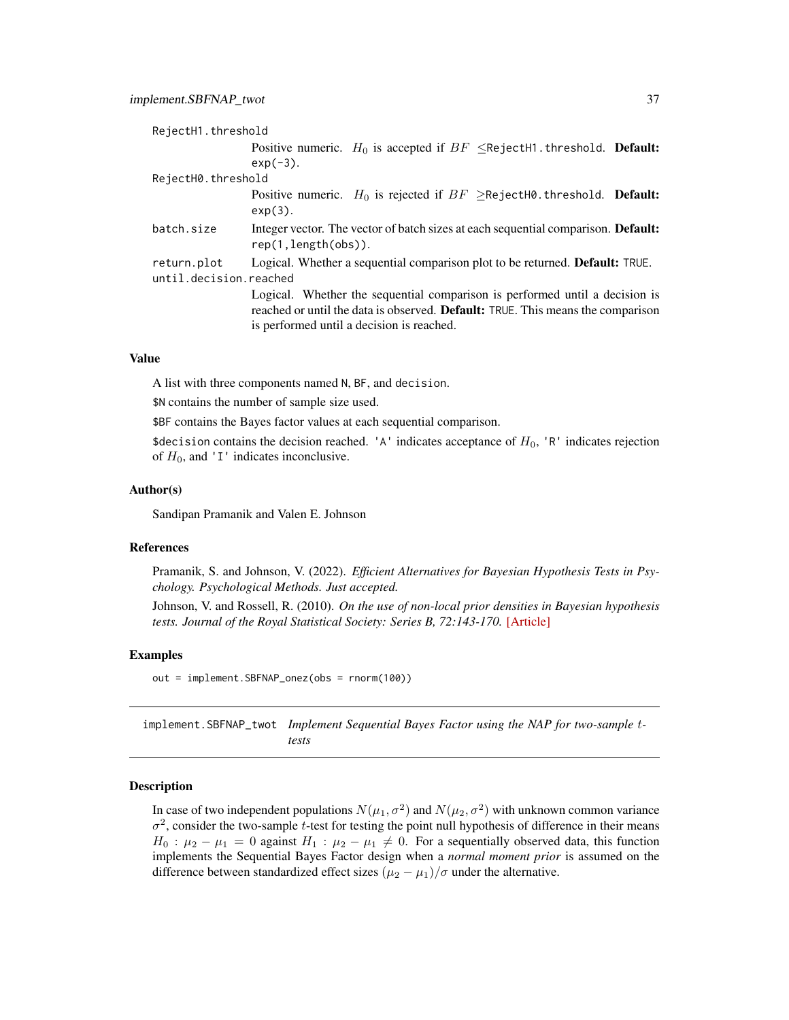<span id="page-36-0"></span>

| RejectH1.threshold     |                                                                                                                                                                                                             |
|------------------------|-------------------------------------------------------------------------------------------------------------------------------------------------------------------------------------------------------------|
|                        | Positive numeric. $H_0$ is accepted if $BF \leq$ RejectH1.threshold. <b>Default:</b>                                                                                                                        |
|                        | $exp(-3)$ .                                                                                                                                                                                                 |
| RejectH0.threshold     |                                                                                                                                                                                                             |
|                        | Positive numeric. $H_0$ is rejected if $BF \geq$ RejectH0.threshold. <b>Default:</b><br>$exp(3)$ .                                                                                                          |
| batch.size             | Integer vector. The vector of batch sizes at each sequential comparison. <b>Default:</b><br>rep(1, length(obs)).                                                                                            |
| return.plot            | Logical. Whether a sequential comparison plot to be returned. <b>Default:</b> TRUE.                                                                                                                         |
| until.decision.reached |                                                                                                                                                                                                             |
|                        | Logical. Whether the sequential comparison is performed until a decision is<br>reached or until the data is observed. Default: TRUE. This means the comparison<br>is performed until a decision is reached. |
|                        |                                                                                                                                                                                                             |

A list with three components named N, BF, and decision.

\$N contains the number of sample size used.

\$BF contains the Bayes factor values at each sequential comparison.

\$decision contains the decision reached. 'A' indicates acceptance of  $H_0$ , 'R' indicates rejection of  $H_0$ , and 'I' indicates inconclusive.

#### Author(s)

Sandipan Pramanik and Valen E. Johnson

#### References

Pramanik, S. and Johnson, V. (2022). *Efficient Alternatives for Bayesian Hypothesis Tests in Psychology. Psychological Methods. Just accepted.*

Johnson, V. and Rossell, R. (2010). *On the use of non-local prior densities in Bayesian hypothesis tests. Journal of the Royal Statistical Society: Series B, 72:143-170.* [\[Article\]](https://rss.onlinelibrary.wiley.com/doi/pdf/10.1111/j.1467-9868.2009.00730.x)

#### Examples

out = implement.SBFNAP\_onez(obs = rnorm(100))

implement.SBFNAP\_twot *Implement Sequential Bayes Factor using the NAP for two-sample* t*tests*

#### Description

In case of two independent populations  $N(\mu_1, \sigma^2)$  and  $N(\mu_2, \sigma^2)$  with unknown common variance  $\sigma^2$ , consider the two-sample t-test for testing the point null hypothesis of difference in their means  $H_0$ :  $\mu_2 - \mu_1 = 0$  against  $H_1$ :  $\mu_2 - \mu_1 \neq 0$ . For a sequentially observed data, this function implements the Sequential Bayes Factor design when a *normal moment prior* is assumed on the difference between standardized effect sizes  $(\mu_2 - \mu_1)/\sigma$  under the alternative.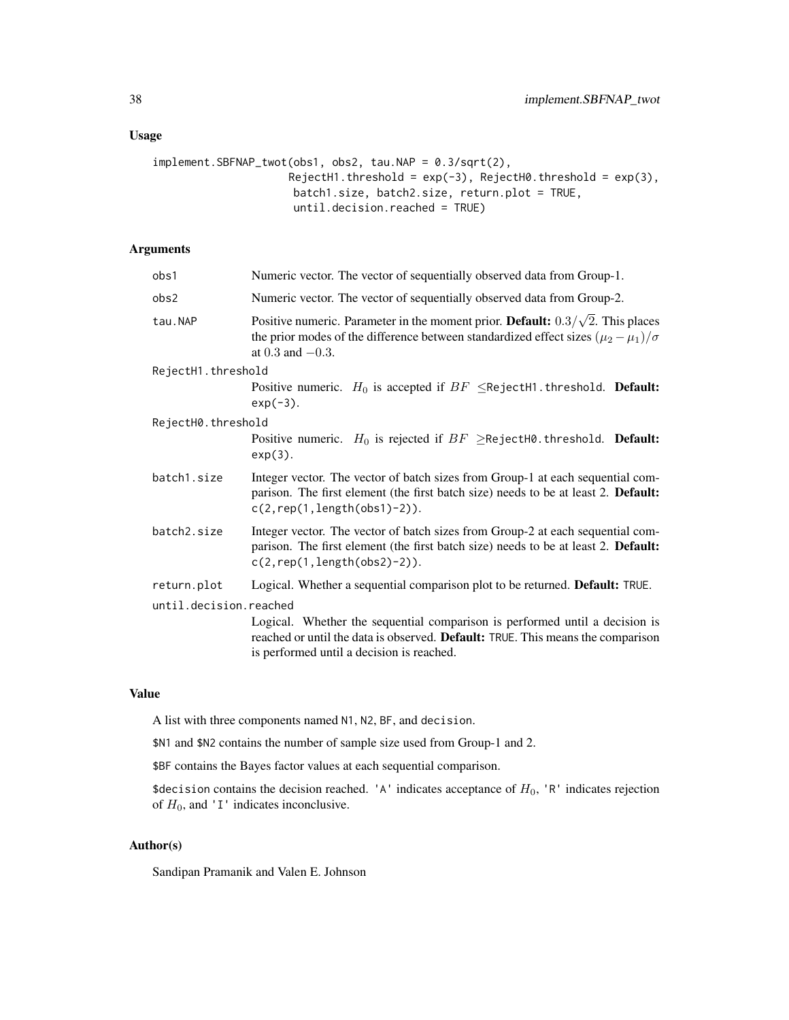# Usage

```
implement.SBFNAP_twot(obs1, obs2, tau.NAP = 0.3/sqrt(2),
                     RejectH1.threshold = exp(-3), RejectH0.threshold = exp(3),
                     batch1.size, batch2.size, return.plot = TRUE,
                      until.decision.reached = TRUE)
```
# Arguments

| obs1                   | Numeric vector. The vector of sequentially observed data from Group-1.                                                                                                                                          |  |
|------------------------|-----------------------------------------------------------------------------------------------------------------------------------------------------------------------------------------------------------------|--|
| obs2                   | Numeric vector. The vector of sequentially observed data from Group-2.                                                                                                                                          |  |
| tau.NAP                | Positive numeric. Parameter in the moment prior. Default: $0.3/\sqrt{2}$ . This places<br>the prior modes of the difference between standardized effect sizes $(\mu_2 - \mu_1)/\sigma$<br>at $0.3$ and $-0.3$ . |  |
| RejectH1.threshold     |                                                                                                                                                                                                                 |  |
|                        | Positive numeric. $H_0$ is accepted if $BF \leq$ RejectH1.threshold. <b>Default:</b><br>$exp(-3)$ .                                                                                                             |  |
| RejectH0.threshold     |                                                                                                                                                                                                                 |  |
|                        | Positive numeric. $H_0$ is rejected if $BF \geq$ RejectH0.threshold. Default:<br>$exp(3)$ .                                                                                                                     |  |
| batch1.size            | Integer vector. The vector of batch sizes from Group-1 at each sequential com-<br>parison. The first element (the first batch size) needs to be at least 2. Default:<br>$c(2, rep(1, length(obs1)-2)).$         |  |
| batch2.size            | Integer vector. The vector of batch sizes from Group-2 at each sequential com-<br>parison. The first element (the first batch size) needs to be at least 2. Default:<br>$c(2, rep(1, length(obs2)-2)).$         |  |
| return.plot            | Logical. Whether a sequential comparison plot to be returned. Default: TRUE.                                                                                                                                    |  |
| until.decision.reached | Logical. Whether the sequential comparison is performed until a decision is<br>reached or until the data is observed. Default: TRUE. This means the comparison<br>is performed until a decision is reached.     |  |

## Value

A list with three components named N1, N2, BF, and decision.

\$N1 and \$N2 contains the number of sample size used from Group-1 and 2.

\$BF contains the Bayes factor values at each sequential comparison.

\$decision contains the decision reached. 'A' indicates acceptance of  $H_0$ , 'R' indicates rejection of  $H_0$ , and 'I' indicates inconclusive.

## Author(s)

Sandipan Pramanik and Valen E. Johnson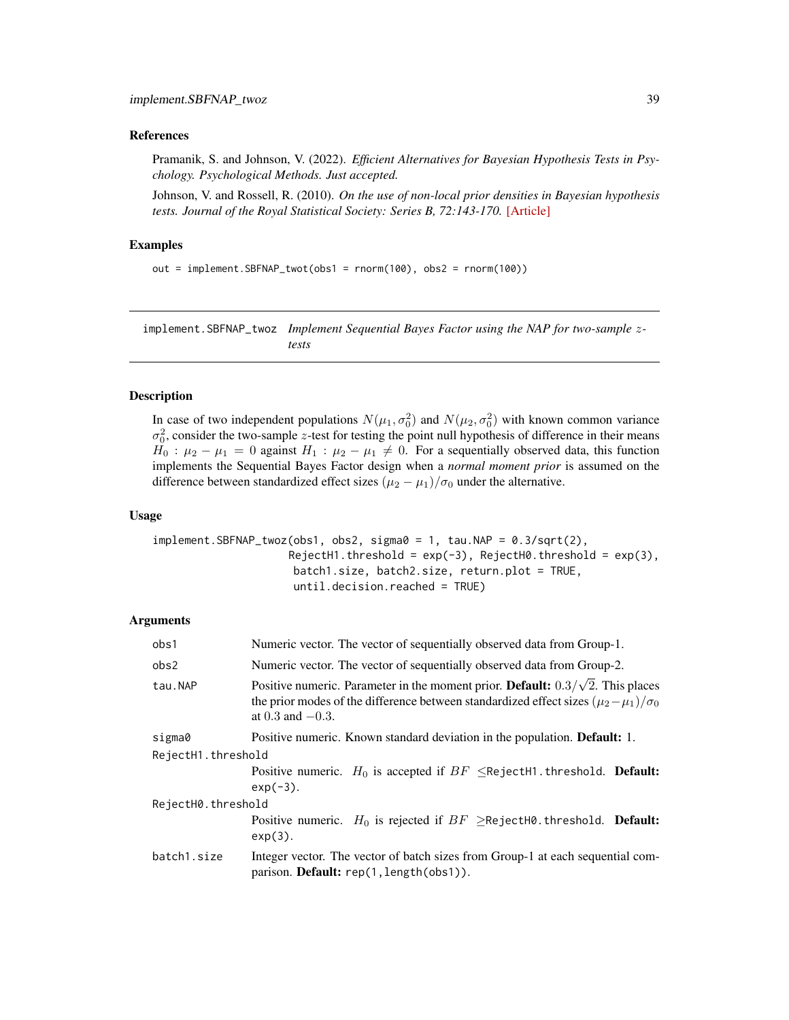#### <span id="page-38-0"></span>References

Pramanik, S. and Johnson, V. (2022). *Efficient Alternatives for Bayesian Hypothesis Tests in Psychology. Psychological Methods. Just accepted.*

Johnson, V. and Rossell, R. (2010). *On the use of non-local prior densities in Bayesian hypothesis tests. Journal of the Royal Statistical Society: Series B, 72:143-170.* [\[Article\]](https://rss.onlinelibrary.wiley.com/doi/pdf/10.1111/j.1467-9868.2009.00730.x)

#### Examples

```
out = implement.SBFNAP_twot(obs1 = rnorm(100), obs2 = rnorm(100))
```
implement.SBFNAP\_twoz *Implement Sequential Bayes Factor using the NAP for two-sample* z*tests*

# Description

In case of two independent populations  $N(\mu_1, \sigma_0^2)$  and  $N(\mu_2, \sigma_0^2)$  with known common variance  $\sigma_0^2$ , consider the two-sample z-test for testing the point null hypothesis of difference in their means  $H_0$ :  $\mu_2 - \mu_1 = 0$  against  $H_1$ :  $\mu_2 - \mu_1 \neq 0$ . For a sequentially observed data, this function implements the Sequential Bayes Factor design when a *normal moment prior* is assumed on the difference between standardized effect sizes  $(\mu_2 - \mu_1)/\sigma_0$  under the alternative.

#### Usage

```
implement.SBFNAP_twoz(obs1, obs2, sigma0 = 1, tau.NAP = 0.3/sqrt(2),RejectH1.threshold = exp(-3), RejectH0.threshold = exp(3),
                     batch1.size, batch2.size, return.plot = TRUE,
                     until.decision.reached = TRUE)
```

| obs1               | Numeric vector. The vector of sequentially observed data from Group-1.                                                                                                                                            |  |
|--------------------|-------------------------------------------------------------------------------------------------------------------------------------------------------------------------------------------------------------------|--|
| obs2               | Numeric vector. The vector of sequentially observed data from Group-2.                                                                                                                                            |  |
| tau.NAP            | Positive numeric. Parameter in the moment prior. Default: $0.3/\sqrt{2}$ . This places<br>the prior modes of the difference between standardized effect sizes $(\mu_2 - \mu_1)/\sigma_0$<br>at $0.3$ and $-0.3$ . |  |
| sigma0             | Positive numeric. Known standard deviation in the population. <b>Default:</b> 1.                                                                                                                                  |  |
| RejectH1.threshold |                                                                                                                                                                                                                   |  |
|                    | Positive numeric. $H_0$ is accepted if $BF \leq$ RejectH1.threshold. <b>Default:</b><br>$exp(-3)$ .                                                                                                               |  |
| RejectH0.threshold |                                                                                                                                                                                                                   |  |
|                    | Positive numeric. $H_0$ is rejected if $BF \geq$ RejectH0.threshold. <b>Default:</b><br>$exp(3)$ .                                                                                                                |  |
| batch1.size        | Integer vector. The vector of batch sizes from Group-1 at each sequential com-<br>parison. Default: rep(1, length(obs1)).                                                                                         |  |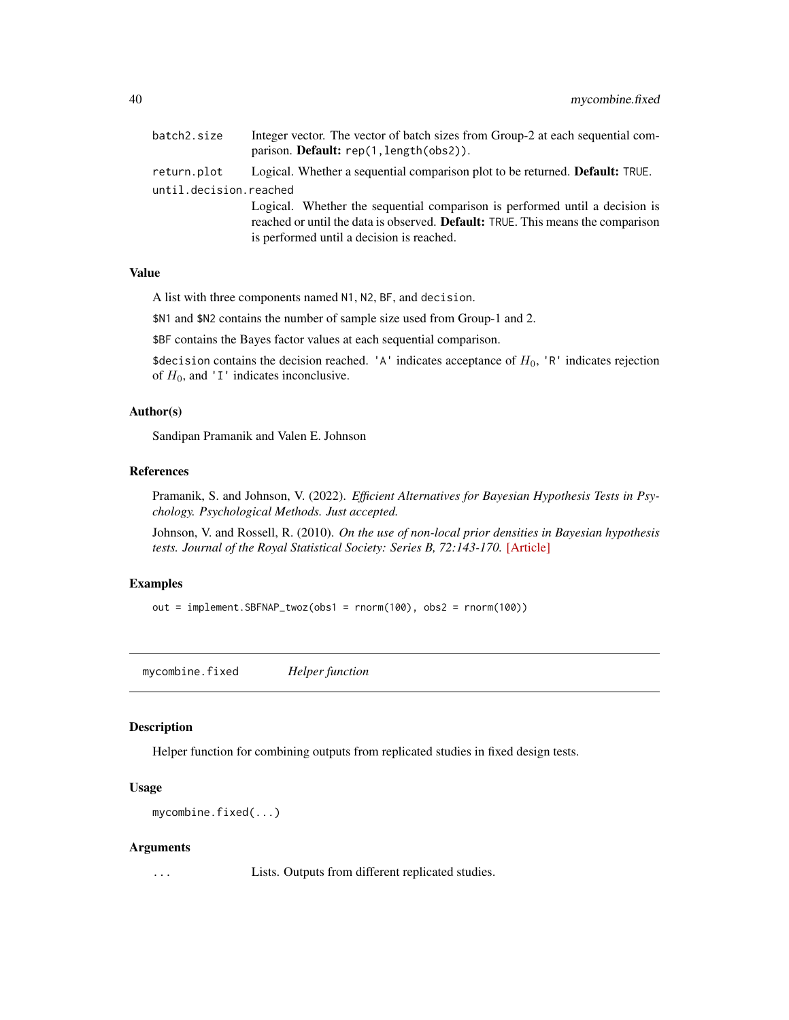<span id="page-39-0"></span>

| batch2.size            | Integer vector. The vector of batch sizes from Group-2 at each sequential com-<br>parison. <b>Default:</b> rep(1, length(obs2)).                                                                                   |
|------------------------|--------------------------------------------------------------------------------------------------------------------------------------------------------------------------------------------------------------------|
| return.plot            | Logical. Whether a sequential comparison plot to be returned. <b>Default:</b> TRUE.                                                                                                                                |
| until.decision.reached |                                                                                                                                                                                                                    |
|                        | Logical. Whether the sequential comparison is performed until a decision is<br>reached or until the data is observed. <b>Default:</b> TRUE. This means the comparison<br>is performed until a decision is reached. |

A list with three components named N1, N2, BF, and decision.

\$N1 and \$N2 contains the number of sample size used from Group-1 and 2.

\$BF contains the Bayes factor values at each sequential comparison.

\$decision contains the decision reached. 'A' indicates acceptance of  $H_0$ , 'R' indicates rejection of  $H_0$ , and 'I' indicates inconclusive.

## Author(s)

Sandipan Pramanik and Valen E. Johnson

## References

Pramanik, S. and Johnson, V. (2022). *Efficient Alternatives for Bayesian Hypothesis Tests in Psychology. Psychological Methods. Just accepted.*

Johnson, V. and Rossell, R. (2010). *On the use of non-local prior densities in Bayesian hypothesis tests. Journal of the Royal Statistical Society: Series B, 72:143-170.* [\[Article\]](https://rss.onlinelibrary.wiley.com/doi/pdf/10.1111/j.1467-9868.2009.00730.x)

# Examples

out = implement.SBFNAP\_twoz(obs1 = rnorm(100), obs2 = rnorm(100))

mycombine.fixed *Helper function*

#### Description

Helper function for combining outputs from replicated studies in fixed design tests.

#### Usage

```
mycombine.fixed(...)
```
#### Arguments

... Lists. Outputs from different replicated studies.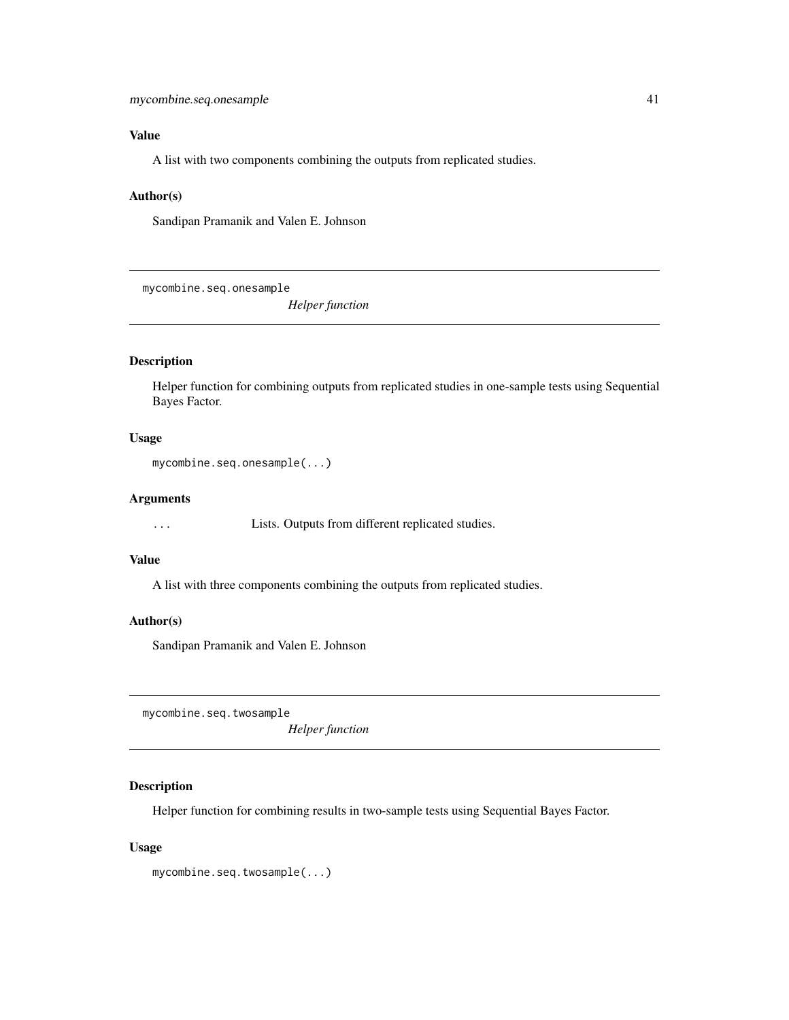<span id="page-40-0"></span>A list with two components combining the outputs from replicated studies.

#### Author(s)

Sandipan Pramanik and Valen E. Johnson

mycombine.seq.onesample

*Helper function*

# Description

Helper function for combining outputs from replicated studies in one-sample tests using Sequential Bayes Factor.

#### Usage

```
mycombine.seq.onesample(...)
```
## Arguments

... Lists. Outputs from different replicated studies.

# Value

A list with three components combining the outputs from replicated studies.

#### Author(s)

Sandipan Pramanik and Valen E. Johnson

mycombine.seq.twosample

*Helper function*

# Description

Helper function for combining results in two-sample tests using Sequential Bayes Factor.

#### Usage

mycombine.seq.twosample(...)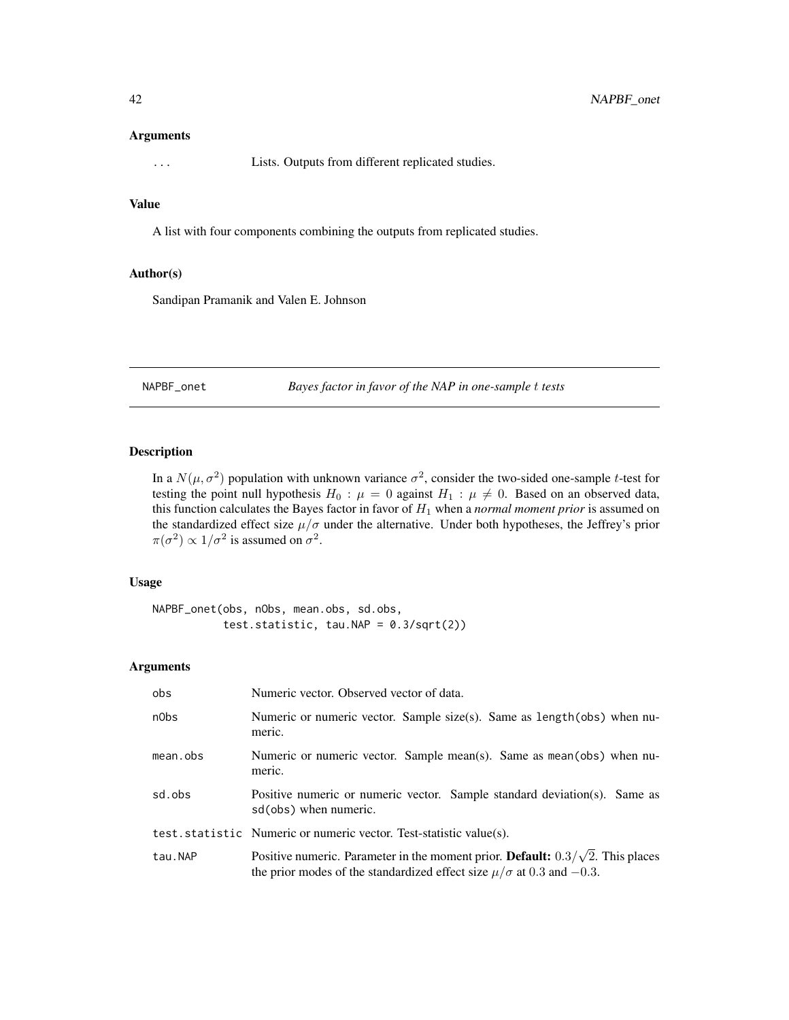#### <span id="page-41-0"></span>Arguments

... Lists. Outputs from different replicated studies.

# Value

A list with four components combining the outputs from replicated studies.

## Author(s)

Sandipan Pramanik and Valen E. Johnson

NAPBF\_onet *Bayes factor in favor of the NAP in one-sample* t *tests*

#### Description

In a  $N(\mu, \sigma^2)$  population with unknown variance  $\sigma^2$ , consider the two-sided one-sample t-test for testing the point null hypothesis  $H_0$ :  $\mu = 0$  against  $H_1$ :  $\mu \neq 0$ . Based on an observed data, this function calculates the Bayes factor in favor of  $H_1$  when a *normal moment prior* is assumed on the standardized effect size  $\mu/\sigma$  under the alternative. Under both hypotheses, the Jeffrey's prior  $\pi(\sigma^2) \propto 1/\sigma^2$  is assumed on  $\sigma^2$ .

# Usage

NAPBF\_onet(obs, nObs, mean.obs, sd.obs, test.statistic, tau.NAP =  $0.3/\sqrt{(2)}$ 

| obs      | Numeric vector. Observed vector of data.                                                                                                                                       |
|----------|--------------------------------------------------------------------------------------------------------------------------------------------------------------------------------|
| n0bs     | Numeric or numeric vector. Sample size(s). Same as length(obs) when nu-<br>meric.                                                                                              |
| mean.obs | Numeric or numeric vector. Sample mean(s). Same as mean(obs) when nu-<br>meric.                                                                                                |
| sd.obs   | Positive numeric or numeric vector. Sample standard deviation(s). Same as<br>sd(obs) when numeric.                                                                             |
|          | test.statistic Numeric or numeric vector. Test-statistic value(s).                                                                                                             |
| tau.NAP  | Positive numeric. Parameter in the moment prior. <b>Default:</b> $0.3/\sqrt{2}$ . This places<br>the prior modes of the standardized effect size $\mu/\sigma$ at 0.3 and -0.3. |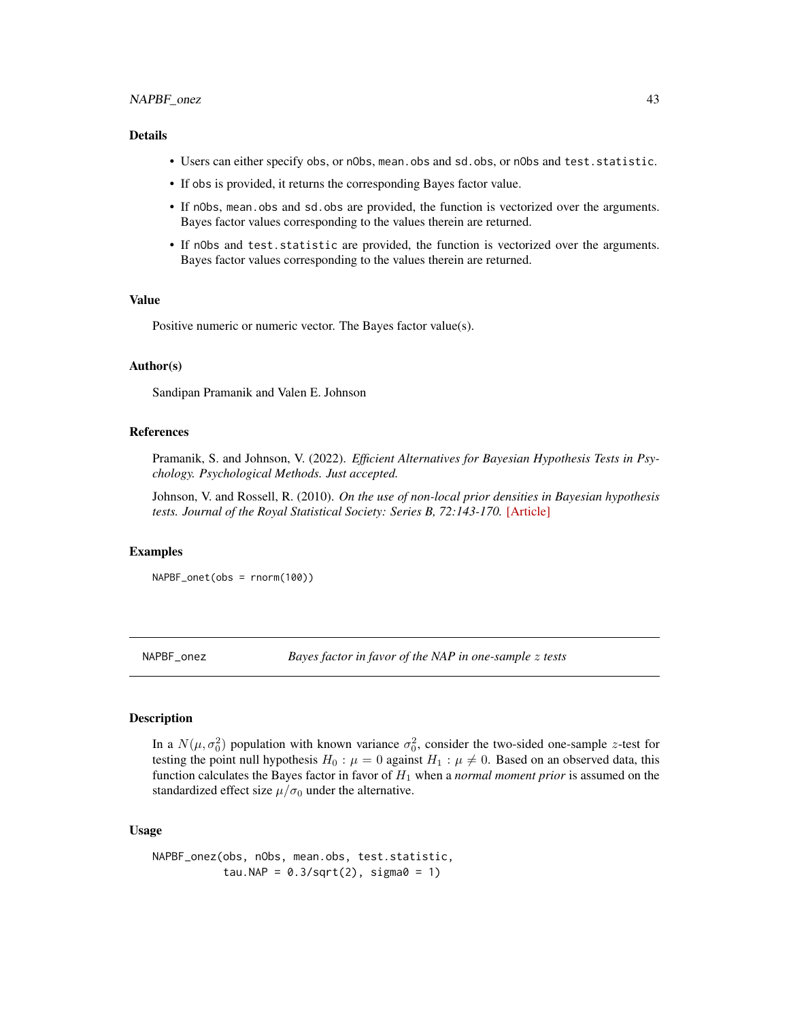## <span id="page-42-0"></span>NAPBF\_onez 43

#### Details

- Users can either specify obs, or nObs, mean.obs and sd.obs, or nObs and test.statistic.
- If obs is provided, it returns the corresponding Bayes factor value.
- If nObs, mean.obs and sd.obs are provided, the function is vectorized over the arguments. Bayes factor values corresponding to the values therein are returned.
- If nObs and test.statistic are provided, the function is vectorized over the arguments. Bayes factor values corresponding to the values therein are returned.

## Value

Positive numeric or numeric vector. The Bayes factor value(s).

#### Author(s)

Sandipan Pramanik and Valen E. Johnson

# References

Pramanik, S. and Johnson, V. (2022). *Efficient Alternatives for Bayesian Hypothesis Tests in Psychology. Psychological Methods. Just accepted.*

Johnson, V. and Rossell, R. (2010). *On the use of non-local prior densities in Bayesian hypothesis tests. Journal of the Royal Statistical Society: Series B, 72:143-170.* [\[Article\]](https://rss.onlinelibrary.wiley.com/doi/pdf/10.1111/j.1467-9868.2009.00730.x)

# Examples

NAPBF\_onet(obs = rnorm(100))

NAPBF\_onez *Bayes factor in favor of the NAP in one-sample* z *tests*

#### **Description**

In a  $N(\mu, \sigma_0^2)$  population with known variance  $\sigma_0^2$ , consider the two-sided one-sample z-test for testing the point null hypothesis  $H_0$ :  $\mu = 0$  against  $H_1$ :  $\mu \neq 0$ . Based on an observed data, this function calculates the Bayes factor in favor of  $H_1$  when a *normal moment prior* is assumed on the standardized effect size  $\mu/\sigma_0$  under the alternative.

## Usage

```
NAPBF_onez(obs, nObs, mean.obs, test.statistic,
           tau.NAP = 0.3/\sqrt{2}, sigma0 = 1)
```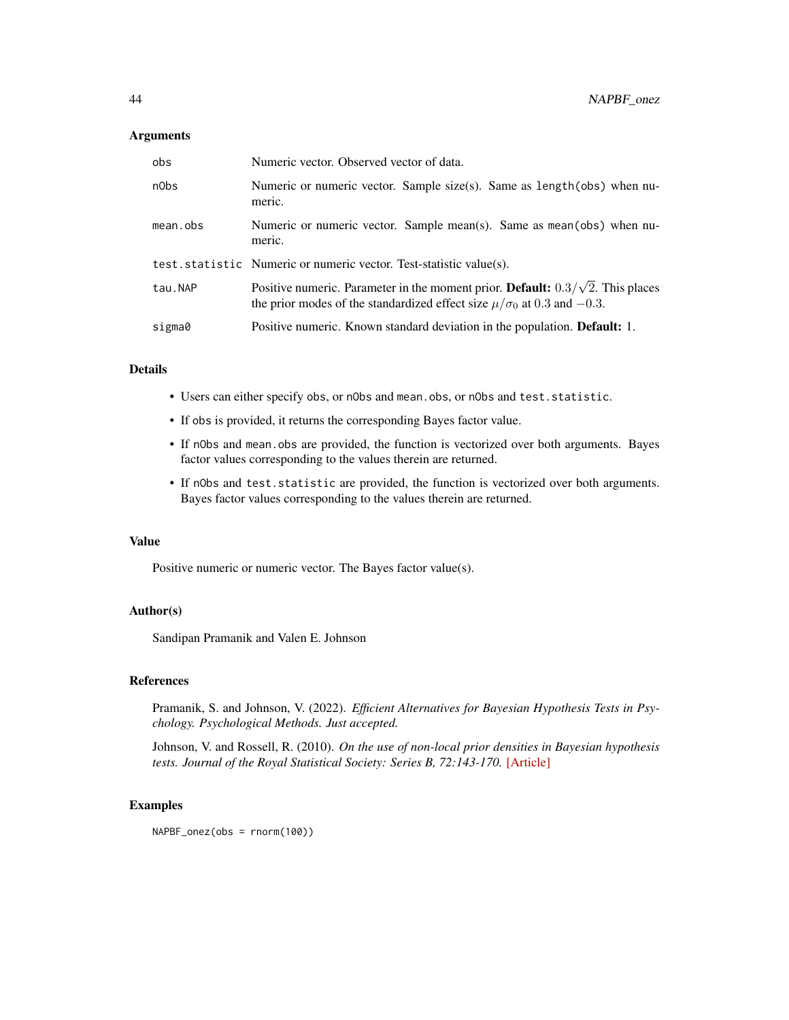#### **Arguments**

| obs      | Numeric vector. Observed vector of data.                                                                                                                                  |
|----------|---------------------------------------------------------------------------------------------------------------------------------------------------------------------------|
| n0bs     | Numeric or numeric vector. Sample size(s). Same as length(obs) when nu-<br>meric.                                                                                         |
| mean.obs | Numeric or numeric vector. Sample mean(s). Same as mean(obs) when nu-<br>meric.                                                                                           |
|          | test.statistic Numeric or numeric vector. Test-statistic value(s).                                                                                                        |
| tau.NAP  | Positive numeric. Parameter in the moment prior. Default: $0.3/\sqrt{2}$ . This places<br>the prior modes of the standardized effect size $\mu/\sigma_0$ at 0.3 and -0.3. |
| sigma0   | Positive numeric. Known standard deviation in the population. <b>Default:</b> 1.                                                                                          |

# Details

- Users can either specify obs, or nObs and mean.obs, or nObs and test.statistic.
- If obs is provided, it returns the corresponding Bayes factor value.
- If nObs and mean.obs are provided, the function is vectorized over both arguments. Bayes factor values corresponding to the values therein are returned.
- If nObs and test.statistic are provided, the function is vectorized over both arguments. Bayes factor values corresponding to the values therein are returned.

## Value

Positive numeric or numeric vector. The Bayes factor value(s).

#### Author(s)

Sandipan Pramanik and Valen E. Johnson

# References

Pramanik, S. and Johnson, V. (2022). *Efficient Alternatives for Bayesian Hypothesis Tests in Psychology. Psychological Methods. Just accepted.*

Johnson, V. and Rossell, R. (2010). *On the use of non-local prior densities in Bayesian hypothesis tests. Journal of the Royal Statistical Society: Series B, 72:143-170.* [\[Article\]](https://rss.onlinelibrary.wiley.com/doi/pdf/10.1111/j.1467-9868.2009.00730.x)

#### Examples

NAPBF\_onez(obs = rnorm(100))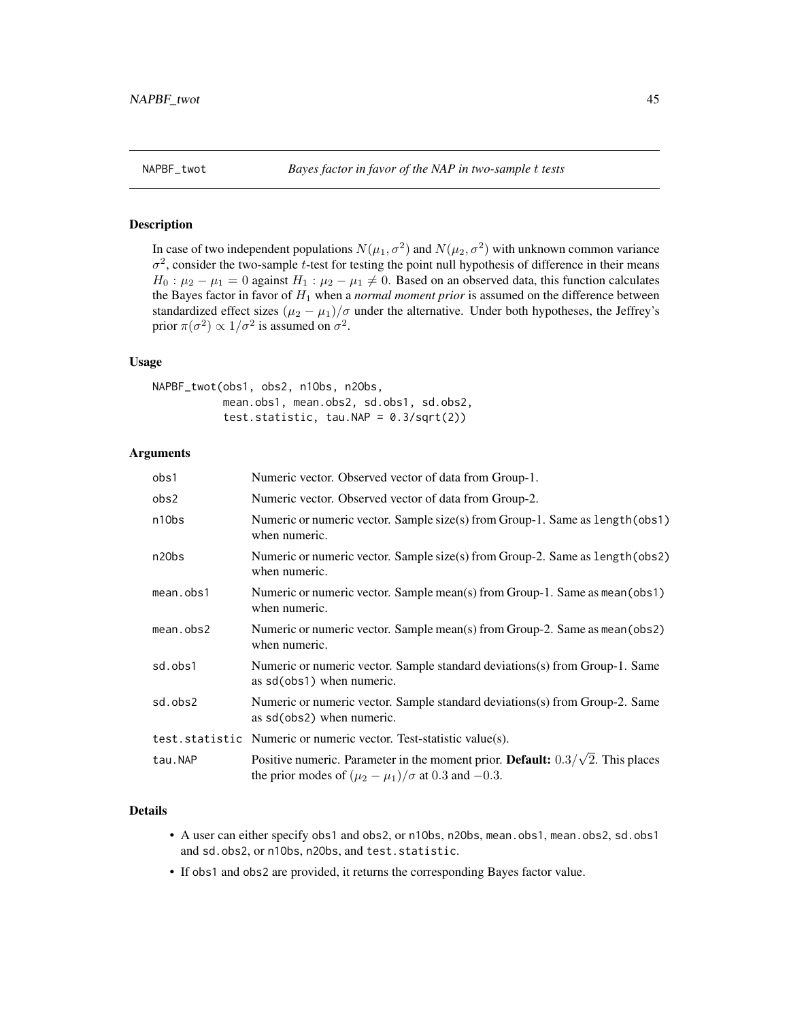<span id="page-44-0"></span>

## Description

In case of two independent populations  $N(\mu_1, \sigma^2)$  and  $N(\mu_2, \sigma^2)$  with unknown common variance  $\sigma^2$ , consider the two-sample t-test for testing the point null hypothesis of difference in their means  $H_0: \mu_2 - \mu_1 = 0$  against  $H_1: \mu_2 - \mu_1 \neq 0$ . Based on an observed data, this function calculates the Bayes factor in favor of  $H_1$  when a *normal moment prior* is assumed on the difference between standardized effect sizes  $(\mu_2 - \mu_1)/\sigma$  under the alternative. Under both hypotheses, the Jeffrey's prior  $\pi(\sigma^2) \propto 1/\sigma^2$  is assumed on  $\sigma^2$ .

# Usage

NAPBF\_twot(obs1, obs2, n1Obs, n2Obs, mean.obs1, mean.obs2, sd.obs1, sd.obs2, test.statistic, tau.NAP =  $0.3/\sqrt{(2)}$ 

# Arguments

| obs1      | Numeric vector. Observed vector of data from Group-1.                                                                                                  |
|-----------|--------------------------------------------------------------------------------------------------------------------------------------------------------|
| obs2      | Numeric vector. Observed vector of data from Group-2.                                                                                                  |
| n10bs     | Numeric or numeric vector. Sample size(s) from Group-1. Same as length (obs1)<br>when numeric.                                                         |
| n20bs     | Numeric or numeric vector. Sample size(s) from Group-2. Same as length (obs2)<br>when numeric.                                                         |
| mean.obs1 | Numeric or numeric vector. Sample mean(s) from Group-1. Same as mean(obs1)<br>when numeric.                                                            |
| mean.obs2 | Numeric or numeric vector. Sample mean(s) from Group-2. Same as mean(obs2)<br>when numeric.                                                            |
| sd.obs1   | Numeric or numeric vector. Sample standard deviations(s) from Group-1. Same<br>as sd(obs1) when numeric.                                               |
| sd.obs2   | Numeric or numeric vector. Sample standard deviations(s) from Group-2. Same<br>as sd(obs2) when numeric.                                               |
|           | test.statistic Numeric or numeric vector. Test-statistic value(s).                                                                                     |
| tau.NAP   | Positive numeric. Parameter in the moment prior. Default: $0.3/\sqrt{2}$ . This places<br>the prior modes of $(\mu_2 - \mu_1)/\sigma$ at 0.3 and -0.3. |

#### Details

- A user can either specify obs1 and obs2, or n10bs, n20bs, mean.obs1, mean.obs2, sd.obs1 and sd.obs2, or n1Obs, n2Obs, and test.statistic.
- If obs1 and obs2 are provided, it returns the corresponding Bayes factor value.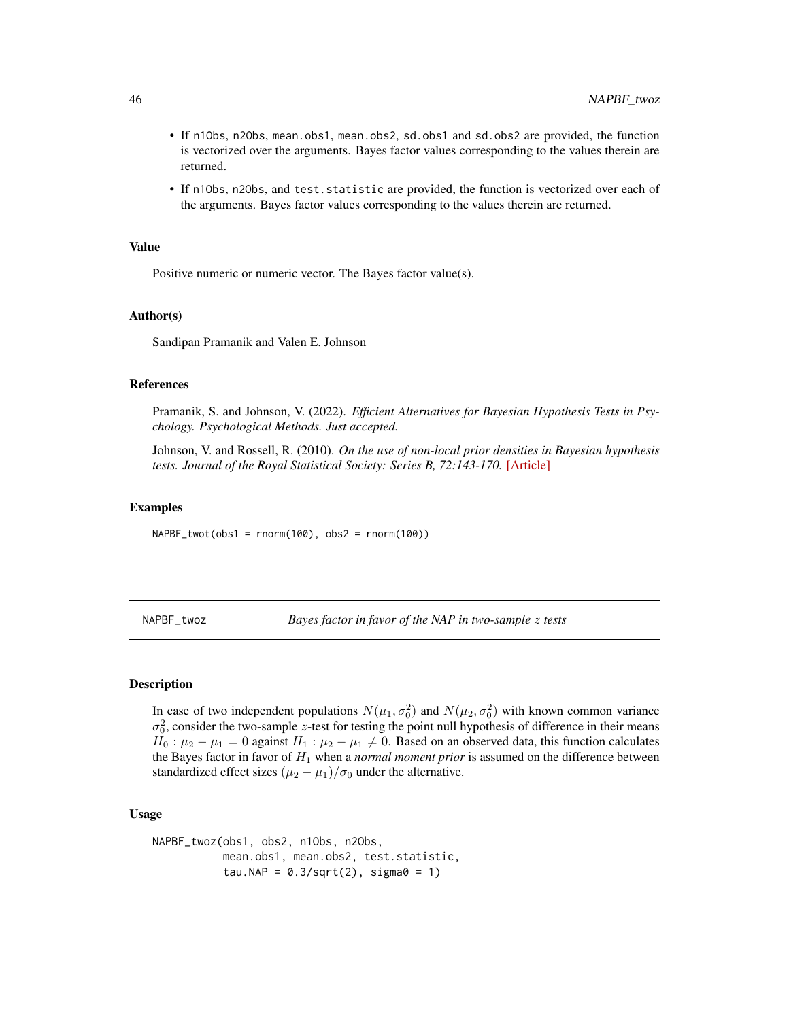- If n1Obs, n2Obs, mean.obs1, mean.obs2, sd.obs1 and sd.obs2 are provided, the function is vectorized over the arguments. Bayes factor values corresponding to the values therein are returned.
- If n1Obs, n2Obs, and test.statistic are provided, the function is vectorized over each of the arguments. Bayes factor values corresponding to the values therein are returned.

Positive numeric or numeric vector. The Bayes factor value(s).

#### Author(s)

Sandipan Pramanik and Valen E. Johnson

#### References

Pramanik, S. and Johnson, V. (2022). *Efficient Alternatives for Bayesian Hypothesis Tests in Psychology. Psychological Methods. Just accepted.*

Johnson, V. and Rossell, R. (2010). *On the use of non-local prior densities in Bayesian hypothesis tests. Journal of the Royal Statistical Society: Series B, 72:143-170.* [\[Article\]](https://rss.onlinelibrary.wiley.com/doi/pdf/10.1111/j.1467-9868.2009.00730.x)

## Examples

 $NAPBF_twot(obs1 = rnorm(100), obs2 = rnorm(100))$ 

NAPBF\_twoz *Bayes factor in favor of the NAP in two-sample* z *tests*

#### **Description**

In case of two independent populations  $N(\mu_1, \sigma_0^2)$  and  $N(\mu_2, \sigma_0^2)$  with known common variance  $\sigma_0^2$ , consider the two-sample z-test for testing the point null hypothesis of difference in their means  $H_0: \mu_2 - \mu_1 = 0$  against  $H_1: \mu_2 - \mu_1 \neq 0$ . Based on an observed data, this function calculates the Bayes factor in favor of  $H_1$  when a *normal moment prior* is assumed on the difference between standardized effect sizes  $(\mu_2 - \mu_1)/\sigma_0$  under the alternative.

## Usage

```
NAPBF_twoz(obs1, obs2, n1Obs, n2Obs,
           mean.obs1, mean.obs2, test.statistic,
           tau.NAP = 0.3/\sqrt{2}, sigma0 = 1)
```
<span id="page-45-0"></span>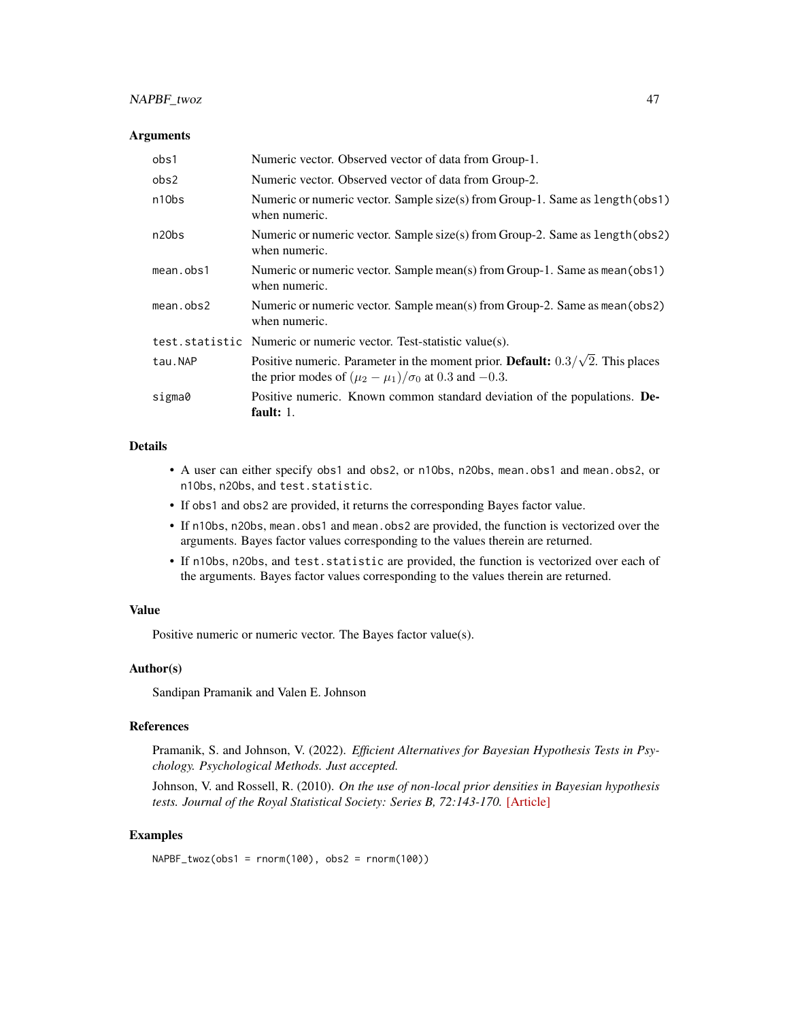# NAPBF\_twoz 47

#### **Arguments**

| obs1               | Numeric vector. Observed vector of data from Group-1.                                                                                                           |
|--------------------|-----------------------------------------------------------------------------------------------------------------------------------------------------------------|
| obs2               | Numeric vector. Observed vector of data from Group-2.                                                                                                           |
| n10bs              | Numeric or numeric vector. Sample $size(s)$ from Group-1. Same as $length(obs1)$<br>when numeric.                                                               |
| n <sub>20</sub> bs | Numeric or numeric vector. Sample size(s) from Group-2. Same as length (obs2)<br>when numeric.                                                                  |
| $mean.$ obs $1$    | Numeric or numeric vector. Sample mean(s) from Group-1. Same as mean(obs1)<br>when numeric.                                                                     |
| mean. obs2         | Numeric or numeric vector. Sample mean(s) from Group-2. Same as mean(obs2)<br>when numeric.                                                                     |
|                    | test.statistic Numeric or numeric vector. Test-statistic value(s).                                                                                              |
| tau.NAP            | Positive numeric. Parameter in the moment prior. <b>Default:</b> $0.3/\sqrt{2}$ . This places<br>the prior modes of $(\mu_2 - \mu_1)/\sigma_0$ at 0.3 and -0.3. |
| sigma0             | Positive numeric. Known common standard deviation of the populations. De-<br>fault: $1$ .                                                                       |

# Details

- A user can either specify obs1 and obs2, or n1Obs, n2Obs, mean.obs1 and mean.obs2, or n1Obs, n2Obs, and test.statistic.
- If obs1 and obs2 are provided, it returns the corresponding Bayes factor value.
- If n1Obs, n2Obs, mean.obs1 and mean.obs2 are provided, the function is vectorized over the arguments. Bayes factor values corresponding to the values therein are returned.
- If n1Obs, n2Obs, and test.statistic are provided, the function is vectorized over each of the arguments. Bayes factor values corresponding to the values therein are returned.

## Value

Positive numeric or numeric vector. The Bayes factor value(s).

#### Author(s)

Sandipan Pramanik and Valen E. Johnson

#### References

Pramanik, S. and Johnson, V. (2022). *Efficient Alternatives for Bayesian Hypothesis Tests in Psychology. Psychological Methods. Just accepted.*

Johnson, V. and Rossell, R. (2010). *On the use of non-local prior densities in Bayesian hypothesis tests. Journal of the Royal Statistical Society: Series B, 72:143-170.* [\[Article\]](https://rss.onlinelibrary.wiley.com/doi/pdf/10.1111/j.1467-9868.2009.00730.x)

## Examples

```
NAPBF_{twoz}(\text{obs1 = norm}(100), \text{obs2 = norm}(100))
```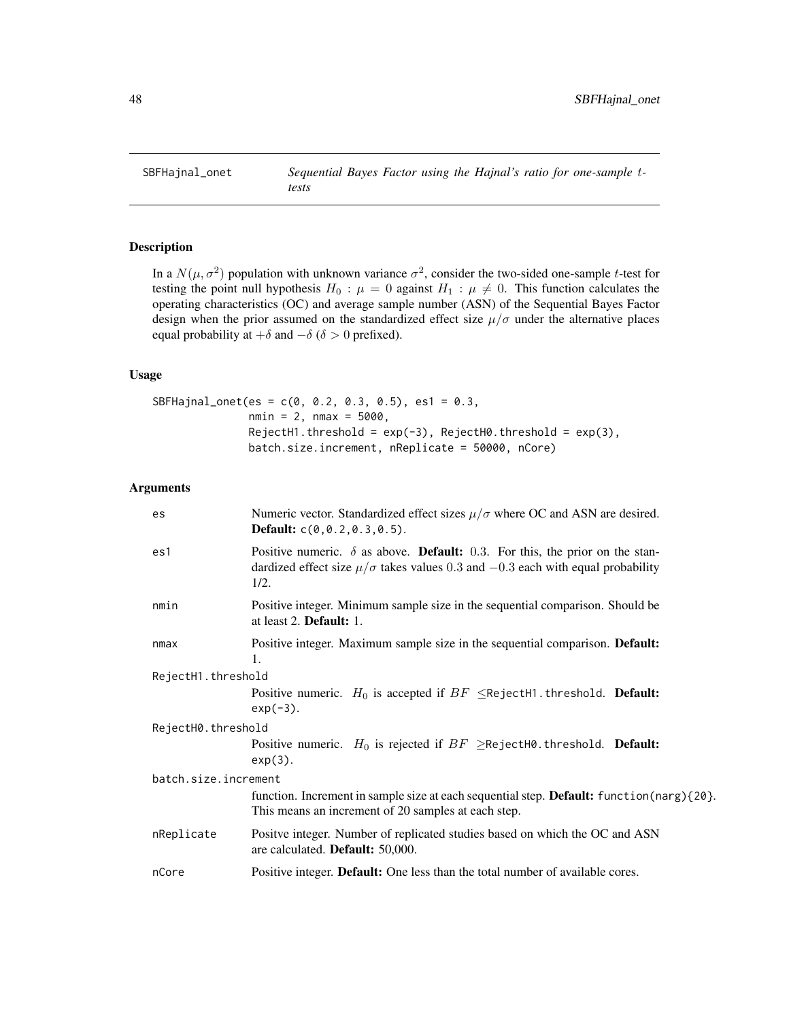<span id="page-47-0"></span>

# Description

In a  $N(\mu, \sigma^2)$  population with unknown variance  $\sigma^2$ , consider the two-sided one-sample t-test for testing the point null hypothesis  $H_0$ :  $\mu = 0$  against  $H_1$ :  $\mu \neq 0$ . This function calculates the operating characteristics (OC) and average sample number (ASN) of the Sequential Bayes Factor design when the prior assumed on the standardized effect size  $\mu/\sigma$  under the alternative places equal probability at  $+\delta$  and  $-\delta$  ( $\delta > 0$  prefixed).

# Usage

```
SBFHajnal_onet(es = c(0, 0.2, 0.3, 0.5), es1 = 0.3,
              nmin = 2, nmax = 5000,
               RejectH1.threshold = exp(-3), RejectH0.threshold = exp(3),
               batch.size.increment, nReplicate = 50000, nCore)
```

| es                   | Numeric vector. Standardized effect sizes $\mu/\sigma$ where OC and ASN are desired.<br><b>Default:</b> $c(0, 0.2, 0.3, 0.5)$ .                                                                 |  |
|----------------------|-------------------------------------------------------------------------------------------------------------------------------------------------------------------------------------------------|--|
| es1                  | Positive numeric. $\delta$ as above. <b>Default:</b> 0.3. For this, the prior on the stan-<br>dardized effect size $\mu/\sigma$ takes values 0.3 and $-0.3$ each with equal probability<br>1/2. |  |
| nmin                 | Positive integer. Minimum sample size in the sequential comparison. Should be<br>at least 2. Default: 1.                                                                                        |  |
| nmax                 | Positive integer. Maximum sample size in the sequential comparison. Default:<br>1.                                                                                                              |  |
| RejectH1.threshold   |                                                                                                                                                                                                 |  |
|                      | Positive numeric. $H_0$ is accepted if $BF \leq$ RejectH1.threshold. Default:<br>$exp(-3)$ .                                                                                                    |  |
| RejectH0.threshold   |                                                                                                                                                                                                 |  |
|                      | Positive numeric. $H_0$ is rejected if $BF \geq$ RejectH0.threshold. Default:<br>$exp(3)$ .                                                                                                     |  |
| batch.size.increment |                                                                                                                                                                                                 |  |
|                      | function. Increment in sample size at each sequential step. Default: function(narg){20}.<br>This means an increment of 20 samples at each step.                                                 |  |
| nReplicate           | Positve integer. Number of replicated studies based on which the OC and ASN<br>are calculated. Default: 50,000.                                                                                 |  |
| nCore                | Positive integer. Default: One less than the total number of available cores.                                                                                                                   |  |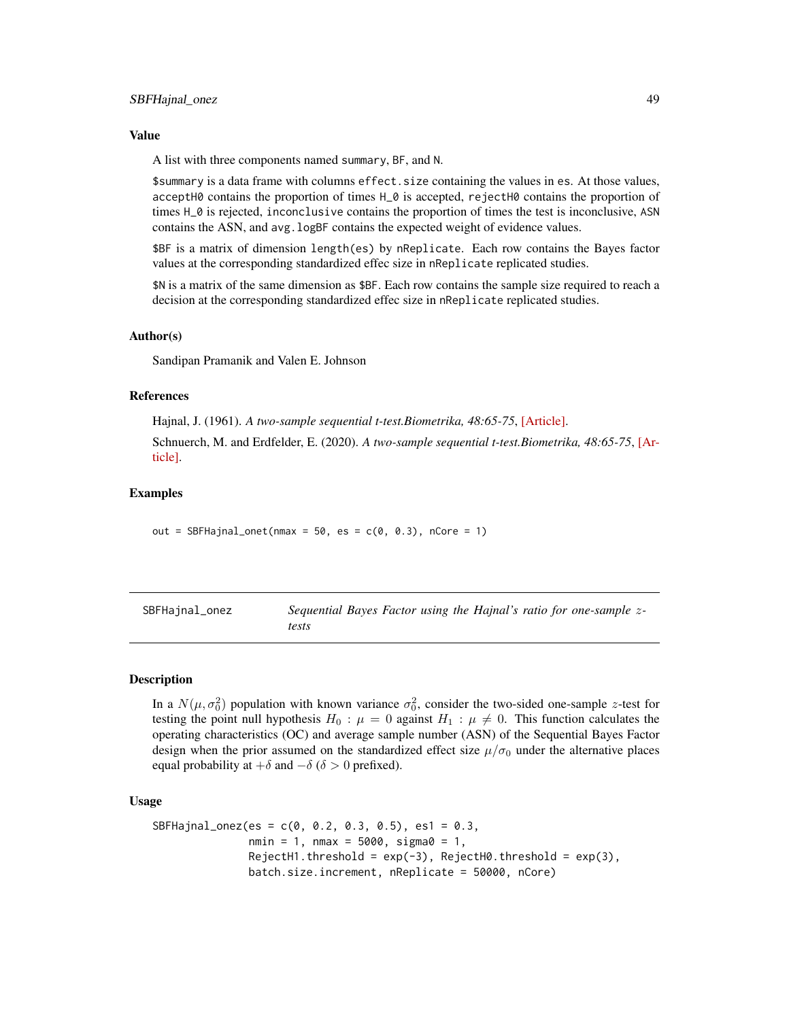<span id="page-48-0"></span>A list with three components named summary, BF, and N.

\$summary is a data frame with columns effect.size containing the values in es. At those values, acceptH0 contains the proportion of times H\_0 is accepted, rejectH0 contains the proportion of times H\_0 is rejected, inconclusive contains the proportion of times the test is inconclusive, ASN contains the ASN, and avg. logBF contains the expected weight of evidence values.

\$BF is a matrix of dimension length(es) by nReplicate. Each row contains the Bayes factor values at the corresponding standardized effec size in nReplicate replicated studies.

\$N is a matrix of the same dimension as \$BF. Each row contains the sample size required to reach a decision at the corresponding standardized effec size in nReplicate replicated studies.

#### Author(s)

Sandipan Pramanik and Valen E. Johnson

#### References

Hajnal, J. (1961). *A two-sample sequential t-test.Biometrika, 48:65-75*, [\[Article\].](https://academic.oup.com/biomet/article-abstract/48/1-2/65/227215)

Schnuerch, M. and Erdfelder, E. (2020). *A two-sample sequential t-test.Biometrika, 48:65-75*, [\[Ar](https://martinschnuerch.com/wp-content/uploads/2020/08/Schnuerch_Erdfelder_2020.pdf)[ticle\].](https://martinschnuerch.com/wp-content/uploads/2020/08/Schnuerch_Erdfelder_2020.pdf)

# Examples

out = SBFHajnal\_onet(nmax =  $50$ , es =  $c(0, 0.3)$ , nCore = 1)

| SBFHajnal_onez | Sequential Bayes Factor using the Hajnal's ratio for one-sample z- |
|----------------|--------------------------------------------------------------------|
|                | tests                                                              |

## Description

In a  $N(\mu, \sigma_0^2)$  population with known variance  $\sigma_0^2$ , consider the two-sided one-sample z-test for testing the point null hypothesis  $H_0$ :  $\mu = 0$  against  $H_1$ :  $\mu \neq 0$ . This function calculates the operating characteristics (OC) and average sample number (ASN) of the Sequential Bayes Factor design when the prior assumed on the standardized effect size  $\mu/\sigma_0$  under the alternative places equal probability at  $+\delta$  and  $-\delta$  ( $\delta > 0$  prefixed).

#### Usage

```
SBFHajnal_onez(es = c(0, 0.2, 0.3, 0.5), es1 = 0.3,
              nmin = 1, nmax = 5000, sigma = 1,
              RejectH1.threshold = exp(-3), RejectH0.threshold = exp(3),
              batch.size.increment, nReplicate = 50000, nCore)
```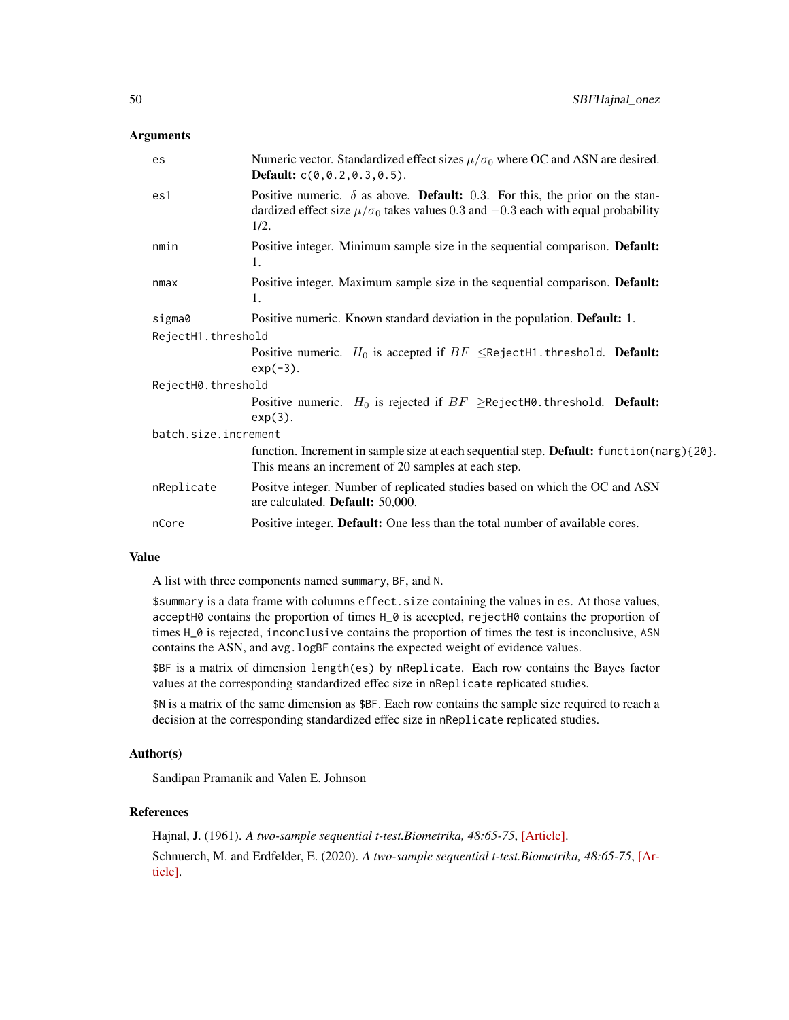## **Arguments**

| es                   | Numeric vector. Standardized effect sizes $\mu/\sigma_0$ where OC and ASN are desired.<br><b>Default:</b> $c(0, 0.2, 0.3, 0.5)$ .                                                                 |  |
|----------------------|---------------------------------------------------------------------------------------------------------------------------------------------------------------------------------------------------|--|
| es1                  | Positive numeric. $\delta$ as above. <b>Default:</b> 0.3. For this, the prior on the stan-<br>dardized effect size $\mu/\sigma_0$ takes values 0.3 and $-0.3$ each with equal probability<br>1/2. |  |
| nmin                 | Positive integer. Minimum sample size in the sequential comparison. Default:<br>1.                                                                                                                |  |
| nmax                 | Positive integer. Maximum sample size in the sequential comparison. Default:<br>1.                                                                                                                |  |
| sigma0               | Positive numeric. Known standard deviation in the population. Default: 1.                                                                                                                         |  |
| RejectH1.threshold   |                                                                                                                                                                                                   |  |
|                      | Positive numeric. $H_0$ is accepted if $BF \leq$ RejectH1.threshold. <b>Default:</b><br>$exp(-3)$ .                                                                                               |  |
| RejectH0.threshold   |                                                                                                                                                                                                   |  |
|                      | Positive numeric. $H_0$ is rejected if $BF \geq$ RejectH0.threshold. <b>Default:</b><br>$exp(3)$ .                                                                                                |  |
| batch.size.increment |                                                                                                                                                                                                   |  |
|                      | function. Increment in sample size at each sequential step. Default: function(narg){20}.<br>This means an increment of 20 samples at each step.                                                   |  |
| nReplicate           | Positve integer. Number of replicated studies based on which the OC and ASN<br>are calculated. Default: 50,000.                                                                                   |  |
| nCore                | Positive integer. Default: One less than the total number of available cores.                                                                                                                     |  |
|                      |                                                                                                                                                                                                   |  |

## Value

A list with three components named summary, BF, and N.

\$summary is a data frame with columns effect.size containing the values in es. At those values, acceptH0 contains the proportion of times H\_0 is accepted, rejectH0 contains the proportion of times H\_0 is rejected, inconclusive contains the proportion of times the test is inconclusive, ASN contains the ASN, and avg.logBF contains the expected weight of evidence values.

\$BF is a matrix of dimension length(es) by nReplicate. Each row contains the Bayes factor values at the corresponding standardized effec size in nReplicate replicated studies.

\$N is a matrix of the same dimension as \$BF. Each row contains the sample size required to reach a decision at the corresponding standardized effec size in nReplicate replicated studies.

#### Author(s)

Sandipan Pramanik and Valen E. Johnson

## References

Hajnal, J. (1961). *A two-sample sequential t-test.Biometrika, 48:65-75*, [\[Article\].](https://academic.oup.com/biomet/article-abstract/48/1-2/65/227215) Schnuerch, M. and Erdfelder, E. (2020). *A two-sample sequential t-test.Biometrika, 48:65-75*, [\[Ar](https://martinschnuerch.com/wp-content/uploads/2020/08/Schnuerch_Erdfelder_2020.pdf)[ticle\].](https://martinschnuerch.com/wp-content/uploads/2020/08/Schnuerch_Erdfelder_2020.pdf)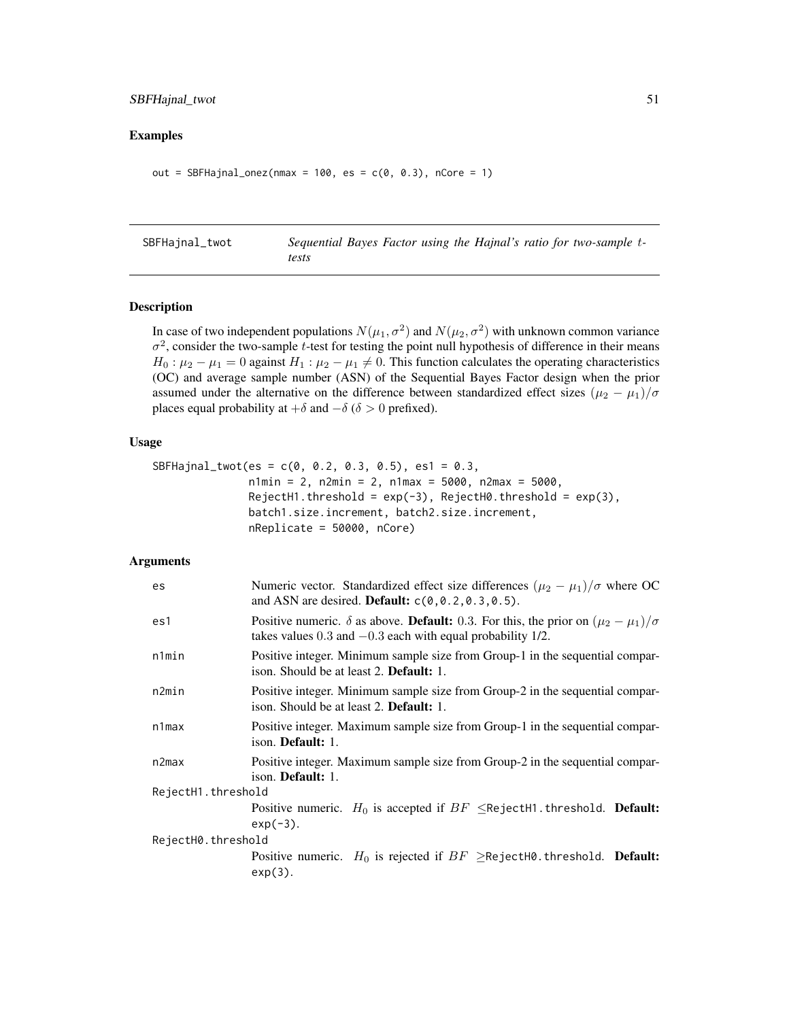# <span id="page-50-0"></span>SBFHajnal\_twot 51

## Examples

```
out = SBFHajnal_onez(nmax = 100, es = c(0, 0.3), nCore = 1)
```
SBFHajnal\_twot *Sequential Bayes Factor using the Hajnal's ratio for two-sample* t*tests*

# Description

In case of two independent populations  $N(\mu_1, \sigma^2)$  and  $N(\mu_2, \sigma^2)$  with unknown common variance  $\sigma^2$ , consider the two-sample t-test for testing the point null hypothesis of difference in their means  $H_0: \mu_2 - \mu_1 = 0$  against  $H_1: \mu_2 - \mu_1 \neq 0$ . This function calculates the operating characteristics (OC) and average sample number (ASN) of the Sequential Bayes Factor design when the prior assumed under the alternative on the difference between standardized effect sizes  $(\mu_2 - \mu_1)/\sigma$ places equal probability at  $+\delta$  and  $-\delta$  ( $\delta > 0$  prefixed).

## Usage

```
SBFHajnal_twot(es = c(0, 0.2, 0.3, 0.5), es1 = 0.3,n1min = 2, n2min = 2, n1max = 5000, n2max = 5000,
              RejectH1.threshold = exp(-3), RejectH0.threshold = exp(3),batch1.size.increment, batch2.size.increment,
              nReplicate = 50000, nCore)
```

| es                 | Numeric vector. Standardized effect size differences $(\mu_2 - \mu_1)/\sigma$ where OC<br>and ASN are desired. Default: $c(0, 0.2, 0.3, 0.5)$ .                                |
|--------------------|--------------------------------------------------------------------------------------------------------------------------------------------------------------------------------|
| es1                | Positive numeric. $\delta$ as above. <b>Default:</b> 0.3. For this, the prior on $(\mu_2 - \mu_1)/\sigma$<br>takes values $0.3$ and $-0.3$ each with equal probability $1/2$ . |
| n1min              | Positive integer. Minimum sample size from Group-1 in the sequential compar-<br>ison. Should be at least 2. Default: 1.                                                        |
| n2min              | Positive integer. Minimum sample size from Group-2 in the sequential compar-<br>ison. Should be at least 2. <b>Default:</b> 1.                                                 |
| $n1$ max           | Positive integer. Maximum sample size from Group-1 in the sequential compar-<br>ison. Default: 1.                                                                              |
| n2max              | Positive integer. Maximum sample size from Group-2 in the sequential compar-<br>ison. Default: 1.                                                                              |
| RejectH1.threshold |                                                                                                                                                                                |
|                    | Positive numeric. $H_0$ is accepted if $BF \leq$ RejectH1.threshold. <b>Default:</b><br>$exp(-3)$ .                                                                            |
| RejectH0.threshold |                                                                                                                                                                                |
|                    | Positive numeric. $H_0$ is rejected if $BF \geq$ RejectH0.threshold. <b>Default:</b><br>$exp(3)$ .                                                                             |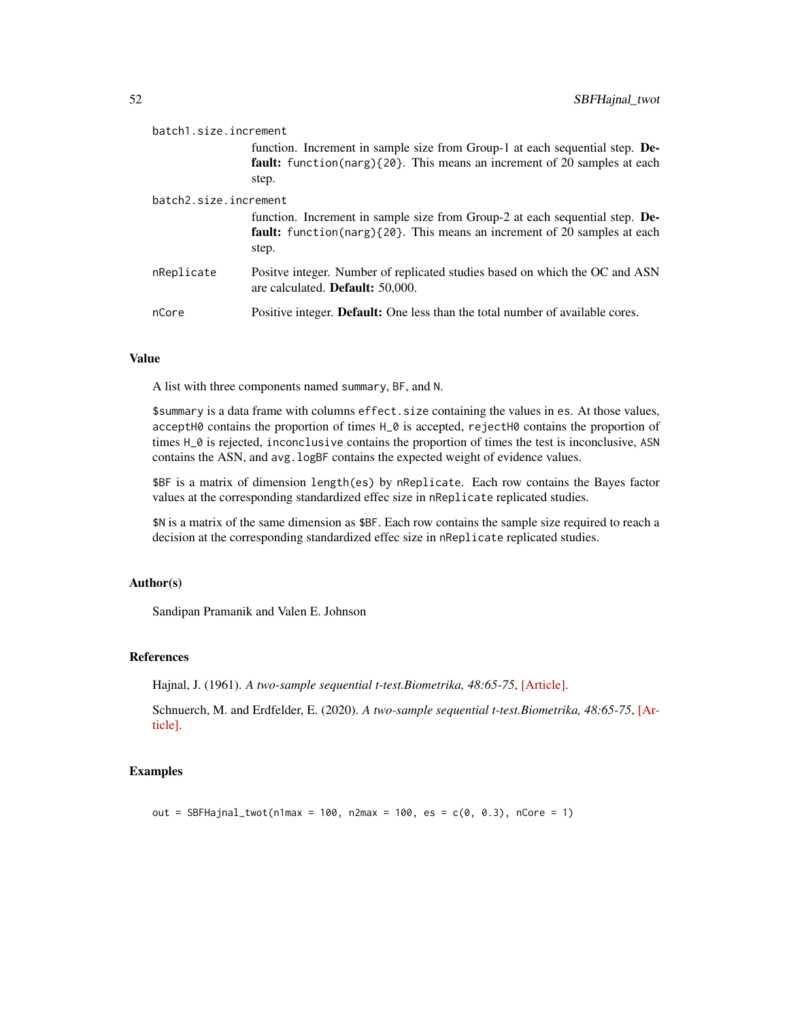| batch1.size.increment |                                                                                                                                                                          |
|-----------------------|--------------------------------------------------------------------------------------------------------------------------------------------------------------------------|
|                       | function. Increment in sample size from Group-1 at each sequential step. De-<br>fault: function(narg){20}. This means an increment of 20 samples at each<br>step.        |
| batch2.size.increment |                                                                                                                                                                          |
|                       | function. Increment in sample size from Group-2 at each sequential step. De-<br><b>fault:</b> function(narg){20}. This means an increment of 20 samples at each<br>step. |
| nReplicate            | Positve integer. Number of replicated studies based on which the OC and ASN<br>are calculated. <b>Default:</b> 50,000.                                                   |
| nCore                 | Positive integer. <b>Default:</b> One less than the total number of available cores.                                                                                     |

A list with three components named summary, BF, and N.

\$summary is a data frame with columns effect.size containing the values in es. At those values, acceptH0 contains the proportion of times H\_0 is accepted, rejectH0 contains the proportion of times H\_0 is rejected, inconclusive contains the proportion of times the test is inconclusive, ASN contains the ASN, and avg. logBF contains the expected weight of evidence values.

\$BF is a matrix of dimension length(es) by nReplicate. Each row contains the Bayes factor values at the corresponding standardized effec size in nReplicate replicated studies.

\$N is a matrix of the same dimension as \$BF. Each row contains the sample size required to reach a decision at the corresponding standardized effec size in nReplicate replicated studies.

## Author(s)

Sandipan Pramanik and Valen E. Johnson

## References

Hajnal, J. (1961). *A two-sample sequential t-test.Biometrika, 48:65-75*, [\[Article\].](https://academic.oup.com/biomet/article-abstract/48/1-2/65/227215)

Schnuerch, M. and Erdfelder, E. (2020). *A two-sample sequential t-test.Biometrika, 48:65-75*, [\[Ar](https://martinschnuerch.com/wp-content/uploads/2020/08/Schnuerch_Erdfelder_2020.pdf)[ticle\].](https://martinschnuerch.com/wp-content/uploads/2020/08/Schnuerch_Erdfelder_2020.pdf)

# Examples

out = SBFHajnal\_twot(n1max = 100, n2max = 100, es =  $c(0, 0.3)$ , nCore = 1)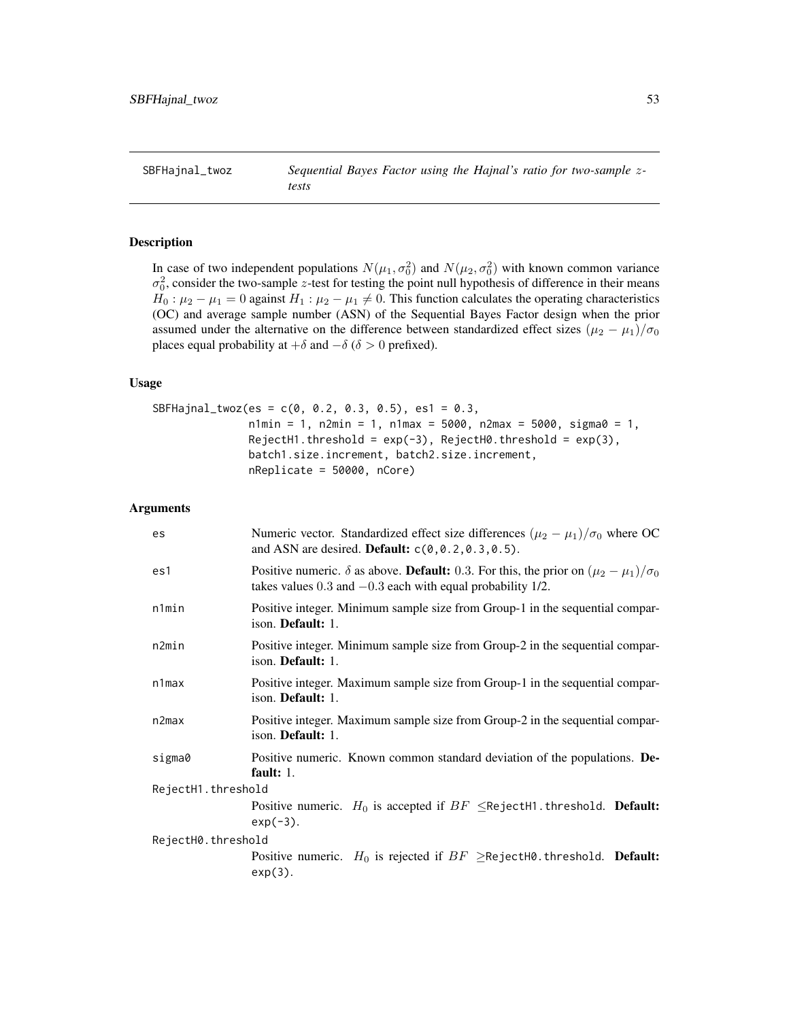<span id="page-52-0"></span>SBFHajnal\_twoz *Sequential Bayes Factor using the Hajnal's ratio for two-sample* z*tests*

# Description

In case of two independent populations  $N(\mu_1, \sigma_0^2)$  and  $N(\mu_2, \sigma_0^2)$  with known common variance  $\sigma_0^2$ , consider the two-sample z-test for testing the point null hypothesis of difference in their means  $H_0: \mu_2 - \mu_1 = 0$  against  $H_1: \mu_2 - \mu_1 \neq 0$ . This function calculates the operating characteristics (OC) and average sample number (ASN) of the Sequential Bayes Factor design when the prior assumed under the alternative on the difference between standardized effect sizes  $(\mu_2 - \mu_1)/\sigma_0$ places equal probability at  $+\delta$  and  $-\delta$  ( $\delta > 0$  prefixed).

#### Usage

```
SBFHajnal_twoz(es = c(0, 0.2, 0.3, 0.5), es1 = 0.3,
               n1min = 1, n2min = 1, n1max = 5000, n2max = 5000, n3sum = 1,
               RejectH1.threshold = exp(-3), RejectH0.threshold = exp(3),
               batch1.size.increment, batch2.size.increment,
               nReplicate = 50000, nCore)
```

| es                 | Numeric vector. Standardized effect size differences $(\mu_2 - \mu_1)/\sigma_0$ where OC<br>and ASN are desired. Default: $c(0, 0.2, 0.3, 0.5)$ .                                |
|--------------------|----------------------------------------------------------------------------------------------------------------------------------------------------------------------------------|
| es1                | Positive numeric. $\delta$ as above. <b>Default:</b> 0.3. For this, the prior on $(\mu_2 - \mu_1)/\sigma_0$<br>takes values $0.3$ and $-0.3$ each with equal probability $1/2$ . |
| n1min              | Positive integer. Minimum sample size from Group-1 in the sequential compar-<br>ison. <b>Default:</b> 1.                                                                         |
| n2min              | Positive integer. Minimum sample size from Group-2 in the sequential compar-<br>ison. Default: 1.                                                                                |
| $n1$ max           | Positive integer. Maximum sample size from Group-1 in the sequential compar-<br>ison. <b>Default:</b> 1.                                                                         |
| n2max              | Positive integer. Maximum sample size from Group-2 in the sequential compar-<br>ison. Default: 1.                                                                                |
| sigma0             | Positive numeric. Known common standard deviation of the populations. De-<br>fault: $1$ .                                                                                        |
| RejectH1.threshold |                                                                                                                                                                                  |
|                    | Positive numeric. $H_0$ is accepted if $BF \leq$ RejectH1.threshold. <b>Default:</b><br>$exp(-3)$ .                                                                              |
| RejectH0.threshold |                                                                                                                                                                                  |
|                    | Positive numeric. $H_0$ is rejected if $BF \geq$ RejectH0.threshold. Default:<br>$exp(3)$ .                                                                                      |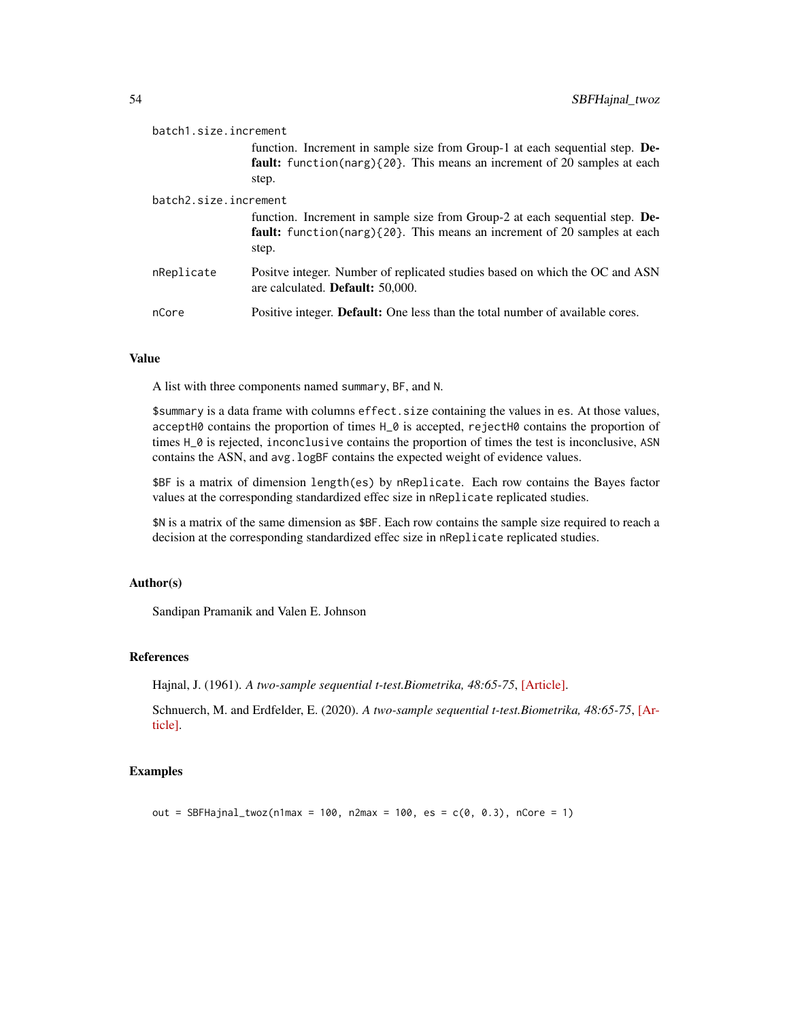| batch1.size.increment |                                                                                                                                                                          |
|-----------------------|--------------------------------------------------------------------------------------------------------------------------------------------------------------------------|
|                       | function. Increment in sample size from Group-1 at each sequential step. De-<br><b>fault:</b> function(narg){20}. This means an increment of 20 samples at each<br>step. |
| batch2.size.increment |                                                                                                                                                                          |
|                       | function. Increment in sample size from Group-2 at each sequential step. De-<br>fault: function(narg){20}. This means an increment of 20 samples at each<br>step.        |
| nReplicate            | Positve integer. Number of replicated studies based on which the OC and ASN<br>are calculated. <b>Default:</b> 50,000.                                                   |
| nCore                 | Positive integer. <b>Default:</b> One less than the total number of available cores.                                                                                     |

A list with three components named summary, BF, and N.

\$summary is a data frame with columns effect.size containing the values in es. At those values, acceptH0 contains the proportion of times H\_0 is accepted, rejectH0 contains the proportion of times H\_0 is rejected, inconclusive contains the proportion of times the test is inconclusive, ASN contains the ASN, and avg. logBF contains the expected weight of evidence values.

\$BF is a matrix of dimension length(es) by nReplicate. Each row contains the Bayes factor values at the corresponding standardized effec size in nReplicate replicated studies.

\$N is a matrix of the same dimension as \$BF. Each row contains the sample size required to reach a decision at the corresponding standardized effec size in nReplicate replicated studies.

## Author(s)

Sandipan Pramanik and Valen E. Johnson

## References

Hajnal, J. (1961). *A two-sample sequential t-test.Biometrika, 48:65-75*, [\[Article\].](https://academic.oup.com/biomet/article-abstract/48/1-2/65/227215)

Schnuerch, M. and Erdfelder, E. (2020). *A two-sample sequential t-test.Biometrika, 48:65-75*, [\[Ar](https://martinschnuerch.com/wp-content/uploads/2020/08/Schnuerch_Erdfelder_2020.pdf)[ticle\].](https://martinschnuerch.com/wp-content/uploads/2020/08/Schnuerch_Erdfelder_2020.pdf)

# Examples

out = SBFHajnal\_twoz(n1max = 100, n2max = 100, es =  $c(0, 0.3)$ , nCore = 1)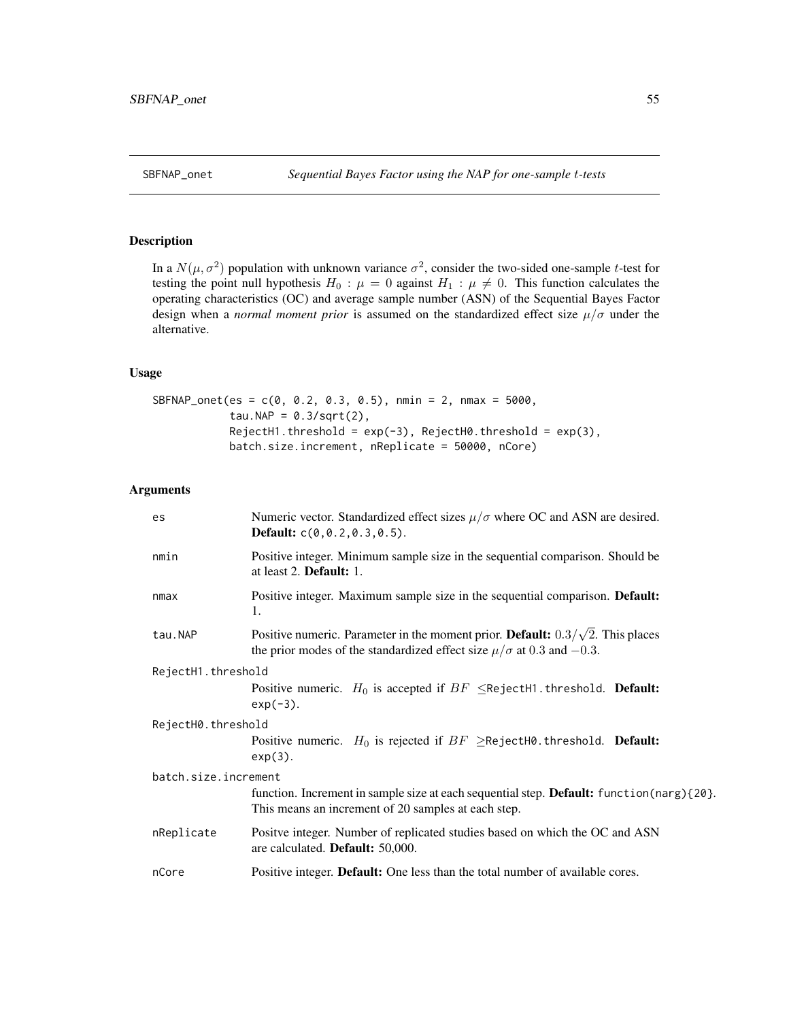# <span id="page-54-0"></span>Description

In a  $N(\mu, \sigma^2)$  population with unknown variance  $\sigma^2$ , consider the two-sided one-sample t-test for testing the point null hypothesis  $H_0$ :  $\mu = 0$  against  $H_1$ :  $\mu \neq 0$ . This function calculates the operating characteristics (OC) and average sample number (ASN) of the Sequential Bayes Factor design when a *normal moment prior* is assumed on the standardized effect size  $\mu/\sigma$  under the alternative.

#### Usage

```
SBFNAP_onet(es = c(0, 0.2, 0.3, 0.5), nmin = 2, nmax = 5000,
            tau.NAP = 0.3/\sqrt{(2)},
            RejectH1.threshold = exp(-3), RejectH0.threshold = exp(3),
            batch.size.increment, nReplicate = 50000, nCore)
```

| es                   | Numeric vector. Standardized effect sizes $\mu/\sigma$ where OC and ASN are desired.<br><b>Default:</b> $c(0, 0.2, 0.3, 0.5)$ .                                                |
|----------------------|--------------------------------------------------------------------------------------------------------------------------------------------------------------------------------|
| nmin                 | Positive integer. Minimum sample size in the sequential comparison. Should be<br>at least $2$ . <b>Default:</b> $1$ .                                                          |
| nmax                 | Positive integer. Maximum sample size in the sequential comparison. Default:<br>1.                                                                                             |
| tau.NAP              | Positive numeric. Parameter in the moment prior. <b>Default:</b> $0.3/\sqrt{2}$ . This places<br>the prior modes of the standardized effect size $\mu/\sigma$ at 0.3 and -0.3. |
| RejectH1.threshold   |                                                                                                                                                                                |
|                      | Positive numeric. $H_0$ is accepted if $BF \leq$ RejectH1.threshold. <b>Default:</b><br>$exp(-3)$ .                                                                            |
| RejectH0.threshold   |                                                                                                                                                                                |
|                      | Positive numeric. $H_0$ is rejected if $BF \geq$ RejectH0.threshold. Default:<br>$exp(3)$ .                                                                                    |
| batch.size.increment |                                                                                                                                                                                |
|                      | function. Increment in sample size at each sequential step. Default: function(narg){20}.<br>This means an increment of 20 samples at each step.                                |
| nReplicate           | Positve integer. Number of replicated studies based on which the OC and ASN<br>are calculated. <b>Default:</b> 50,000.                                                         |
| nCore                | Positive integer. Default: One less than the total number of available cores.                                                                                                  |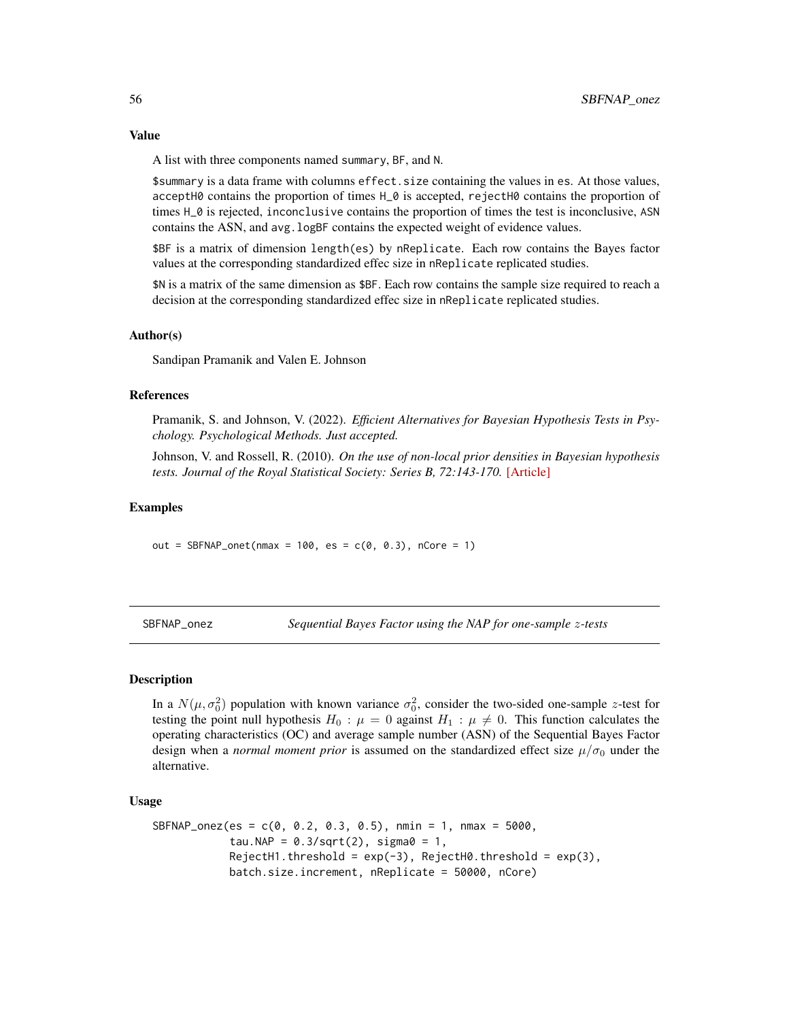<span id="page-55-0"></span>A list with three components named summary, BF, and N.

\$summary is a data frame with columns effect.size containing the values in es. At those values, acceptH0 contains the proportion of times  $H_0$  is accepted, rejectH0 contains the proportion of times H\_0 is rejected, inconclusive contains the proportion of times the test is inconclusive, ASN contains the ASN, and avg.logBF contains the expected weight of evidence values.

\$BF is a matrix of dimension length(es) by nReplicate. Each row contains the Bayes factor values at the corresponding standardized effec size in nReplicate replicated studies.

\$N is a matrix of the same dimension as \$BF. Each row contains the sample size required to reach a decision at the corresponding standardized effec size in nReplicate replicated studies.

#### Author(s)

Sandipan Pramanik and Valen E. Johnson

# References

Pramanik, S. and Johnson, V. (2022). *Efficient Alternatives for Bayesian Hypothesis Tests in Psychology. Psychological Methods. Just accepted.*

Johnson, V. and Rossell, R. (2010). *On the use of non-local prior densities in Bayesian hypothesis tests. Journal of the Royal Statistical Society: Series B, 72:143-170.* [\[Article\]](https://rss.onlinelibrary.wiley.com/doi/pdf/10.1111/j.1467-9868.2009.00730.x)

## Examples

out = SBFNAP\_onet(nmax =  $100$ , es =  $c(0, 0.3)$ , nCore = 1)

SBFNAP\_onez *Sequential Bayes Factor using the NAP for one-sample* z*-tests*

## **Description**

In a  $N(\mu, \sigma_0^2)$  population with known variance  $\sigma_0^2$ , consider the two-sided one-sample z-test for testing the point null hypothesis  $H_0$ :  $\mu = 0$  against  $H_1$ :  $\mu \neq 0$ . This function calculates the operating characteristics (OC) and average sample number (ASN) of the Sequential Bayes Factor design when a *normal moment prior* is assumed on the standardized effect size  $\mu/\sigma_0$  under the alternative.

#### Usage

```
SBFNAP\_onez(es = c(0, 0.2, 0.3, 0.5), nmin = 1, nmax = 5000,
            tau.NAP = 0.3/sqrt(2), sigma0 = 1,
            RejectH1.threshold = exp(-3), RejectH0.threshold = exp(3),
            batch.size.increment, nReplicate = 50000, nCore)
```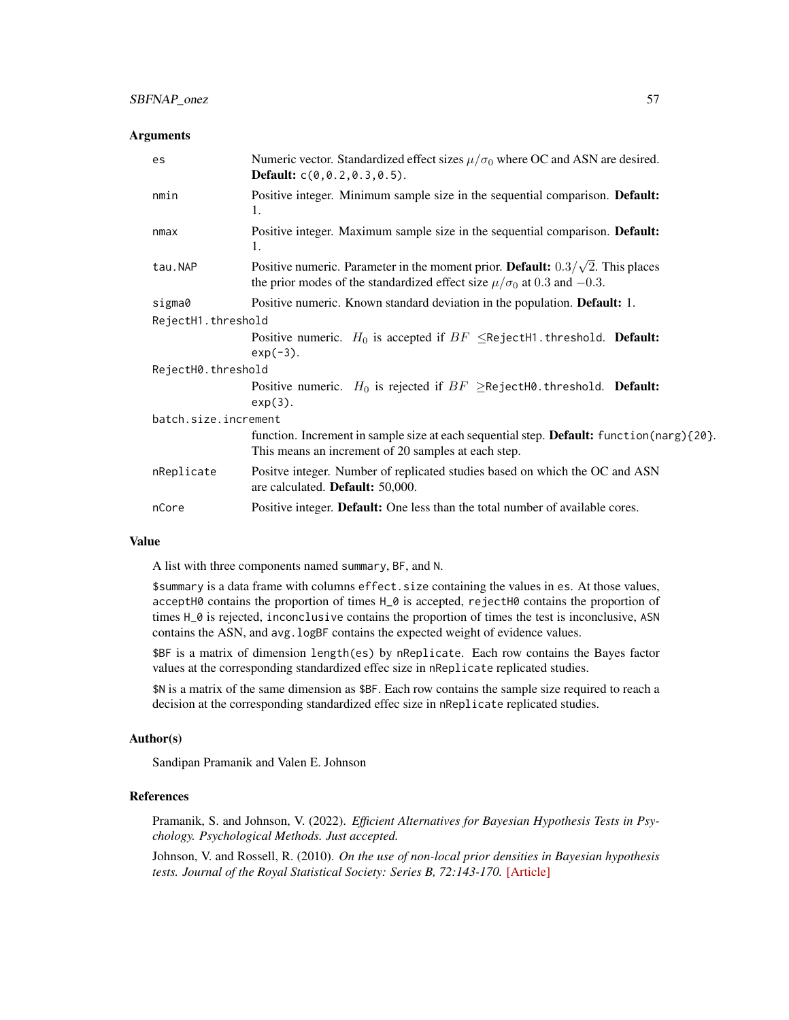#### **Arguments**

| es                   | Numeric vector. Standardized effect sizes $\mu/\sigma_0$ where OC and ASN are desired.<br><b>Default:</b> $c(0, 0.2, 0.3, 0.5)$ .                                                |
|----------------------|----------------------------------------------------------------------------------------------------------------------------------------------------------------------------------|
| nmin                 | Positive integer. Minimum sample size in the sequential comparison. Default:<br>1.                                                                                               |
| nmax                 | Positive integer. Maximum sample size in the sequential comparison. Default:<br>1.                                                                                               |
| tau.NAP              | Positive numeric. Parameter in the moment prior. <b>Default:</b> $0.3/\sqrt{2}$ . This places<br>the prior modes of the standardized effect size $\mu/\sigma_0$ at 0.3 and -0.3. |
| sigma0               | Positive numeric. Known standard deviation in the population. Default: 1.                                                                                                        |
| RejectH1.threshold   |                                                                                                                                                                                  |
|                      | Positive numeric. $H_0$ is accepted if $BF \leq$ RejectH1.threshold. Default:<br>$exp(-3)$ .                                                                                     |
| RejectH0.threshold   |                                                                                                                                                                                  |
|                      | Positive numeric. $H_0$ is rejected if $BF \geq$ RejectH0.threshold. Default:<br>$exp(3)$ .                                                                                      |
| batch.size.increment |                                                                                                                                                                                  |
|                      | function. Increment in sample size at each sequential step. Default: function (narg) {20}.<br>This means an increment of 20 samples at each step.                                |
| nReplicate           | Positve integer. Number of replicated studies based on which the OC and ASN<br>are calculated. Default: 50,000.                                                                  |
| nCore                | Positive integer. Default: One less than the total number of available cores.                                                                                                    |

# Value

A list with three components named summary, BF, and N.

\$summary is a data frame with columns effect.size containing the values in es. At those values, acceptH0 contains the proportion of times H\_0 is accepted, rejectH0 contains the proportion of times H\_0 is rejected, inconclusive contains the proportion of times the test is inconclusive, ASN contains the ASN, and avg. logBF contains the expected weight of evidence values.

\$BF is a matrix of dimension length(es) by nReplicate. Each row contains the Bayes factor values at the corresponding standardized effec size in nReplicate replicated studies.

\$N is a matrix of the same dimension as \$BF. Each row contains the sample size required to reach a decision at the corresponding standardized effec size in nReplicate replicated studies.

## Author(s)

Sandipan Pramanik and Valen E. Johnson

# References

Pramanik, S. and Johnson, V. (2022). *Efficient Alternatives for Bayesian Hypothesis Tests in Psychology. Psychological Methods. Just accepted.*

Johnson, V. and Rossell, R. (2010). *On the use of non-local prior densities in Bayesian hypothesis tests. Journal of the Royal Statistical Society: Series B, 72:143-170.* [\[Article\]](https://rss.onlinelibrary.wiley.com/doi/pdf/10.1111/j.1467-9868.2009.00730.x)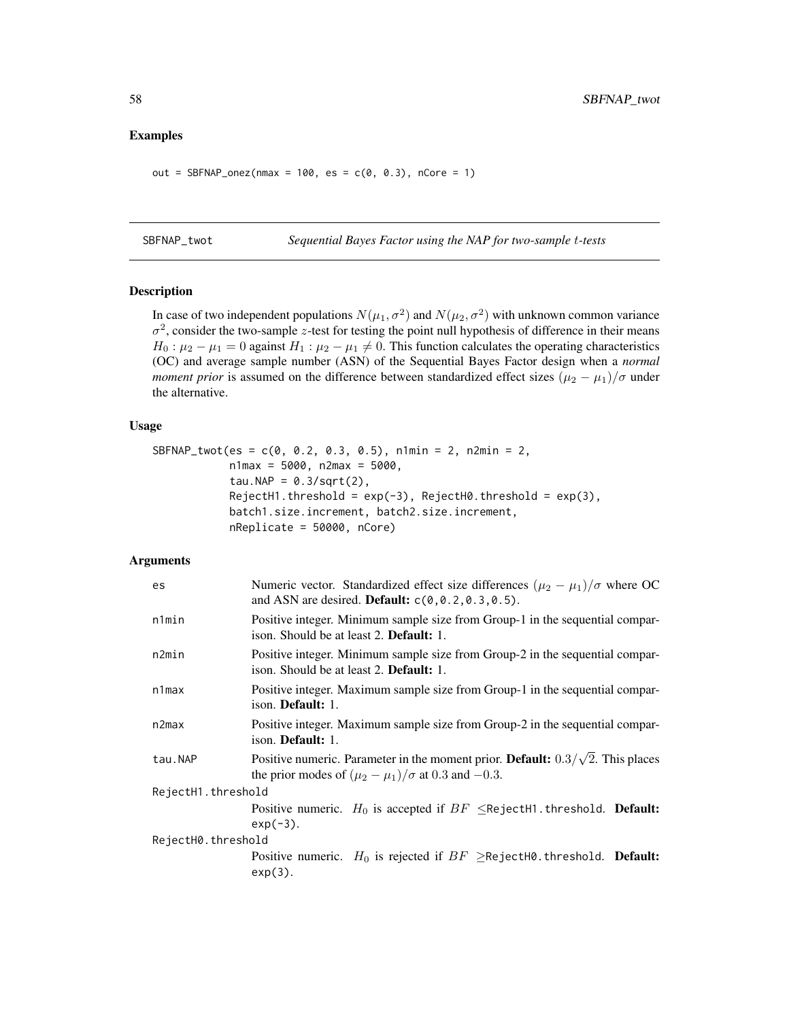#### <span id="page-57-0"></span>Examples

out = SBFNAP\_onez(nmax = 100, es =  $c(0, 0.3)$ , nCore = 1)

SBFNAP\_twot *Sequential Bayes Factor using the NAP for two-sample* t*-tests*

# Description

In case of two independent populations  $N(\mu_1, \sigma^2)$  and  $N(\mu_2, \sigma^2)$  with unknown common variance  $\sigma^2$ , consider the two-sample z-test for testing the point null hypothesis of difference in their means  $H_0: \mu_2 - \mu_1 = 0$  against  $H_1: \mu_2 - \mu_1 \neq 0$ . This function calculates the operating characteristics (OC) and average sample number (ASN) of the Sequential Bayes Factor design when a *normal moment prior* is assumed on the difference between standardized effect sizes  $(\mu_2 - \mu_1)/\sigma$  under the alternative.

## Usage

```
SBFNAP_twot(es = c(0, 0.2, 0.3, 0.5), n1min = 2, n2min = 2,
            n1max = 5000, n2max = 5000,
            tau.NAP = 0.3/\sqrt{(2)},
            RejectH1.threshold = exp(-3), RejectH0.threshold = exp(3),batch1.size.increment, batch2.size.increment,
            nReplicate = 50000, nCore)
```

| Numeric vector. Standardized effect size differences $(\mu_2 - \mu_1)/\sigma$ where OC<br>and ASN are desired. Default: $c(0, 0.2, 0.3, 0.5)$ .        |  |
|--------------------------------------------------------------------------------------------------------------------------------------------------------|--|
| Positive integer. Minimum sample size from Group-1 in the sequential compar-<br>ison. Should be at least 2. <b>Default:</b> 1.                         |  |
| Positive integer. Minimum sample size from Group-2 in the sequential compar-<br>ison. Should be at least 2. Default: 1.                                |  |
| Positive integer. Maximum sample size from Group-1 in the sequential compar-<br>ison. <b>Default:</b> 1.                                               |  |
| Positive integer. Maximum sample size from Group-2 in the sequential compar-<br>ison. Default: 1.                                                      |  |
| Positive numeric. Parameter in the moment prior. Default: $0.3/\sqrt{2}$ . This places<br>the prior modes of $(\mu_2 - \mu_1)/\sigma$ at 0.3 and -0.3. |  |
| RejectH1.threshold                                                                                                                                     |  |
| Positive numeric. $H_0$ is accepted if $BF \leq$ RejectH1.threshold. <b>Default:</b><br>$exp(-3)$ .                                                    |  |
| RejectH0.threshold                                                                                                                                     |  |
| Positive numeric. $H_0$ is rejected if $BF \geq$ RejectH0.threshold. <b>Default:</b><br>$exp(3)$ .                                                     |  |
|                                                                                                                                                        |  |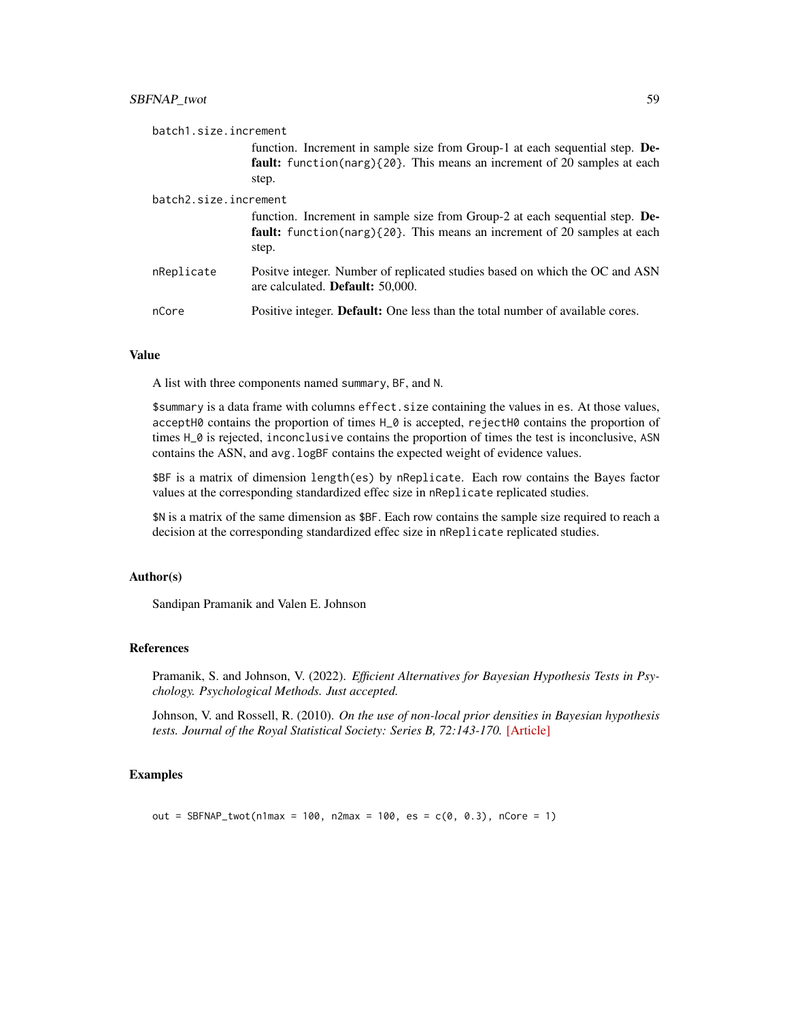| batch1.size.increment |                                                                                                                                                                          |
|-----------------------|--------------------------------------------------------------------------------------------------------------------------------------------------------------------------|
|                       | function. Increment in sample size from Group-1 at each sequential step. De-<br><b>fault:</b> function(narg){20}. This means an increment of 20 samples at each<br>step. |
| batch2.size.increment |                                                                                                                                                                          |
|                       | function. Increment in sample size from Group-2 at each sequential step. De-<br><b>fault:</b> function(narg){20}. This means an increment of 20 samples at each<br>step. |
| nReplicate            | Positve integer. Number of replicated studies based on which the OC and ASN<br>are calculated. <b>Default:</b> 50,000.                                                   |
| nCore                 | Positive integer. <b>Default:</b> One less than the total number of available cores.                                                                                     |

A list with three components named summary, BF, and N.

\$summary is a data frame with columns effect. size containing the values in es. At those values, acceptH0 contains the proportion of times H\_0 is accepted, rejectH0 contains the proportion of times H\_0 is rejected, inconclusive contains the proportion of times the test is inconclusive, ASN contains the ASN, and avg. logBF contains the expected weight of evidence values.

\$BF is a matrix of dimension length(es) by nReplicate. Each row contains the Bayes factor values at the corresponding standardized effec size in nReplicate replicated studies.

\$N is a matrix of the same dimension as \$BF. Each row contains the sample size required to reach a decision at the corresponding standardized effec size in nReplicate replicated studies.

#### Author(s)

Sandipan Pramanik and Valen E. Johnson

#### References

Pramanik, S. and Johnson, V. (2022). *Efficient Alternatives for Bayesian Hypothesis Tests in Psychology. Psychological Methods. Just accepted.*

Johnson, V. and Rossell, R. (2010). *On the use of non-local prior densities in Bayesian hypothesis tests. Journal of the Royal Statistical Society: Series B, 72:143-170.* [\[Article\]](https://rss.onlinelibrary.wiley.com/doi/pdf/10.1111/j.1467-9868.2009.00730.x)

# Examples

out = SBFNAP\_twot(n1max = 100, n2max = 100, es =  $c(0, 0.3)$ , nCore = 1)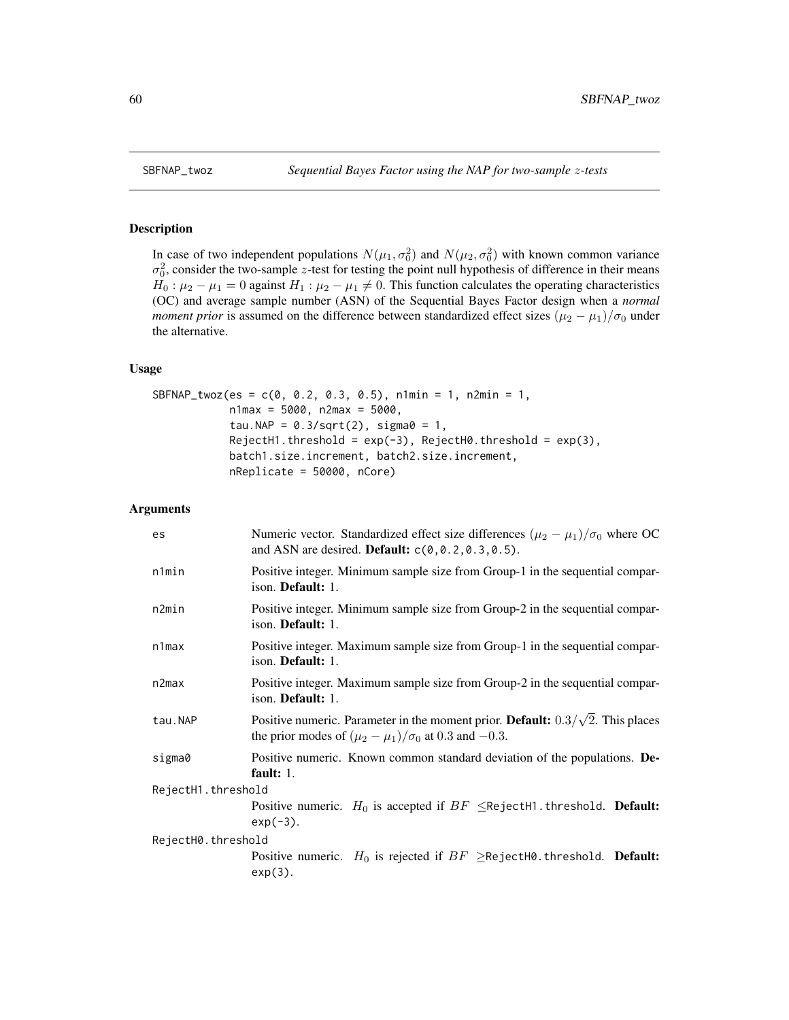<span id="page-59-0"></span>

# Description

In case of two independent populations  $N(\mu_1, \sigma_0^2)$  and  $N(\mu_2, \sigma_0^2)$  with known common variance  $\sigma_0^2$ , consider the two-sample z-test for testing the point null hypothesis of difference in their means  $H_0: \mu_2 - \mu_1 = 0$  against  $H_1: \mu_2 - \mu_1 \neq 0$ . This function calculates the operating characteristics (OC) and average sample number (ASN) of the Sequential Bayes Factor design when a *normal moment prior* is assumed on the difference between standardized effect sizes  $(\mu_2 - \mu_1)/\sigma_0$  under the alternative.

# Usage

```
SBFNAP_twoz(es = c(0, 0.2, 0.3, 0.5), n1min = 1, n2min = 1,
            n1max = 5000, n2max = 5000,
            tau.NAP = 0.3/\sqrt{2}, sigma0 = 1,
            RejectH1.threshold = exp(-3), RejectH0.threshold = exp(3),
            batch1.size.increment, batch2.size.increment,
            nReplicate = 50000, nCore)
```

| es                 | Numeric vector. Standardized effect size differences $(\mu_2 - \mu_1)/\sigma_0$ where OC<br>and ASN are desired. Default: $c(0, 0.2, 0.3, 0.5)$ .               |
|--------------------|-----------------------------------------------------------------------------------------------------------------------------------------------------------------|
| n1min              | Positive integer. Minimum sample size from Group-1 in the sequential compar-<br>ison. Default: 1.                                                               |
| n2min              | Positive integer. Minimum sample size from Group-2 in the sequential compar-<br>ison. <b>Default:</b> 1.                                                        |
| $n1$ max           | Positive integer. Maximum sample size from Group-1 in the sequential compar-<br>ison. <b>Default:</b> 1.                                                        |
| n2max              | Positive integer. Maximum sample size from Group-2 in the sequential compar-<br>ison. <b>Default:</b> 1.                                                        |
| tau.NAP            | Positive numeric. Parameter in the moment prior. <b>Default:</b> $0.3/\sqrt{2}$ . This places<br>the prior modes of $(\mu_2 - \mu_1)/\sigma_0$ at 0.3 and -0.3. |
| sigma0             | Positive numeric. Known common standard deviation of the populations. De-<br>fault: $1.$                                                                        |
| RejectH1.threshold |                                                                                                                                                                 |
|                    | Positive numeric. $H_0$ is accepted if $BF \leq$ RejectH1.threshold. <b>Default:</b><br>$exp(-3)$ .                                                             |
| RejectH0.threshold |                                                                                                                                                                 |
|                    | Positive numeric. $H_0$ is rejected if $BF \geq$ RejectH0.threshold. Default:<br>$exp(3)$ .                                                                     |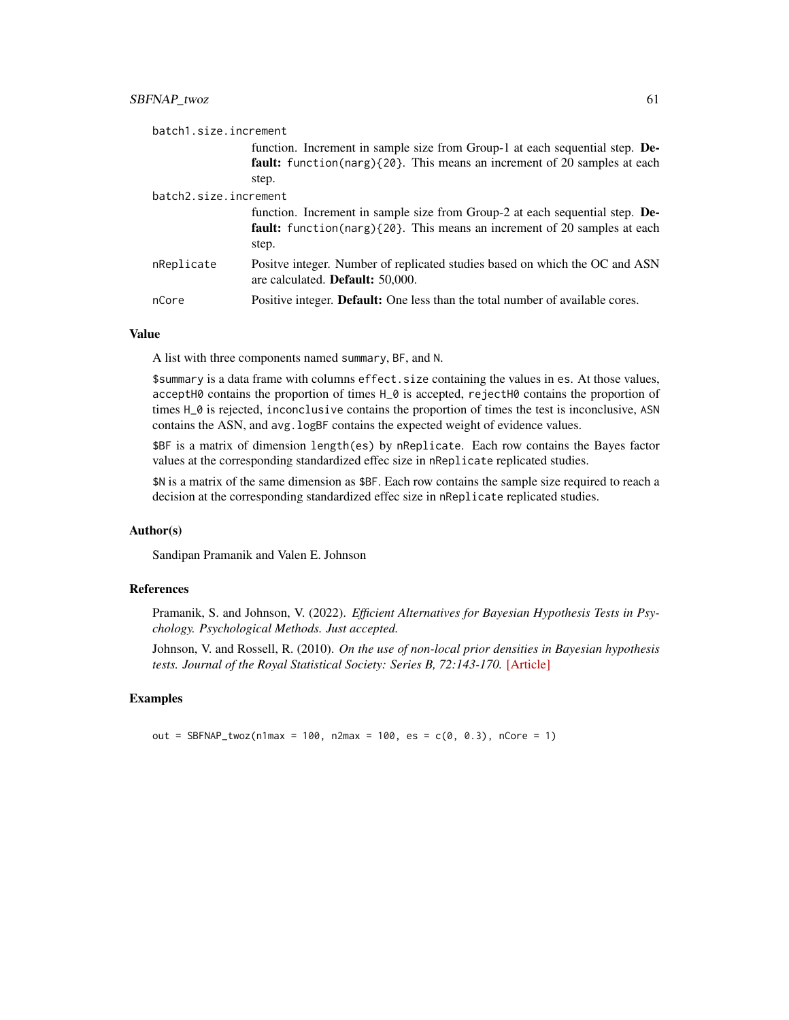| batch1.size.increment |                                                                                                                        |
|-----------------------|------------------------------------------------------------------------------------------------------------------------|
|                       | function. Increment in sample size from Group-1 at each sequential step. De-                                           |
|                       | <b>fault:</b> function(narg){20}. This means an increment of 20 samples at each                                        |
|                       | step.                                                                                                                  |
| batch2.size.increment |                                                                                                                        |
|                       | function. Increment in sample size from Group-2 at each sequential step. De-                                           |
|                       | <b>fault:</b> function(narg){20}. This means an increment of 20 samples at each<br>step.                               |
| nReplicate            | Positve integer. Number of replicated studies based on which the OC and ASN<br>are calculated. <b>Default:</b> 50,000. |
| nCore                 | Positive integer. <b>Default:</b> One less than the total number of available cores.                                   |

A list with three components named summary, BF, and N.

\$summary is a data frame with columns effect.size containing the values in es. At those values, acceptH0 contains the proportion of times H\_0 is accepted, rejectH0 contains the proportion of times H\_0 is rejected, inconclusive contains the proportion of times the test is inconclusive, ASN contains the ASN, and avg. logBF contains the expected weight of evidence values.

\$BF is a matrix of dimension length(es) by nReplicate. Each row contains the Bayes factor values at the corresponding standardized effec size in nReplicate replicated studies.

\$N is a matrix of the same dimension as \$BF. Each row contains the sample size required to reach a decision at the corresponding standardized effec size in nReplicate replicated studies.

# Author(s)

Sandipan Pramanik and Valen E. Johnson

# References

Pramanik, S. and Johnson, V. (2022). *Efficient Alternatives for Bayesian Hypothesis Tests in Psychology. Psychological Methods. Just accepted.*

Johnson, V. and Rossell, R. (2010). *On the use of non-local prior densities in Bayesian hypothesis tests. Journal of the Royal Statistical Society: Series B, 72:143-170.* [\[Article\]](https://rss.onlinelibrary.wiley.com/doi/pdf/10.1111/j.1467-9868.2009.00730.x)

## Examples

out = SBFNAP\_twoz(n1max = 100, n2max = 100, es =  $c(0, 0.3)$ , nCore = 1)